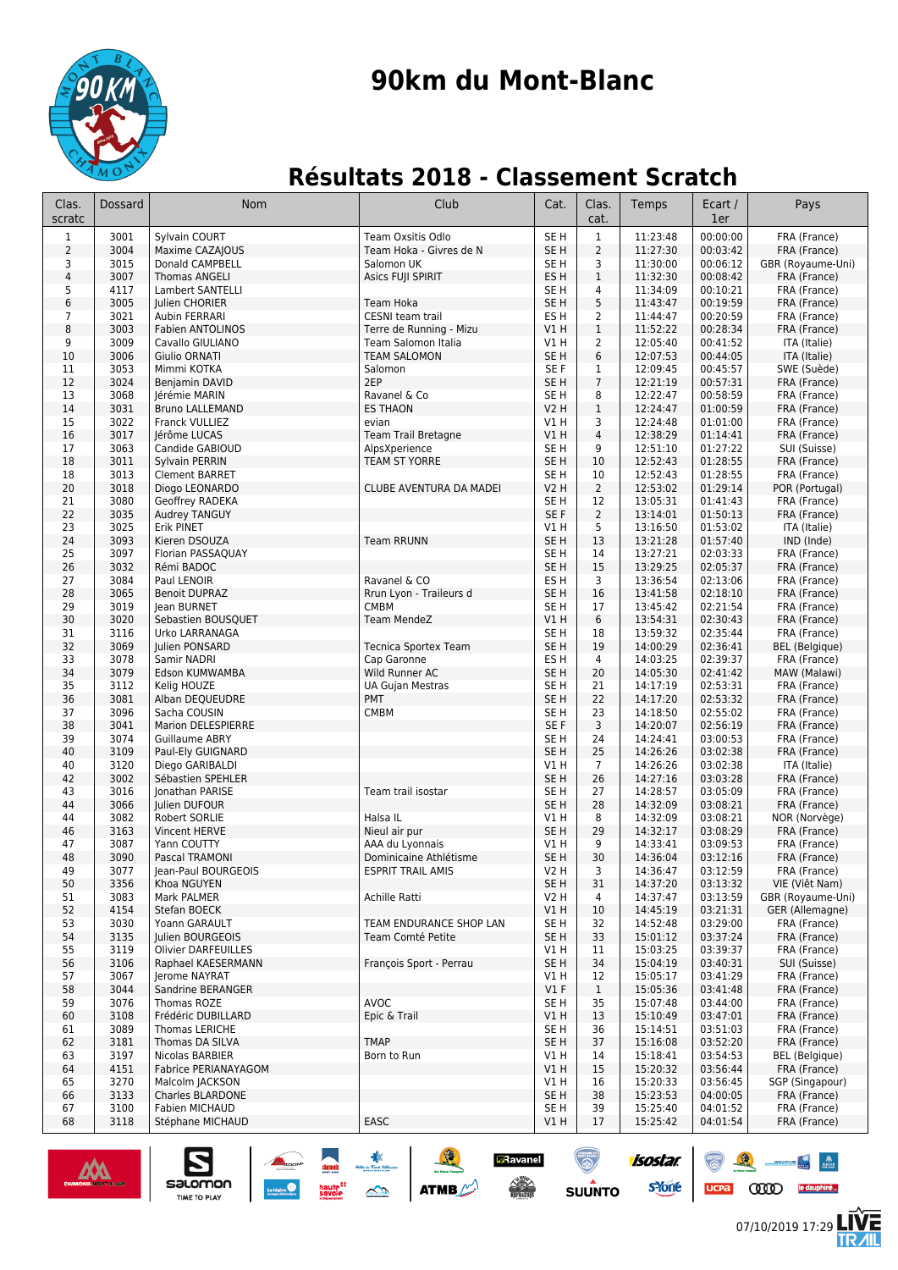

## **90km du Mont-Blanc**

### **Résultats 2018 - Classement Scratch**

| Sylvain COURT<br>Team Oxsitis Odlo<br>SE <sub>H</sub><br>$\mathbf{1}$<br>11:23:48<br>00:00:00<br>FRA (France)<br>$\mathbf{1}$<br>3001<br>$\overline{2}$<br>3004<br>Maxime CAZAJOUS<br>SE <sub>H</sub><br>2<br>11:27:30<br>00:03:42<br>Team Hoka - Givres de N<br>FRA (France)<br>3<br>00:06:12<br>3<br>3015<br>Donald CAMPBELL<br>Salomon UK<br>SE <sub>H</sub><br>11:30:00<br>GBR (Royaume-Uni)<br>4<br>3007<br>ES H<br>$\mathbf{1}$<br>11:32:30<br>00:08:42<br><b>Thomas ANGELI</b><br>Asics FUJI SPIRIT<br>FRA (France)<br>5<br>11:34:09<br>00:10:21<br>4117<br>Lambert SANTELLI<br>SE H<br>4<br>FRA (France)<br>6<br>3005<br>SE <sub>H</sub><br>5<br>11:43:47<br>00:19:59<br>Julien CHORIER<br>Team Hoka<br>FRA (France)<br>7<br>3021<br>ES <sub>H</sub><br>$\overline{2}$<br>00:20:59<br>Aubin FERRARI<br>CESNI team trail<br>11:44:47<br>FRA (France)<br>8<br>3003<br>$\mathbf{1}$<br>00:28:34<br><b>Fabien ANTOLINOS</b><br>Terre de Running - Mizu<br>VIH<br>11:52:22<br>FRA (France)<br>9<br>3009<br>Cavallo GIULIANO<br>Team Salomon Italia<br>V1H<br>$\overline{2}$<br>12:05:40<br>00:41:52<br>ITA (Italie)<br>$6\,$<br>10<br>3006<br>Giulio ORNATI<br><b>TEAM SALOMON</b><br>SE H<br>12:07:53<br>00:44:05<br>ITA (Italie)<br>11<br>3053<br>SE F<br>12:09:45<br>00:45:57<br>SWE (Suède)<br>Mimmi KOTKA<br>Salomon<br>1<br>$7\overline{ }$<br>12<br>3024<br>2EP<br>00:57:31<br>SE <sub>H</sub><br>12:21:19<br>Benjamin DAVID<br>FRA (France)<br>13<br>3068<br>8<br>00:58:59<br>Jérémie MARIN<br>Ravanel & Co<br>SE H<br>12:22:47<br>FRA (France)<br>14<br>3031<br>$\mathbf{1}$<br>01:00:59<br><b>Bruno LALLEMAND</b><br><b>ES THAON</b><br><b>V2 H</b><br>12:24:47<br>FRA (France)<br>3022<br>15<br>Franck VULLIEZ<br><b>V1 H</b><br>3<br>12:24:48<br>01:01:00<br>FRA (France)<br>evian<br>3017<br>$\overline{4}$<br>12:38:29<br>01:14:41<br>16<br>Jérôme LUCAS<br><b>Team Trail Bretagne</b><br>V1H<br>FRA (France)<br>3063<br>12:51:10<br>17<br>Candide GABIOUD<br>AlpsXperience<br>SE <sub>H</sub><br>9<br>01:27:22<br>SUI (Suisse)<br>18<br>3011<br>SE <sub>H</sub><br>12:52:43<br>01:28:55<br>Sylvain PERRIN<br><b>TEAM ST YORRE</b><br>10<br>FRA (France)<br>3013<br>SE <sub>H</sub><br>12:52:43<br>01:28:55<br>18<br><b>Clement BARRET</b><br>10<br>FRA (France)<br>20<br>$\overline{2}$<br>01:29:14<br>3018<br>Diogo LEONARDO<br>CLUBE AVENTURA DA MADEI<br><b>V2 H</b><br>12:53:02<br>POR (Portugal)<br>21<br>3080<br>Geoffrey RADEKA<br>SE H<br>12<br>13:05:31<br>01:41:43<br>FRA (France)<br>22<br>SE F<br>$\overline{2}$<br>3035<br>Audrey TANGUY<br>13:14:01<br>01:50:13<br>FRA (France)<br>5<br>23<br>3025<br><b>Erik PINET</b><br><b>V1 H</b><br>13:16:50<br>01:53:02<br>ITA (Italie)<br>24<br>3093<br>SE <sub>H</sub><br>13<br>Kieren DSOUZA<br><b>Team RRUNN</b><br>01:57:40<br>IND (Inde)<br>13:21:28<br>25<br>3097<br>SE <sub>H</sub><br>02:03:33<br>Florian PASSAQUAY<br>14<br>13:27:21<br>FRA (France)<br>26<br>3032<br>SE <sub>H</sub><br>15<br>13:29:25<br>02:05:37<br>Rémi BADOC<br>FRA (France)<br>3084<br>3<br>13:36:54<br>02:13:06<br>27<br>Paul LENOIR<br>Ravanel & CO<br>ES <sub>H</sub><br>FRA (France)<br>28<br>3065<br>SE <sub>H</sub><br>02:18:10<br><b>Benoit DUPRAZ</b><br>Rrun Lyon - Traileurs d<br>16<br>13:41:58<br>FRA (France)<br>3019<br>CMBM<br>SE <sub>H</sub><br>02:21:54<br>29<br>17<br>13:45:42<br>FRA (France)<br>Jean BURNET<br>30<br>3020<br>Sebastien BOUSQUET<br>V1H<br>6<br>13:54:31<br>02:30:43<br><b>Team MendeZ</b><br>FRA (France)<br>31<br>3116<br>SE <sub>H</sub><br>02:35:44<br>18<br>13:59:32<br>FRA (France)<br>Urko LARRANAGA<br>32<br>3069<br>SE <sub>H</sub><br>19<br>Julien PONSARD<br>14:00:29<br>02:36:41<br><b>BEL</b> (Belgique)<br><b>Tecnica Sportex Team</b><br>3078<br>33<br>ES H<br>4<br>14:03:25<br>02:39:37<br>FRA (France)<br>Samir NADRI<br>Cap Garonne<br>34<br>3079<br>20<br>Edson KUMWAMBA<br>Wild Runner AC<br>SE H<br>14:05:30<br>02:41:42<br>MAW (Malawi)<br>35<br>3112<br>SE H<br>21<br>14:17:19<br>02:53:31<br>FRA (France)<br>Kelig HOUZE<br>UA Gujan Mestras<br>36<br><b>PMT</b><br>SE <sub>H</sub><br>22<br>02:53:32<br>3081<br>Alban DEQUEUDRE<br>14:17:20<br>FRA (France)<br>37<br>3096<br>02:55:02<br>Sacha COUSIN<br><b>CMBM</b><br>SE H<br>23<br>14:18:50<br>FRA (France)<br>38<br>3041<br>SE F<br>3<br>02:56:19<br>Marion DELESPIERRE<br>14:20:07<br>FRA (France)<br>39<br>3074<br>SE <sub>H</sub><br>03:00:53<br><b>Guillaume ABRY</b><br>24<br>14:24:41<br>FRA (France)<br>SE <sub>H</sub><br>03:02:38<br>40<br>3109<br>Paul-Ely GUIGNARD<br>25<br>14:26:26<br>FRA (France)<br>V1H<br>03:02:38<br>40<br>3120<br>Diego GARIBALDI<br>$\overline{7}$<br>14:26:26<br>ITA (Italie)<br>3002<br>SE <sub>H</sub><br>14:27:16<br>03:03:28<br>42<br>Sébastien SPEHLER<br>26<br>FRA (France)<br>3016<br>43<br>Team trail isostar<br>SE <sub>H</sub><br>27<br>14:28:57<br>03:05:09<br>FRA (France)<br>Jonathan PARISE<br>44<br>3066<br>SE <sub>H</sub><br>28<br>14:32:09<br>03:08:21<br>FRA (France)<br>Julien DUFOUR<br>3082<br>8<br>14:32:09<br>03:08:21<br>44<br>Robert SORLIE<br>Halsa IL<br>V1H<br>NOR (Norvège)<br>46<br>3163<br>Vincent HERVE<br>Nieul air pur<br>SE <sub>H</sub><br>29<br>14:32:17<br>03:08:29<br>FRA (France)<br>47<br>3087<br>AAA du Lyonnais<br>V1H<br>9<br>14:33:41<br>03:09:53<br>Yann COUTTY<br>FRA (France)<br>48<br>3090<br>Dominicaine Athlétisme<br>SE <sub>H</sub><br>30<br>14:36:04<br>Pascal TRAMONI<br>03:12:16<br>FRA (France)<br><b>ESPRIT TRAIL AMIS</b><br>03:12:59<br>49<br>3077<br>Jean-Paul BOURGEOIS<br>V2 H<br>3<br>14:36:47<br>FRA (France)<br>SE <sub>H</sub><br>50<br>31<br>14:37:20<br>03:13:32<br>VIE (Việt Nam)<br>3356<br>Khoa NGUYEN<br>51<br>3083<br>Mark PALMER<br>Achille Ratti<br>V2H<br>14:37:47<br>03:13:59<br>GBR (Royaume-Uni)<br>4<br>52<br>4154<br>Stefan BOECK<br>VIH<br>14:45:19<br>03:21:31<br>GER (Allemagne)<br>10<br>53<br>3030<br>TEAM ENDURANCE SHOP LAN<br>SE <sub>H</sub><br>14:52:48<br>03:29:00<br>FRA (France)<br>Yoann GARAULT<br>32<br>SE <sub>H</sub><br>54<br>3135<br>Julien BOURGEOIS<br>Team Comté Petite<br>33<br>15:01:12<br>03:37:24<br>FRA (France)<br>55<br>3119<br>V1 H<br>15:03:25<br>03:39:37<br>FRA (France)<br>Olivier DARFEUILLES<br>11<br>56<br>3106<br>François Sport - Perrau<br>SE H<br>34<br>15:04:19<br>03:40:31<br>Raphael KAESERMANN<br>SUI (Suisse)<br>57<br>3067<br>V1H<br>03:41:29<br>FRA (France)<br>Jerome NAYRAT<br>12<br>15:05:17<br>58<br>3044<br>Sandrine BERANGER<br>$VI$ F<br>$\mathbf{1}$<br>15:05:36<br>03:41:48<br>FRA (France)<br>3076<br><b>AVOC</b><br>SE H<br>59<br>Thomas ROZE<br>35<br>15:07:48<br>03:44:00<br>FRA (France)<br>3108<br>Epic & Trail<br>V1 H<br>13<br>03:47:01<br>60<br>Frédéric DUBILLARD<br>15:10:49<br>FRA (France)<br>3089<br>SE H<br>36<br>61<br>Thomas LERICHE<br>15:14:51<br>03:51:03<br>FRA (France)<br><b>TMAP</b><br>62<br>3181<br>SE H<br>37<br>15:16:08<br>03:52:20<br>FRA (France)<br>Thomas DA SILVA<br>63<br>3197<br>Nicolas BARBIER<br>Born to Run<br>V1H<br>14<br>15:18:41<br>03:54:53<br><b>BEL</b> (Belgique)<br>64<br>4151<br>Fabrice PERIANAYAGOM<br>V1H<br>15<br>15:20:32<br>03:56:44<br>FRA (France)<br>3270<br>V1H<br>15:20:33<br>03:56:45<br>SGP (Singapour)<br>65<br>Malcolm JACKSON<br>16<br>SE <sub>H</sub><br>66<br>3133<br>Charles BLARDONE<br>38<br>15:23:53<br>04:00:05<br>FRA (France)<br>3100<br>Fabien MICHAUD<br>SE H<br>15:25:40<br>04:01:52<br>FRA (France)<br>67<br>39<br>EASC<br>68<br>3118<br>Stéphane MICHAUD<br>V1H<br>17<br>15:25:42<br>04:01:54<br>FRA (France) | Clas.<br>scratc | Dossard | Nom | Club | Cat. | Clas.<br>cat. | Temps | Ecart /<br>1er | Pays |
|--------------------------------------------------------------------------------------------------------------------------------------------------------------------------------------------------------------------------------------------------------------------------------------------------------------------------------------------------------------------------------------------------------------------------------------------------------------------------------------------------------------------------------------------------------------------------------------------------------------------------------------------------------------------------------------------------------------------------------------------------------------------------------------------------------------------------------------------------------------------------------------------------------------------------------------------------------------------------------------------------------------------------------------------------------------------------------------------------------------------------------------------------------------------------------------------------------------------------------------------------------------------------------------------------------------------------------------------------------------------------------------------------------------------------------------------------------------------------------------------------------------------------------------------------------------------------------------------------------------------------------------------------------------------------------------------------------------------------------------------------------------------------------------------------------------------------------------------------------------------------------------------------------------------------------------------------------------------------------------------------------------------------------------------------------------------------------------------------------------------------------------------------------------------------------------------------------------------------------------------------------------------------------------------------------------------------------------------------------------------------------------------------------------------------------------------------------------------------------------------------------------------------------------------------------------------------------------------------------------------------------------------------------------------------------------------------------------------------------------------------------------------------------------------------------------------------------------------------------------------------------------------------------------------------------------------------------------------------------------------------------------------------------------------------------------------------------------------------------------------------------------------------------------------------------------------------------------------------------------------------------------------------------------------------------------------------------------------------------------------------------------------------------------------------------------------------------------------------------------------------------------------------------------------------------------------------------------------------------------------------------------------------------------------------------------------------------------------------------------------------------------------------------------------------------------------------------------------------------------------------------------------------------------------------------------------------------------------------------------------------------------------------------------------------------------------------------------------------------------------------------------------------------------------------------------------------------------------------------------------------------------------------------------------------------------------------------------------------------------------------------------------------------------------------------------------------------------------------------------------------------------------------------------------------------------------------------------------------------------------------------------------------------------------------------------------------------------------------------------------------------------------------------------------------------------------------------------------------------------------------------------------------------------------------------------------------------------------------------------------------------------------------------------------------------------------------------------------------------------------------------------------------------------------------------------------------------------------------------------------------------------------------------------------------------------------------------------------------------------------------------------------------------------------------------------------------------------------------------------------------------------------------------------------------------------------------------------------------------------------------------------------------------------------------------------------------------------------------------------------------------------------------------------------------------------------------------------------------------------------------------------------------------------------------------------------------------------------------------------------------------------------------------------------------------------------------------------------------------------------------------------------------------------------------------------------------------------------------------------------------------------------------------------------------------------------------------------------------------------------------------------------------------------------------------------------------------------------------------------------------------------------------------------------------------------------------------------------------------------------------------------------------------------------------------------------------------------------------------------------------------------------------------------------------------------------------------------------------------------------------------------------------------------------------------------------------------------------------------------------------------------------------------------------------------------------------------------------------------------------------------------------------------------------------------------------------------------------------------------------------------------------------------------------------------------------------------------------------------------------------------------------------------------------------------------------------------------------------------------------------------------------------------------------------------|-----------------|---------|-----|------|------|---------------|-------|----------------|------|
|                                                                                                                                                                                                                                                                                                                                                                                                                                                                                                                                                                                                                                                                                                                                                                                                                                                                                                                                                                                                                                                                                                                                                                                                                                                                                                                                                                                                                                                                                                                                                                                                                                                                                                                                                                                                                                                                                                                                                                                                                                                                                                                                                                                                                                                                                                                                                                                                                                                                                                                                                                                                                                                                                                                                                                                                                                                                                                                                                                                                                                                                                                                                                                                                                                                                                                                                                                                                                                                                                                                                                                                                                                                                                                                                                                                                                                                                                                                                                                                                                                                                                                                                                                                                                                                                                                                                                                                                                                                                                                                                                                                                                                                                                                                                                                                                                                                                                                                                                                                                                                                                                                                                                                                                                                                                                                                                                                                                                                                                                                                                                                                                                                                                                                                                                                                                                                                                                                                                                                                                                                                                                                                                                                                                                                                                                                                                                                                                                                                                                                                                                                                                                                                                                                                                                                                                                                                                                                                                                                                                                                                                                                                                                                                                                                                                                                                                                                                                                                                                                                                                                        |                 |         |     |      |      |               |       |                |      |
|                                                                                                                                                                                                                                                                                                                                                                                                                                                                                                                                                                                                                                                                                                                                                                                                                                                                                                                                                                                                                                                                                                                                                                                                                                                                                                                                                                                                                                                                                                                                                                                                                                                                                                                                                                                                                                                                                                                                                                                                                                                                                                                                                                                                                                                                                                                                                                                                                                                                                                                                                                                                                                                                                                                                                                                                                                                                                                                                                                                                                                                                                                                                                                                                                                                                                                                                                                                                                                                                                                                                                                                                                                                                                                                                                                                                                                                                                                                                                                                                                                                                                                                                                                                                                                                                                                                                                                                                                                                                                                                                                                                                                                                                                                                                                                                                                                                                                                                                                                                                                                                                                                                                                                                                                                                                                                                                                                                                                                                                                                                                                                                                                                                                                                                                                                                                                                                                                                                                                                                                                                                                                                                                                                                                                                                                                                                                                                                                                                                                                                                                                                                                                                                                                                                                                                                                                                                                                                                                                                                                                                                                                                                                                                                                                                                                                                                                                                                                                                                                                                                                                        |                 |         |     |      |      |               |       |                |      |
|                                                                                                                                                                                                                                                                                                                                                                                                                                                                                                                                                                                                                                                                                                                                                                                                                                                                                                                                                                                                                                                                                                                                                                                                                                                                                                                                                                                                                                                                                                                                                                                                                                                                                                                                                                                                                                                                                                                                                                                                                                                                                                                                                                                                                                                                                                                                                                                                                                                                                                                                                                                                                                                                                                                                                                                                                                                                                                                                                                                                                                                                                                                                                                                                                                                                                                                                                                                                                                                                                                                                                                                                                                                                                                                                                                                                                                                                                                                                                                                                                                                                                                                                                                                                                                                                                                                                                                                                                                                                                                                                                                                                                                                                                                                                                                                                                                                                                                                                                                                                                                                                                                                                                                                                                                                                                                                                                                                                                                                                                                                                                                                                                                                                                                                                                                                                                                                                                                                                                                                                                                                                                                                                                                                                                                                                                                                                                                                                                                                                                                                                                                                                                                                                                                                                                                                                                                                                                                                                                                                                                                                                                                                                                                                                                                                                                                                                                                                                                                                                                                                                                        |                 |         |     |      |      |               |       |                |      |
|                                                                                                                                                                                                                                                                                                                                                                                                                                                                                                                                                                                                                                                                                                                                                                                                                                                                                                                                                                                                                                                                                                                                                                                                                                                                                                                                                                                                                                                                                                                                                                                                                                                                                                                                                                                                                                                                                                                                                                                                                                                                                                                                                                                                                                                                                                                                                                                                                                                                                                                                                                                                                                                                                                                                                                                                                                                                                                                                                                                                                                                                                                                                                                                                                                                                                                                                                                                                                                                                                                                                                                                                                                                                                                                                                                                                                                                                                                                                                                                                                                                                                                                                                                                                                                                                                                                                                                                                                                                                                                                                                                                                                                                                                                                                                                                                                                                                                                                                                                                                                                                                                                                                                                                                                                                                                                                                                                                                                                                                                                                                                                                                                                                                                                                                                                                                                                                                                                                                                                                                                                                                                                                                                                                                                                                                                                                                                                                                                                                                                                                                                                                                                                                                                                                                                                                                                                                                                                                                                                                                                                                                                                                                                                                                                                                                                                                                                                                                                                                                                                                                                        |                 |         |     |      |      |               |       |                |      |
|                                                                                                                                                                                                                                                                                                                                                                                                                                                                                                                                                                                                                                                                                                                                                                                                                                                                                                                                                                                                                                                                                                                                                                                                                                                                                                                                                                                                                                                                                                                                                                                                                                                                                                                                                                                                                                                                                                                                                                                                                                                                                                                                                                                                                                                                                                                                                                                                                                                                                                                                                                                                                                                                                                                                                                                                                                                                                                                                                                                                                                                                                                                                                                                                                                                                                                                                                                                                                                                                                                                                                                                                                                                                                                                                                                                                                                                                                                                                                                                                                                                                                                                                                                                                                                                                                                                                                                                                                                                                                                                                                                                                                                                                                                                                                                                                                                                                                                                                                                                                                                                                                                                                                                                                                                                                                                                                                                                                                                                                                                                                                                                                                                                                                                                                                                                                                                                                                                                                                                                                                                                                                                                                                                                                                                                                                                                                                                                                                                                                                                                                                                                                                                                                                                                                                                                                                                                                                                                                                                                                                                                                                                                                                                                                                                                                                                                                                                                                                                                                                                                                                        |                 |         |     |      |      |               |       |                |      |
|                                                                                                                                                                                                                                                                                                                                                                                                                                                                                                                                                                                                                                                                                                                                                                                                                                                                                                                                                                                                                                                                                                                                                                                                                                                                                                                                                                                                                                                                                                                                                                                                                                                                                                                                                                                                                                                                                                                                                                                                                                                                                                                                                                                                                                                                                                                                                                                                                                                                                                                                                                                                                                                                                                                                                                                                                                                                                                                                                                                                                                                                                                                                                                                                                                                                                                                                                                                                                                                                                                                                                                                                                                                                                                                                                                                                                                                                                                                                                                                                                                                                                                                                                                                                                                                                                                                                                                                                                                                                                                                                                                                                                                                                                                                                                                                                                                                                                                                                                                                                                                                                                                                                                                                                                                                                                                                                                                                                                                                                                                                                                                                                                                                                                                                                                                                                                                                                                                                                                                                                                                                                                                                                                                                                                                                                                                                                                                                                                                                                                                                                                                                                                                                                                                                                                                                                                                                                                                                                                                                                                                                                                                                                                                                                                                                                                                                                                                                                                                                                                                                                                        |                 |         |     |      |      |               |       |                |      |
|                                                                                                                                                                                                                                                                                                                                                                                                                                                                                                                                                                                                                                                                                                                                                                                                                                                                                                                                                                                                                                                                                                                                                                                                                                                                                                                                                                                                                                                                                                                                                                                                                                                                                                                                                                                                                                                                                                                                                                                                                                                                                                                                                                                                                                                                                                                                                                                                                                                                                                                                                                                                                                                                                                                                                                                                                                                                                                                                                                                                                                                                                                                                                                                                                                                                                                                                                                                                                                                                                                                                                                                                                                                                                                                                                                                                                                                                                                                                                                                                                                                                                                                                                                                                                                                                                                                                                                                                                                                                                                                                                                                                                                                                                                                                                                                                                                                                                                                                                                                                                                                                                                                                                                                                                                                                                                                                                                                                                                                                                                                                                                                                                                                                                                                                                                                                                                                                                                                                                                                                                                                                                                                                                                                                                                                                                                                                                                                                                                                                                                                                                                                                                                                                                                                                                                                                                                                                                                                                                                                                                                                                                                                                                                                                                                                                                                                                                                                                                                                                                                                                                        |                 |         |     |      |      |               |       |                |      |
|                                                                                                                                                                                                                                                                                                                                                                                                                                                                                                                                                                                                                                                                                                                                                                                                                                                                                                                                                                                                                                                                                                                                                                                                                                                                                                                                                                                                                                                                                                                                                                                                                                                                                                                                                                                                                                                                                                                                                                                                                                                                                                                                                                                                                                                                                                                                                                                                                                                                                                                                                                                                                                                                                                                                                                                                                                                                                                                                                                                                                                                                                                                                                                                                                                                                                                                                                                                                                                                                                                                                                                                                                                                                                                                                                                                                                                                                                                                                                                                                                                                                                                                                                                                                                                                                                                                                                                                                                                                                                                                                                                                                                                                                                                                                                                                                                                                                                                                                                                                                                                                                                                                                                                                                                                                                                                                                                                                                                                                                                                                                                                                                                                                                                                                                                                                                                                                                                                                                                                                                                                                                                                                                                                                                                                                                                                                                                                                                                                                                                                                                                                                                                                                                                                                                                                                                                                                                                                                                                                                                                                                                                                                                                                                                                                                                                                                                                                                                                                                                                                                                                        |                 |         |     |      |      |               |       |                |      |
|                                                                                                                                                                                                                                                                                                                                                                                                                                                                                                                                                                                                                                                                                                                                                                                                                                                                                                                                                                                                                                                                                                                                                                                                                                                                                                                                                                                                                                                                                                                                                                                                                                                                                                                                                                                                                                                                                                                                                                                                                                                                                                                                                                                                                                                                                                                                                                                                                                                                                                                                                                                                                                                                                                                                                                                                                                                                                                                                                                                                                                                                                                                                                                                                                                                                                                                                                                                                                                                                                                                                                                                                                                                                                                                                                                                                                                                                                                                                                                                                                                                                                                                                                                                                                                                                                                                                                                                                                                                                                                                                                                                                                                                                                                                                                                                                                                                                                                                                                                                                                                                                                                                                                                                                                                                                                                                                                                                                                                                                                                                                                                                                                                                                                                                                                                                                                                                                                                                                                                                                                                                                                                                                                                                                                                                                                                                                                                                                                                                                                                                                                                                                                                                                                                                                                                                                                                                                                                                                                                                                                                                                                                                                                                                                                                                                                                                                                                                                                                                                                                                                                        |                 |         |     |      |      |               |       |                |      |
|                                                                                                                                                                                                                                                                                                                                                                                                                                                                                                                                                                                                                                                                                                                                                                                                                                                                                                                                                                                                                                                                                                                                                                                                                                                                                                                                                                                                                                                                                                                                                                                                                                                                                                                                                                                                                                                                                                                                                                                                                                                                                                                                                                                                                                                                                                                                                                                                                                                                                                                                                                                                                                                                                                                                                                                                                                                                                                                                                                                                                                                                                                                                                                                                                                                                                                                                                                                                                                                                                                                                                                                                                                                                                                                                                                                                                                                                                                                                                                                                                                                                                                                                                                                                                                                                                                                                                                                                                                                                                                                                                                                                                                                                                                                                                                                                                                                                                                                                                                                                                                                                                                                                                                                                                                                                                                                                                                                                                                                                                                                                                                                                                                                                                                                                                                                                                                                                                                                                                                                                                                                                                                                                                                                                                                                                                                                                                                                                                                                                                                                                                                                                                                                                                                                                                                                                                                                                                                                                                                                                                                                                                                                                                                                                                                                                                                                                                                                                                                                                                                                                                        |                 |         |     |      |      |               |       |                |      |
|                                                                                                                                                                                                                                                                                                                                                                                                                                                                                                                                                                                                                                                                                                                                                                                                                                                                                                                                                                                                                                                                                                                                                                                                                                                                                                                                                                                                                                                                                                                                                                                                                                                                                                                                                                                                                                                                                                                                                                                                                                                                                                                                                                                                                                                                                                                                                                                                                                                                                                                                                                                                                                                                                                                                                                                                                                                                                                                                                                                                                                                                                                                                                                                                                                                                                                                                                                                                                                                                                                                                                                                                                                                                                                                                                                                                                                                                                                                                                                                                                                                                                                                                                                                                                                                                                                                                                                                                                                                                                                                                                                                                                                                                                                                                                                                                                                                                                                                                                                                                                                                                                                                                                                                                                                                                                                                                                                                                                                                                                                                                                                                                                                                                                                                                                                                                                                                                                                                                                                                                                                                                                                                                                                                                                                                                                                                                                                                                                                                                                                                                                                                                                                                                                                                                                                                                                                                                                                                                                                                                                                                                                                                                                                                                                                                                                                                                                                                                                                                                                                                                                        |                 |         |     |      |      |               |       |                |      |
|                                                                                                                                                                                                                                                                                                                                                                                                                                                                                                                                                                                                                                                                                                                                                                                                                                                                                                                                                                                                                                                                                                                                                                                                                                                                                                                                                                                                                                                                                                                                                                                                                                                                                                                                                                                                                                                                                                                                                                                                                                                                                                                                                                                                                                                                                                                                                                                                                                                                                                                                                                                                                                                                                                                                                                                                                                                                                                                                                                                                                                                                                                                                                                                                                                                                                                                                                                                                                                                                                                                                                                                                                                                                                                                                                                                                                                                                                                                                                                                                                                                                                                                                                                                                                                                                                                                                                                                                                                                                                                                                                                                                                                                                                                                                                                                                                                                                                                                                                                                                                                                                                                                                                                                                                                                                                                                                                                                                                                                                                                                                                                                                                                                                                                                                                                                                                                                                                                                                                                                                                                                                                                                                                                                                                                                                                                                                                                                                                                                                                                                                                                                                                                                                                                                                                                                                                                                                                                                                                                                                                                                                                                                                                                                                                                                                                                                                                                                                                                                                                                                                                        |                 |         |     |      |      |               |       |                |      |
|                                                                                                                                                                                                                                                                                                                                                                                                                                                                                                                                                                                                                                                                                                                                                                                                                                                                                                                                                                                                                                                                                                                                                                                                                                                                                                                                                                                                                                                                                                                                                                                                                                                                                                                                                                                                                                                                                                                                                                                                                                                                                                                                                                                                                                                                                                                                                                                                                                                                                                                                                                                                                                                                                                                                                                                                                                                                                                                                                                                                                                                                                                                                                                                                                                                                                                                                                                                                                                                                                                                                                                                                                                                                                                                                                                                                                                                                                                                                                                                                                                                                                                                                                                                                                                                                                                                                                                                                                                                                                                                                                                                                                                                                                                                                                                                                                                                                                                                                                                                                                                                                                                                                                                                                                                                                                                                                                                                                                                                                                                                                                                                                                                                                                                                                                                                                                                                                                                                                                                                                                                                                                                                                                                                                                                                                                                                                                                                                                                                                                                                                                                                                                                                                                                                                                                                                                                                                                                                                                                                                                                                                                                                                                                                                                                                                                                                                                                                                                                                                                                                                                        |                 |         |     |      |      |               |       |                |      |
|                                                                                                                                                                                                                                                                                                                                                                                                                                                                                                                                                                                                                                                                                                                                                                                                                                                                                                                                                                                                                                                                                                                                                                                                                                                                                                                                                                                                                                                                                                                                                                                                                                                                                                                                                                                                                                                                                                                                                                                                                                                                                                                                                                                                                                                                                                                                                                                                                                                                                                                                                                                                                                                                                                                                                                                                                                                                                                                                                                                                                                                                                                                                                                                                                                                                                                                                                                                                                                                                                                                                                                                                                                                                                                                                                                                                                                                                                                                                                                                                                                                                                                                                                                                                                                                                                                                                                                                                                                                                                                                                                                                                                                                                                                                                                                                                                                                                                                                                                                                                                                                                                                                                                                                                                                                                                                                                                                                                                                                                                                                                                                                                                                                                                                                                                                                                                                                                                                                                                                                                                                                                                                                                                                                                                                                                                                                                                                                                                                                                                                                                                                                                                                                                                                                                                                                                                                                                                                                                                                                                                                                                                                                                                                                                                                                                                                                                                                                                                                                                                                                                                        |                 |         |     |      |      |               |       |                |      |
|                                                                                                                                                                                                                                                                                                                                                                                                                                                                                                                                                                                                                                                                                                                                                                                                                                                                                                                                                                                                                                                                                                                                                                                                                                                                                                                                                                                                                                                                                                                                                                                                                                                                                                                                                                                                                                                                                                                                                                                                                                                                                                                                                                                                                                                                                                                                                                                                                                                                                                                                                                                                                                                                                                                                                                                                                                                                                                                                                                                                                                                                                                                                                                                                                                                                                                                                                                                                                                                                                                                                                                                                                                                                                                                                                                                                                                                                                                                                                                                                                                                                                                                                                                                                                                                                                                                                                                                                                                                                                                                                                                                                                                                                                                                                                                                                                                                                                                                                                                                                                                                                                                                                                                                                                                                                                                                                                                                                                                                                                                                                                                                                                                                                                                                                                                                                                                                                                                                                                                                                                                                                                                                                                                                                                                                                                                                                                                                                                                                                                                                                                                                                                                                                                                                                                                                                                                                                                                                                                                                                                                                                                                                                                                                                                                                                                                                                                                                                                                                                                                                                                        |                 |         |     |      |      |               |       |                |      |
|                                                                                                                                                                                                                                                                                                                                                                                                                                                                                                                                                                                                                                                                                                                                                                                                                                                                                                                                                                                                                                                                                                                                                                                                                                                                                                                                                                                                                                                                                                                                                                                                                                                                                                                                                                                                                                                                                                                                                                                                                                                                                                                                                                                                                                                                                                                                                                                                                                                                                                                                                                                                                                                                                                                                                                                                                                                                                                                                                                                                                                                                                                                                                                                                                                                                                                                                                                                                                                                                                                                                                                                                                                                                                                                                                                                                                                                                                                                                                                                                                                                                                                                                                                                                                                                                                                                                                                                                                                                                                                                                                                                                                                                                                                                                                                                                                                                                                                                                                                                                                                                                                                                                                                                                                                                                                                                                                                                                                                                                                                                                                                                                                                                                                                                                                                                                                                                                                                                                                                                                                                                                                                                                                                                                                                                                                                                                                                                                                                                                                                                                                                                                                                                                                                                                                                                                                                                                                                                                                                                                                                                                                                                                                                                                                                                                                                                                                                                                                                                                                                                                                        |                 |         |     |      |      |               |       |                |      |
|                                                                                                                                                                                                                                                                                                                                                                                                                                                                                                                                                                                                                                                                                                                                                                                                                                                                                                                                                                                                                                                                                                                                                                                                                                                                                                                                                                                                                                                                                                                                                                                                                                                                                                                                                                                                                                                                                                                                                                                                                                                                                                                                                                                                                                                                                                                                                                                                                                                                                                                                                                                                                                                                                                                                                                                                                                                                                                                                                                                                                                                                                                                                                                                                                                                                                                                                                                                                                                                                                                                                                                                                                                                                                                                                                                                                                                                                                                                                                                                                                                                                                                                                                                                                                                                                                                                                                                                                                                                                                                                                                                                                                                                                                                                                                                                                                                                                                                                                                                                                                                                                                                                                                                                                                                                                                                                                                                                                                                                                                                                                                                                                                                                                                                                                                                                                                                                                                                                                                                                                                                                                                                                                                                                                                                                                                                                                                                                                                                                                                                                                                                                                                                                                                                                                                                                                                                                                                                                                                                                                                                                                                                                                                                                                                                                                                                                                                                                                                                                                                                                                                        |                 |         |     |      |      |               |       |                |      |
|                                                                                                                                                                                                                                                                                                                                                                                                                                                                                                                                                                                                                                                                                                                                                                                                                                                                                                                                                                                                                                                                                                                                                                                                                                                                                                                                                                                                                                                                                                                                                                                                                                                                                                                                                                                                                                                                                                                                                                                                                                                                                                                                                                                                                                                                                                                                                                                                                                                                                                                                                                                                                                                                                                                                                                                                                                                                                                                                                                                                                                                                                                                                                                                                                                                                                                                                                                                                                                                                                                                                                                                                                                                                                                                                                                                                                                                                                                                                                                                                                                                                                                                                                                                                                                                                                                                                                                                                                                                                                                                                                                                                                                                                                                                                                                                                                                                                                                                                                                                                                                                                                                                                                                                                                                                                                                                                                                                                                                                                                                                                                                                                                                                                                                                                                                                                                                                                                                                                                                                                                                                                                                                                                                                                                                                                                                                                                                                                                                                                                                                                                                                                                                                                                                                                                                                                                                                                                                                                                                                                                                                                                                                                                                                                                                                                                                                                                                                                                                                                                                                                                        |                 |         |     |      |      |               |       |                |      |
|                                                                                                                                                                                                                                                                                                                                                                                                                                                                                                                                                                                                                                                                                                                                                                                                                                                                                                                                                                                                                                                                                                                                                                                                                                                                                                                                                                                                                                                                                                                                                                                                                                                                                                                                                                                                                                                                                                                                                                                                                                                                                                                                                                                                                                                                                                                                                                                                                                                                                                                                                                                                                                                                                                                                                                                                                                                                                                                                                                                                                                                                                                                                                                                                                                                                                                                                                                                                                                                                                                                                                                                                                                                                                                                                                                                                                                                                                                                                                                                                                                                                                                                                                                                                                                                                                                                                                                                                                                                                                                                                                                                                                                                                                                                                                                                                                                                                                                                                                                                                                                                                                                                                                                                                                                                                                                                                                                                                                                                                                                                                                                                                                                                                                                                                                                                                                                                                                                                                                                                                                                                                                                                                                                                                                                                                                                                                                                                                                                                                                                                                                                                                                                                                                                                                                                                                                                                                                                                                                                                                                                                                                                                                                                                                                                                                                                                                                                                                                                                                                                                                                        |                 |         |     |      |      |               |       |                |      |
|                                                                                                                                                                                                                                                                                                                                                                                                                                                                                                                                                                                                                                                                                                                                                                                                                                                                                                                                                                                                                                                                                                                                                                                                                                                                                                                                                                                                                                                                                                                                                                                                                                                                                                                                                                                                                                                                                                                                                                                                                                                                                                                                                                                                                                                                                                                                                                                                                                                                                                                                                                                                                                                                                                                                                                                                                                                                                                                                                                                                                                                                                                                                                                                                                                                                                                                                                                                                                                                                                                                                                                                                                                                                                                                                                                                                                                                                                                                                                                                                                                                                                                                                                                                                                                                                                                                                                                                                                                                                                                                                                                                                                                                                                                                                                                                                                                                                                                                                                                                                                                                                                                                                                                                                                                                                                                                                                                                                                                                                                                                                                                                                                                                                                                                                                                                                                                                                                                                                                                                                                                                                                                                                                                                                                                                                                                                                                                                                                                                                                                                                                                                                                                                                                                                                                                                                                                                                                                                                                                                                                                                                                                                                                                                                                                                                                                                                                                                                                                                                                                                                                        |                 |         |     |      |      |               |       |                |      |
|                                                                                                                                                                                                                                                                                                                                                                                                                                                                                                                                                                                                                                                                                                                                                                                                                                                                                                                                                                                                                                                                                                                                                                                                                                                                                                                                                                                                                                                                                                                                                                                                                                                                                                                                                                                                                                                                                                                                                                                                                                                                                                                                                                                                                                                                                                                                                                                                                                                                                                                                                                                                                                                                                                                                                                                                                                                                                                                                                                                                                                                                                                                                                                                                                                                                                                                                                                                                                                                                                                                                                                                                                                                                                                                                                                                                                                                                                                                                                                                                                                                                                                                                                                                                                                                                                                                                                                                                                                                                                                                                                                                                                                                                                                                                                                                                                                                                                                                                                                                                                                                                                                                                                                                                                                                                                                                                                                                                                                                                                                                                                                                                                                                                                                                                                                                                                                                                                                                                                                                                                                                                                                                                                                                                                                                                                                                                                                                                                                                                                                                                                                                                                                                                                                                                                                                                                                                                                                                                                                                                                                                                                                                                                                                                                                                                                                                                                                                                                                                                                                                                                        |                 |         |     |      |      |               |       |                |      |
|                                                                                                                                                                                                                                                                                                                                                                                                                                                                                                                                                                                                                                                                                                                                                                                                                                                                                                                                                                                                                                                                                                                                                                                                                                                                                                                                                                                                                                                                                                                                                                                                                                                                                                                                                                                                                                                                                                                                                                                                                                                                                                                                                                                                                                                                                                                                                                                                                                                                                                                                                                                                                                                                                                                                                                                                                                                                                                                                                                                                                                                                                                                                                                                                                                                                                                                                                                                                                                                                                                                                                                                                                                                                                                                                                                                                                                                                                                                                                                                                                                                                                                                                                                                                                                                                                                                                                                                                                                                                                                                                                                                                                                                                                                                                                                                                                                                                                                                                                                                                                                                                                                                                                                                                                                                                                                                                                                                                                                                                                                                                                                                                                                                                                                                                                                                                                                                                                                                                                                                                                                                                                                                                                                                                                                                                                                                                                                                                                                                                                                                                                                                                                                                                                                                                                                                                                                                                                                                                                                                                                                                                                                                                                                                                                                                                                                                                                                                                                                                                                                                                                        |                 |         |     |      |      |               |       |                |      |
|                                                                                                                                                                                                                                                                                                                                                                                                                                                                                                                                                                                                                                                                                                                                                                                                                                                                                                                                                                                                                                                                                                                                                                                                                                                                                                                                                                                                                                                                                                                                                                                                                                                                                                                                                                                                                                                                                                                                                                                                                                                                                                                                                                                                                                                                                                                                                                                                                                                                                                                                                                                                                                                                                                                                                                                                                                                                                                                                                                                                                                                                                                                                                                                                                                                                                                                                                                                                                                                                                                                                                                                                                                                                                                                                                                                                                                                                                                                                                                                                                                                                                                                                                                                                                                                                                                                                                                                                                                                                                                                                                                                                                                                                                                                                                                                                                                                                                                                                                                                                                                                                                                                                                                                                                                                                                                                                                                                                                                                                                                                                                                                                                                                                                                                                                                                                                                                                                                                                                                                                                                                                                                                                                                                                                                                                                                                                                                                                                                                                                                                                                                                                                                                                                                                                                                                                                                                                                                                                                                                                                                                                                                                                                                                                                                                                                                                                                                                                                                                                                                                                                        |                 |         |     |      |      |               |       |                |      |
|                                                                                                                                                                                                                                                                                                                                                                                                                                                                                                                                                                                                                                                                                                                                                                                                                                                                                                                                                                                                                                                                                                                                                                                                                                                                                                                                                                                                                                                                                                                                                                                                                                                                                                                                                                                                                                                                                                                                                                                                                                                                                                                                                                                                                                                                                                                                                                                                                                                                                                                                                                                                                                                                                                                                                                                                                                                                                                                                                                                                                                                                                                                                                                                                                                                                                                                                                                                                                                                                                                                                                                                                                                                                                                                                                                                                                                                                                                                                                                                                                                                                                                                                                                                                                                                                                                                                                                                                                                                                                                                                                                                                                                                                                                                                                                                                                                                                                                                                                                                                                                                                                                                                                                                                                                                                                                                                                                                                                                                                                                                                                                                                                                                                                                                                                                                                                                                                                                                                                                                                                                                                                                                                                                                                                                                                                                                                                                                                                                                                                                                                                                                                                                                                                                                                                                                                                                                                                                                                                                                                                                                                                                                                                                                                                                                                                                                                                                                                                                                                                                                                                        |                 |         |     |      |      |               |       |                |      |
|                                                                                                                                                                                                                                                                                                                                                                                                                                                                                                                                                                                                                                                                                                                                                                                                                                                                                                                                                                                                                                                                                                                                                                                                                                                                                                                                                                                                                                                                                                                                                                                                                                                                                                                                                                                                                                                                                                                                                                                                                                                                                                                                                                                                                                                                                                                                                                                                                                                                                                                                                                                                                                                                                                                                                                                                                                                                                                                                                                                                                                                                                                                                                                                                                                                                                                                                                                                                                                                                                                                                                                                                                                                                                                                                                                                                                                                                                                                                                                                                                                                                                                                                                                                                                                                                                                                                                                                                                                                                                                                                                                                                                                                                                                                                                                                                                                                                                                                                                                                                                                                                                                                                                                                                                                                                                                                                                                                                                                                                                                                                                                                                                                                                                                                                                                                                                                                                                                                                                                                                                                                                                                                                                                                                                                                                                                                                                                                                                                                                                                                                                                                                                                                                                                                                                                                                                                                                                                                                                                                                                                                                                                                                                                                                                                                                                                                                                                                                                                                                                                                                                        |                 |         |     |      |      |               |       |                |      |
|                                                                                                                                                                                                                                                                                                                                                                                                                                                                                                                                                                                                                                                                                                                                                                                                                                                                                                                                                                                                                                                                                                                                                                                                                                                                                                                                                                                                                                                                                                                                                                                                                                                                                                                                                                                                                                                                                                                                                                                                                                                                                                                                                                                                                                                                                                                                                                                                                                                                                                                                                                                                                                                                                                                                                                                                                                                                                                                                                                                                                                                                                                                                                                                                                                                                                                                                                                                                                                                                                                                                                                                                                                                                                                                                                                                                                                                                                                                                                                                                                                                                                                                                                                                                                                                                                                                                                                                                                                                                                                                                                                                                                                                                                                                                                                                                                                                                                                                                                                                                                                                                                                                                                                                                                                                                                                                                                                                                                                                                                                                                                                                                                                                                                                                                                                                                                                                                                                                                                                                                                                                                                                                                                                                                                                                                                                                                                                                                                                                                                                                                                                                                                                                                                                                                                                                                                                                                                                                                                                                                                                                                                                                                                                                                                                                                                                                                                                                                                                                                                                                                                        |                 |         |     |      |      |               |       |                |      |
|                                                                                                                                                                                                                                                                                                                                                                                                                                                                                                                                                                                                                                                                                                                                                                                                                                                                                                                                                                                                                                                                                                                                                                                                                                                                                                                                                                                                                                                                                                                                                                                                                                                                                                                                                                                                                                                                                                                                                                                                                                                                                                                                                                                                                                                                                                                                                                                                                                                                                                                                                                                                                                                                                                                                                                                                                                                                                                                                                                                                                                                                                                                                                                                                                                                                                                                                                                                                                                                                                                                                                                                                                                                                                                                                                                                                                                                                                                                                                                                                                                                                                                                                                                                                                                                                                                                                                                                                                                                                                                                                                                                                                                                                                                                                                                                                                                                                                                                                                                                                                                                                                                                                                                                                                                                                                                                                                                                                                                                                                                                                                                                                                                                                                                                                                                                                                                                                                                                                                                                                                                                                                                                                                                                                                                                                                                                                                                                                                                                                                                                                                                                                                                                                                                                                                                                                                                                                                                                                                                                                                                                                                                                                                                                                                                                                                                                                                                                                                                                                                                                                                        |                 |         |     |      |      |               |       |                |      |
|                                                                                                                                                                                                                                                                                                                                                                                                                                                                                                                                                                                                                                                                                                                                                                                                                                                                                                                                                                                                                                                                                                                                                                                                                                                                                                                                                                                                                                                                                                                                                                                                                                                                                                                                                                                                                                                                                                                                                                                                                                                                                                                                                                                                                                                                                                                                                                                                                                                                                                                                                                                                                                                                                                                                                                                                                                                                                                                                                                                                                                                                                                                                                                                                                                                                                                                                                                                                                                                                                                                                                                                                                                                                                                                                                                                                                                                                                                                                                                                                                                                                                                                                                                                                                                                                                                                                                                                                                                                                                                                                                                                                                                                                                                                                                                                                                                                                                                                                                                                                                                                                                                                                                                                                                                                                                                                                                                                                                                                                                                                                                                                                                                                                                                                                                                                                                                                                                                                                                                                                                                                                                                                                                                                                                                                                                                                                                                                                                                                                                                                                                                                                                                                                                                                                                                                                                                                                                                                                                                                                                                                                                                                                                                                                                                                                                                                                                                                                                                                                                                                                                        |                 |         |     |      |      |               |       |                |      |
|                                                                                                                                                                                                                                                                                                                                                                                                                                                                                                                                                                                                                                                                                                                                                                                                                                                                                                                                                                                                                                                                                                                                                                                                                                                                                                                                                                                                                                                                                                                                                                                                                                                                                                                                                                                                                                                                                                                                                                                                                                                                                                                                                                                                                                                                                                                                                                                                                                                                                                                                                                                                                                                                                                                                                                                                                                                                                                                                                                                                                                                                                                                                                                                                                                                                                                                                                                                                                                                                                                                                                                                                                                                                                                                                                                                                                                                                                                                                                                                                                                                                                                                                                                                                                                                                                                                                                                                                                                                                                                                                                                                                                                                                                                                                                                                                                                                                                                                                                                                                                                                                                                                                                                                                                                                                                                                                                                                                                                                                                                                                                                                                                                                                                                                                                                                                                                                                                                                                                                                                                                                                                                                                                                                                                                                                                                                                                                                                                                                                                                                                                                                                                                                                                                                                                                                                                                                                                                                                                                                                                                                                                                                                                                                                                                                                                                                                                                                                                                                                                                                                                        |                 |         |     |      |      |               |       |                |      |
|                                                                                                                                                                                                                                                                                                                                                                                                                                                                                                                                                                                                                                                                                                                                                                                                                                                                                                                                                                                                                                                                                                                                                                                                                                                                                                                                                                                                                                                                                                                                                                                                                                                                                                                                                                                                                                                                                                                                                                                                                                                                                                                                                                                                                                                                                                                                                                                                                                                                                                                                                                                                                                                                                                                                                                                                                                                                                                                                                                                                                                                                                                                                                                                                                                                                                                                                                                                                                                                                                                                                                                                                                                                                                                                                                                                                                                                                                                                                                                                                                                                                                                                                                                                                                                                                                                                                                                                                                                                                                                                                                                                                                                                                                                                                                                                                                                                                                                                                                                                                                                                                                                                                                                                                                                                                                                                                                                                                                                                                                                                                                                                                                                                                                                                                                                                                                                                                                                                                                                                                                                                                                                                                                                                                                                                                                                                                                                                                                                                                                                                                                                                                                                                                                                                                                                                                                                                                                                                                                                                                                                                                                                                                                                                                                                                                                                                                                                                                                                                                                                                                                        |                 |         |     |      |      |               |       |                |      |
|                                                                                                                                                                                                                                                                                                                                                                                                                                                                                                                                                                                                                                                                                                                                                                                                                                                                                                                                                                                                                                                                                                                                                                                                                                                                                                                                                                                                                                                                                                                                                                                                                                                                                                                                                                                                                                                                                                                                                                                                                                                                                                                                                                                                                                                                                                                                                                                                                                                                                                                                                                                                                                                                                                                                                                                                                                                                                                                                                                                                                                                                                                                                                                                                                                                                                                                                                                                                                                                                                                                                                                                                                                                                                                                                                                                                                                                                                                                                                                                                                                                                                                                                                                                                                                                                                                                                                                                                                                                                                                                                                                                                                                                                                                                                                                                                                                                                                                                                                                                                                                                                                                                                                                                                                                                                                                                                                                                                                                                                                                                                                                                                                                                                                                                                                                                                                                                                                                                                                                                                                                                                                                                                                                                                                                                                                                                                                                                                                                                                                                                                                                                                                                                                                                                                                                                                                                                                                                                                                                                                                                                                                                                                                                                                                                                                                                                                                                                                                                                                                                                                                        |                 |         |     |      |      |               |       |                |      |
|                                                                                                                                                                                                                                                                                                                                                                                                                                                                                                                                                                                                                                                                                                                                                                                                                                                                                                                                                                                                                                                                                                                                                                                                                                                                                                                                                                                                                                                                                                                                                                                                                                                                                                                                                                                                                                                                                                                                                                                                                                                                                                                                                                                                                                                                                                                                                                                                                                                                                                                                                                                                                                                                                                                                                                                                                                                                                                                                                                                                                                                                                                                                                                                                                                                                                                                                                                                                                                                                                                                                                                                                                                                                                                                                                                                                                                                                                                                                                                                                                                                                                                                                                                                                                                                                                                                                                                                                                                                                                                                                                                                                                                                                                                                                                                                                                                                                                                                                                                                                                                                                                                                                                                                                                                                                                                                                                                                                                                                                                                                                                                                                                                                                                                                                                                                                                                                                                                                                                                                                                                                                                                                                                                                                                                                                                                                                                                                                                                                                                                                                                                                                                                                                                                                                                                                                                                                                                                                                                                                                                                                                                                                                                                                                                                                                                                                                                                                                                                                                                                                                                        |                 |         |     |      |      |               |       |                |      |
|                                                                                                                                                                                                                                                                                                                                                                                                                                                                                                                                                                                                                                                                                                                                                                                                                                                                                                                                                                                                                                                                                                                                                                                                                                                                                                                                                                                                                                                                                                                                                                                                                                                                                                                                                                                                                                                                                                                                                                                                                                                                                                                                                                                                                                                                                                                                                                                                                                                                                                                                                                                                                                                                                                                                                                                                                                                                                                                                                                                                                                                                                                                                                                                                                                                                                                                                                                                                                                                                                                                                                                                                                                                                                                                                                                                                                                                                                                                                                                                                                                                                                                                                                                                                                                                                                                                                                                                                                                                                                                                                                                                                                                                                                                                                                                                                                                                                                                                                                                                                                                                                                                                                                                                                                                                                                                                                                                                                                                                                                                                                                                                                                                                                                                                                                                                                                                                                                                                                                                                                                                                                                                                                                                                                                                                                                                                                                                                                                                                                                                                                                                                                                                                                                                                                                                                                                                                                                                                                                                                                                                                                                                                                                                                                                                                                                                                                                                                                                                                                                                                                                        |                 |         |     |      |      |               |       |                |      |
|                                                                                                                                                                                                                                                                                                                                                                                                                                                                                                                                                                                                                                                                                                                                                                                                                                                                                                                                                                                                                                                                                                                                                                                                                                                                                                                                                                                                                                                                                                                                                                                                                                                                                                                                                                                                                                                                                                                                                                                                                                                                                                                                                                                                                                                                                                                                                                                                                                                                                                                                                                                                                                                                                                                                                                                                                                                                                                                                                                                                                                                                                                                                                                                                                                                                                                                                                                                                                                                                                                                                                                                                                                                                                                                                                                                                                                                                                                                                                                                                                                                                                                                                                                                                                                                                                                                                                                                                                                                                                                                                                                                                                                                                                                                                                                                                                                                                                                                                                                                                                                                                                                                                                                                                                                                                                                                                                                                                                                                                                                                                                                                                                                                                                                                                                                                                                                                                                                                                                                                                                                                                                                                                                                                                                                                                                                                                                                                                                                                                                                                                                                                                                                                                                                                                                                                                                                                                                                                                                                                                                                                                                                                                                                                                                                                                                                                                                                                                                                                                                                                                                        |                 |         |     |      |      |               |       |                |      |
|                                                                                                                                                                                                                                                                                                                                                                                                                                                                                                                                                                                                                                                                                                                                                                                                                                                                                                                                                                                                                                                                                                                                                                                                                                                                                                                                                                                                                                                                                                                                                                                                                                                                                                                                                                                                                                                                                                                                                                                                                                                                                                                                                                                                                                                                                                                                                                                                                                                                                                                                                                                                                                                                                                                                                                                                                                                                                                                                                                                                                                                                                                                                                                                                                                                                                                                                                                                                                                                                                                                                                                                                                                                                                                                                                                                                                                                                                                                                                                                                                                                                                                                                                                                                                                                                                                                                                                                                                                                                                                                                                                                                                                                                                                                                                                                                                                                                                                                                                                                                                                                                                                                                                                                                                                                                                                                                                                                                                                                                                                                                                                                                                                                                                                                                                                                                                                                                                                                                                                                                                                                                                                                                                                                                                                                                                                                                                                                                                                                                                                                                                                                                                                                                                                                                                                                                                                                                                                                                                                                                                                                                                                                                                                                                                                                                                                                                                                                                                                                                                                                                                        |                 |         |     |      |      |               |       |                |      |
|                                                                                                                                                                                                                                                                                                                                                                                                                                                                                                                                                                                                                                                                                                                                                                                                                                                                                                                                                                                                                                                                                                                                                                                                                                                                                                                                                                                                                                                                                                                                                                                                                                                                                                                                                                                                                                                                                                                                                                                                                                                                                                                                                                                                                                                                                                                                                                                                                                                                                                                                                                                                                                                                                                                                                                                                                                                                                                                                                                                                                                                                                                                                                                                                                                                                                                                                                                                                                                                                                                                                                                                                                                                                                                                                                                                                                                                                                                                                                                                                                                                                                                                                                                                                                                                                                                                                                                                                                                                                                                                                                                                                                                                                                                                                                                                                                                                                                                                                                                                                                                                                                                                                                                                                                                                                                                                                                                                                                                                                                                                                                                                                                                                                                                                                                                                                                                                                                                                                                                                                                                                                                                                                                                                                                                                                                                                                                                                                                                                                                                                                                                                                                                                                                                                                                                                                                                                                                                                                                                                                                                                                                                                                                                                                                                                                                                                                                                                                                                                                                                                                                        |                 |         |     |      |      |               |       |                |      |
|                                                                                                                                                                                                                                                                                                                                                                                                                                                                                                                                                                                                                                                                                                                                                                                                                                                                                                                                                                                                                                                                                                                                                                                                                                                                                                                                                                                                                                                                                                                                                                                                                                                                                                                                                                                                                                                                                                                                                                                                                                                                                                                                                                                                                                                                                                                                                                                                                                                                                                                                                                                                                                                                                                                                                                                                                                                                                                                                                                                                                                                                                                                                                                                                                                                                                                                                                                                                                                                                                                                                                                                                                                                                                                                                                                                                                                                                                                                                                                                                                                                                                                                                                                                                                                                                                                                                                                                                                                                                                                                                                                                                                                                                                                                                                                                                                                                                                                                                                                                                                                                                                                                                                                                                                                                                                                                                                                                                                                                                                                                                                                                                                                                                                                                                                                                                                                                                                                                                                                                                                                                                                                                                                                                                                                                                                                                                                                                                                                                                                                                                                                                                                                                                                                                                                                                                                                                                                                                                                                                                                                                                                                                                                                                                                                                                                                                                                                                                                                                                                                                                                        |                 |         |     |      |      |               |       |                |      |
|                                                                                                                                                                                                                                                                                                                                                                                                                                                                                                                                                                                                                                                                                                                                                                                                                                                                                                                                                                                                                                                                                                                                                                                                                                                                                                                                                                                                                                                                                                                                                                                                                                                                                                                                                                                                                                                                                                                                                                                                                                                                                                                                                                                                                                                                                                                                                                                                                                                                                                                                                                                                                                                                                                                                                                                                                                                                                                                                                                                                                                                                                                                                                                                                                                                                                                                                                                                                                                                                                                                                                                                                                                                                                                                                                                                                                                                                                                                                                                                                                                                                                                                                                                                                                                                                                                                                                                                                                                                                                                                                                                                                                                                                                                                                                                                                                                                                                                                                                                                                                                                                                                                                                                                                                                                                                                                                                                                                                                                                                                                                                                                                                                                                                                                                                                                                                                                                                                                                                                                                                                                                                                                                                                                                                                                                                                                                                                                                                                                                                                                                                                                                                                                                                                                                                                                                                                                                                                                                                                                                                                                                                                                                                                                                                                                                                                                                                                                                                                                                                                                                                        |                 |         |     |      |      |               |       |                |      |
|                                                                                                                                                                                                                                                                                                                                                                                                                                                                                                                                                                                                                                                                                                                                                                                                                                                                                                                                                                                                                                                                                                                                                                                                                                                                                                                                                                                                                                                                                                                                                                                                                                                                                                                                                                                                                                                                                                                                                                                                                                                                                                                                                                                                                                                                                                                                                                                                                                                                                                                                                                                                                                                                                                                                                                                                                                                                                                                                                                                                                                                                                                                                                                                                                                                                                                                                                                                                                                                                                                                                                                                                                                                                                                                                                                                                                                                                                                                                                                                                                                                                                                                                                                                                                                                                                                                                                                                                                                                                                                                                                                                                                                                                                                                                                                                                                                                                                                                                                                                                                                                                                                                                                                                                                                                                                                                                                                                                                                                                                                                                                                                                                                                                                                                                                                                                                                                                                                                                                                                                                                                                                                                                                                                                                                                                                                                                                                                                                                                                                                                                                                                                                                                                                                                                                                                                                                                                                                                                                                                                                                                                                                                                                                                                                                                                                                                                                                                                                                                                                                                                                        |                 |         |     |      |      |               |       |                |      |
|                                                                                                                                                                                                                                                                                                                                                                                                                                                                                                                                                                                                                                                                                                                                                                                                                                                                                                                                                                                                                                                                                                                                                                                                                                                                                                                                                                                                                                                                                                                                                                                                                                                                                                                                                                                                                                                                                                                                                                                                                                                                                                                                                                                                                                                                                                                                                                                                                                                                                                                                                                                                                                                                                                                                                                                                                                                                                                                                                                                                                                                                                                                                                                                                                                                                                                                                                                                                                                                                                                                                                                                                                                                                                                                                                                                                                                                                                                                                                                                                                                                                                                                                                                                                                                                                                                                                                                                                                                                                                                                                                                                                                                                                                                                                                                                                                                                                                                                                                                                                                                                                                                                                                                                                                                                                                                                                                                                                                                                                                                                                                                                                                                                                                                                                                                                                                                                                                                                                                                                                                                                                                                                                                                                                                                                                                                                                                                                                                                                                                                                                                                                                                                                                                                                                                                                                                                                                                                                                                                                                                                                                                                                                                                                                                                                                                                                                                                                                                                                                                                                                                        |                 |         |     |      |      |               |       |                |      |
|                                                                                                                                                                                                                                                                                                                                                                                                                                                                                                                                                                                                                                                                                                                                                                                                                                                                                                                                                                                                                                                                                                                                                                                                                                                                                                                                                                                                                                                                                                                                                                                                                                                                                                                                                                                                                                                                                                                                                                                                                                                                                                                                                                                                                                                                                                                                                                                                                                                                                                                                                                                                                                                                                                                                                                                                                                                                                                                                                                                                                                                                                                                                                                                                                                                                                                                                                                                                                                                                                                                                                                                                                                                                                                                                                                                                                                                                                                                                                                                                                                                                                                                                                                                                                                                                                                                                                                                                                                                                                                                                                                                                                                                                                                                                                                                                                                                                                                                                                                                                                                                                                                                                                                                                                                                                                                                                                                                                                                                                                                                                                                                                                                                                                                                                                                                                                                                                                                                                                                                                                                                                                                                                                                                                                                                                                                                                                                                                                                                                                                                                                                                                                                                                                                                                                                                                                                                                                                                                                                                                                                                                                                                                                                                                                                                                                                                                                                                                                                                                                                                                                        |                 |         |     |      |      |               |       |                |      |
|                                                                                                                                                                                                                                                                                                                                                                                                                                                                                                                                                                                                                                                                                                                                                                                                                                                                                                                                                                                                                                                                                                                                                                                                                                                                                                                                                                                                                                                                                                                                                                                                                                                                                                                                                                                                                                                                                                                                                                                                                                                                                                                                                                                                                                                                                                                                                                                                                                                                                                                                                                                                                                                                                                                                                                                                                                                                                                                                                                                                                                                                                                                                                                                                                                                                                                                                                                                                                                                                                                                                                                                                                                                                                                                                                                                                                                                                                                                                                                                                                                                                                                                                                                                                                                                                                                                                                                                                                                                                                                                                                                                                                                                                                                                                                                                                                                                                                                                                                                                                                                                                                                                                                                                                                                                                                                                                                                                                                                                                                                                                                                                                                                                                                                                                                                                                                                                                                                                                                                                                                                                                                                                                                                                                                                                                                                                                                                                                                                                                                                                                                                                                                                                                                                                                                                                                                                                                                                                                                                                                                                                                                                                                                                                                                                                                                                                                                                                                                                                                                                                                                        |                 |         |     |      |      |               |       |                |      |
|                                                                                                                                                                                                                                                                                                                                                                                                                                                                                                                                                                                                                                                                                                                                                                                                                                                                                                                                                                                                                                                                                                                                                                                                                                                                                                                                                                                                                                                                                                                                                                                                                                                                                                                                                                                                                                                                                                                                                                                                                                                                                                                                                                                                                                                                                                                                                                                                                                                                                                                                                                                                                                                                                                                                                                                                                                                                                                                                                                                                                                                                                                                                                                                                                                                                                                                                                                                                                                                                                                                                                                                                                                                                                                                                                                                                                                                                                                                                                                                                                                                                                                                                                                                                                                                                                                                                                                                                                                                                                                                                                                                                                                                                                                                                                                                                                                                                                                                                                                                                                                                                                                                                                                                                                                                                                                                                                                                                                                                                                                                                                                                                                                                                                                                                                                                                                                                                                                                                                                                                                                                                                                                                                                                                                                                                                                                                                                                                                                                                                                                                                                                                                                                                                                                                                                                                                                                                                                                                                                                                                                                                                                                                                                                                                                                                                                                                                                                                                                                                                                                                                        |                 |         |     |      |      |               |       |                |      |
|                                                                                                                                                                                                                                                                                                                                                                                                                                                                                                                                                                                                                                                                                                                                                                                                                                                                                                                                                                                                                                                                                                                                                                                                                                                                                                                                                                                                                                                                                                                                                                                                                                                                                                                                                                                                                                                                                                                                                                                                                                                                                                                                                                                                                                                                                                                                                                                                                                                                                                                                                                                                                                                                                                                                                                                                                                                                                                                                                                                                                                                                                                                                                                                                                                                                                                                                                                                                                                                                                                                                                                                                                                                                                                                                                                                                                                                                                                                                                                                                                                                                                                                                                                                                                                                                                                                                                                                                                                                                                                                                                                                                                                                                                                                                                                                                                                                                                                                                                                                                                                                                                                                                                                                                                                                                                                                                                                                                                                                                                                                                                                                                                                                                                                                                                                                                                                                                                                                                                                                                                                                                                                                                                                                                                                                                                                                                                                                                                                                                                                                                                                                                                                                                                                                                                                                                                                                                                                                                                                                                                                                                                                                                                                                                                                                                                                                                                                                                                                                                                                                                                        |                 |         |     |      |      |               |       |                |      |
|                                                                                                                                                                                                                                                                                                                                                                                                                                                                                                                                                                                                                                                                                                                                                                                                                                                                                                                                                                                                                                                                                                                                                                                                                                                                                                                                                                                                                                                                                                                                                                                                                                                                                                                                                                                                                                                                                                                                                                                                                                                                                                                                                                                                                                                                                                                                                                                                                                                                                                                                                                                                                                                                                                                                                                                                                                                                                                                                                                                                                                                                                                                                                                                                                                                                                                                                                                                                                                                                                                                                                                                                                                                                                                                                                                                                                                                                                                                                                                                                                                                                                                                                                                                                                                                                                                                                                                                                                                                                                                                                                                                                                                                                                                                                                                                                                                                                                                                                                                                                                                                                                                                                                                                                                                                                                                                                                                                                                                                                                                                                                                                                                                                                                                                                                                                                                                                                                                                                                                                                                                                                                                                                                                                                                                                                                                                                                                                                                                                                                                                                                                                                                                                                                                                                                                                                                                                                                                                                                                                                                                                                                                                                                                                                                                                                                                                                                                                                                                                                                                                                                        |                 |         |     |      |      |               |       |                |      |
|                                                                                                                                                                                                                                                                                                                                                                                                                                                                                                                                                                                                                                                                                                                                                                                                                                                                                                                                                                                                                                                                                                                                                                                                                                                                                                                                                                                                                                                                                                                                                                                                                                                                                                                                                                                                                                                                                                                                                                                                                                                                                                                                                                                                                                                                                                                                                                                                                                                                                                                                                                                                                                                                                                                                                                                                                                                                                                                                                                                                                                                                                                                                                                                                                                                                                                                                                                                                                                                                                                                                                                                                                                                                                                                                                                                                                                                                                                                                                                                                                                                                                                                                                                                                                                                                                                                                                                                                                                                                                                                                                                                                                                                                                                                                                                                                                                                                                                                                                                                                                                                                                                                                                                                                                                                                                                                                                                                                                                                                                                                                                                                                                                                                                                                                                                                                                                                                                                                                                                                                                                                                                                                                                                                                                                                                                                                                                                                                                                                                                                                                                                                                                                                                                                                                                                                                                                                                                                                                                                                                                                                                                                                                                                                                                                                                                                                                                                                                                                                                                                                                                        |                 |         |     |      |      |               |       |                |      |
|                                                                                                                                                                                                                                                                                                                                                                                                                                                                                                                                                                                                                                                                                                                                                                                                                                                                                                                                                                                                                                                                                                                                                                                                                                                                                                                                                                                                                                                                                                                                                                                                                                                                                                                                                                                                                                                                                                                                                                                                                                                                                                                                                                                                                                                                                                                                                                                                                                                                                                                                                                                                                                                                                                                                                                                                                                                                                                                                                                                                                                                                                                                                                                                                                                                                                                                                                                                                                                                                                                                                                                                                                                                                                                                                                                                                                                                                                                                                                                                                                                                                                                                                                                                                                                                                                                                                                                                                                                                                                                                                                                                                                                                                                                                                                                                                                                                                                                                                                                                                                                                                                                                                                                                                                                                                                                                                                                                                                                                                                                                                                                                                                                                                                                                                                                                                                                                                                                                                                                                                                                                                                                                                                                                                                                                                                                                                                                                                                                                                                                                                                                                                                                                                                                                                                                                                                                                                                                                                                                                                                                                                                                                                                                                                                                                                                                                                                                                                                                                                                                                                                        |                 |         |     |      |      |               |       |                |      |
|                                                                                                                                                                                                                                                                                                                                                                                                                                                                                                                                                                                                                                                                                                                                                                                                                                                                                                                                                                                                                                                                                                                                                                                                                                                                                                                                                                                                                                                                                                                                                                                                                                                                                                                                                                                                                                                                                                                                                                                                                                                                                                                                                                                                                                                                                                                                                                                                                                                                                                                                                                                                                                                                                                                                                                                                                                                                                                                                                                                                                                                                                                                                                                                                                                                                                                                                                                                                                                                                                                                                                                                                                                                                                                                                                                                                                                                                                                                                                                                                                                                                                                                                                                                                                                                                                                                                                                                                                                                                                                                                                                                                                                                                                                                                                                                                                                                                                                                                                                                                                                                                                                                                                                                                                                                                                                                                                                                                                                                                                                                                                                                                                                                                                                                                                                                                                                                                                                                                                                                                                                                                                                                                                                                                                                                                                                                                                                                                                                                                                                                                                                                                                                                                                                                                                                                                                                                                                                                                                                                                                                                                                                                                                                                                                                                                                                                                                                                                                                                                                                                                                        |                 |         |     |      |      |               |       |                |      |
|                                                                                                                                                                                                                                                                                                                                                                                                                                                                                                                                                                                                                                                                                                                                                                                                                                                                                                                                                                                                                                                                                                                                                                                                                                                                                                                                                                                                                                                                                                                                                                                                                                                                                                                                                                                                                                                                                                                                                                                                                                                                                                                                                                                                                                                                                                                                                                                                                                                                                                                                                                                                                                                                                                                                                                                                                                                                                                                                                                                                                                                                                                                                                                                                                                                                                                                                                                                                                                                                                                                                                                                                                                                                                                                                                                                                                                                                                                                                                                                                                                                                                                                                                                                                                                                                                                                                                                                                                                                                                                                                                                                                                                                                                                                                                                                                                                                                                                                                                                                                                                                                                                                                                                                                                                                                                                                                                                                                                                                                                                                                                                                                                                                                                                                                                                                                                                                                                                                                                                                                                                                                                                                                                                                                                                                                                                                                                                                                                                                                                                                                                                                                                                                                                                                                                                                                                                                                                                                                                                                                                                                                                                                                                                                                                                                                                                                                                                                                                                                                                                                                                        |                 |         |     |      |      |               |       |                |      |
|                                                                                                                                                                                                                                                                                                                                                                                                                                                                                                                                                                                                                                                                                                                                                                                                                                                                                                                                                                                                                                                                                                                                                                                                                                                                                                                                                                                                                                                                                                                                                                                                                                                                                                                                                                                                                                                                                                                                                                                                                                                                                                                                                                                                                                                                                                                                                                                                                                                                                                                                                                                                                                                                                                                                                                                                                                                                                                                                                                                                                                                                                                                                                                                                                                                                                                                                                                                                                                                                                                                                                                                                                                                                                                                                                                                                                                                                                                                                                                                                                                                                                                                                                                                                                                                                                                                                                                                                                                                                                                                                                                                                                                                                                                                                                                                                                                                                                                                                                                                                                                                                                                                                                                                                                                                                                                                                                                                                                                                                                                                                                                                                                                                                                                                                                                                                                                                                                                                                                                                                                                                                                                                                                                                                                                                                                                                                                                                                                                                                                                                                                                                                                                                                                                                                                                                                                                                                                                                                                                                                                                                                                                                                                                                                                                                                                                                                                                                                                                                                                                                                                        |                 |         |     |      |      |               |       |                |      |
|                                                                                                                                                                                                                                                                                                                                                                                                                                                                                                                                                                                                                                                                                                                                                                                                                                                                                                                                                                                                                                                                                                                                                                                                                                                                                                                                                                                                                                                                                                                                                                                                                                                                                                                                                                                                                                                                                                                                                                                                                                                                                                                                                                                                                                                                                                                                                                                                                                                                                                                                                                                                                                                                                                                                                                                                                                                                                                                                                                                                                                                                                                                                                                                                                                                                                                                                                                                                                                                                                                                                                                                                                                                                                                                                                                                                                                                                                                                                                                                                                                                                                                                                                                                                                                                                                                                                                                                                                                                                                                                                                                                                                                                                                                                                                                                                                                                                                                                                                                                                                                                                                                                                                                                                                                                                                                                                                                                                                                                                                                                                                                                                                                                                                                                                                                                                                                                                                                                                                                                                                                                                                                                                                                                                                                                                                                                                                                                                                                                                                                                                                                                                                                                                                                                                                                                                                                                                                                                                                                                                                                                                                                                                                                                                                                                                                                                                                                                                                                                                                                                                                        |                 |         |     |      |      |               |       |                |      |
|                                                                                                                                                                                                                                                                                                                                                                                                                                                                                                                                                                                                                                                                                                                                                                                                                                                                                                                                                                                                                                                                                                                                                                                                                                                                                                                                                                                                                                                                                                                                                                                                                                                                                                                                                                                                                                                                                                                                                                                                                                                                                                                                                                                                                                                                                                                                                                                                                                                                                                                                                                                                                                                                                                                                                                                                                                                                                                                                                                                                                                                                                                                                                                                                                                                                                                                                                                                                                                                                                                                                                                                                                                                                                                                                                                                                                                                                                                                                                                                                                                                                                                                                                                                                                                                                                                                                                                                                                                                                                                                                                                                                                                                                                                                                                                                                                                                                                                                                                                                                                                                                                                                                                                                                                                                                                                                                                                                                                                                                                                                                                                                                                                                                                                                                                                                                                                                                                                                                                                                                                                                                                                                                                                                                                                                                                                                                                                                                                                                                                                                                                                                                                                                                                                                                                                                                                                                                                                                                                                                                                                                                                                                                                                                                                                                                                                                                                                                                                                                                                                                                                        |                 |         |     |      |      |               |       |                |      |
|                                                                                                                                                                                                                                                                                                                                                                                                                                                                                                                                                                                                                                                                                                                                                                                                                                                                                                                                                                                                                                                                                                                                                                                                                                                                                                                                                                                                                                                                                                                                                                                                                                                                                                                                                                                                                                                                                                                                                                                                                                                                                                                                                                                                                                                                                                                                                                                                                                                                                                                                                                                                                                                                                                                                                                                                                                                                                                                                                                                                                                                                                                                                                                                                                                                                                                                                                                                                                                                                                                                                                                                                                                                                                                                                                                                                                                                                                                                                                                                                                                                                                                                                                                                                                                                                                                                                                                                                                                                                                                                                                                                                                                                                                                                                                                                                                                                                                                                                                                                                                                                                                                                                                                                                                                                                                                                                                                                                                                                                                                                                                                                                                                                                                                                                                                                                                                                                                                                                                                                                                                                                                                                                                                                                                                                                                                                                                                                                                                                                                                                                                                                                                                                                                                                                                                                                                                                                                                                                                                                                                                                                                                                                                                                                                                                                                                                                                                                                                                                                                                                                                        |                 |         |     |      |      |               |       |                |      |
|                                                                                                                                                                                                                                                                                                                                                                                                                                                                                                                                                                                                                                                                                                                                                                                                                                                                                                                                                                                                                                                                                                                                                                                                                                                                                                                                                                                                                                                                                                                                                                                                                                                                                                                                                                                                                                                                                                                                                                                                                                                                                                                                                                                                                                                                                                                                                                                                                                                                                                                                                                                                                                                                                                                                                                                                                                                                                                                                                                                                                                                                                                                                                                                                                                                                                                                                                                                                                                                                                                                                                                                                                                                                                                                                                                                                                                                                                                                                                                                                                                                                                                                                                                                                                                                                                                                                                                                                                                                                                                                                                                                                                                                                                                                                                                                                                                                                                                                                                                                                                                                                                                                                                                                                                                                                                                                                                                                                                                                                                                                                                                                                                                                                                                                                                                                                                                                                                                                                                                                                                                                                                                                                                                                                                                                                                                                                                                                                                                                                                                                                                                                                                                                                                                                                                                                                                                                                                                                                                                                                                                                                                                                                                                                                                                                                                                                                                                                                                                                                                                                                                        |                 |         |     |      |      |               |       |                |      |
|                                                                                                                                                                                                                                                                                                                                                                                                                                                                                                                                                                                                                                                                                                                                                                                                                                                                                                                                                                                                                                                                                                                                                                                                                                                                                                                                                                                                                                                                                                                                                                                                                                                                                                                                                                                                                                                                                                                                                                                                                                                                                                                                                                                                                                                                                                                                                                                                                                                                                                                                                                                                                                                                                                                                                                                                                                                                                                                                                                                                                                                                                                                                                                                                                                                                                                                                                                                                                                                                                                                                                                                                                                                                                                                                                                                                                                                                                                                                                                                                                                                                                                                                                                                                                                                                                                                                                                                                                                                                                                                                                                                                                                                                                                                                                                                                                                                                                                                                                                                                                                                                                                                                                                                                                                                                                                                                                                                                                                                                                                                                                                                                                                                                                                                                                                                                                                                                                                                                                                                                                                                                                                                                                                                                                                                                                                                                                                                                                                                                                                                                                                                                                                                                                                                                                                                                                                                                                                                                                                                                                                                                                                                                                                                                                                                                                                                                                                                                                                                                                                                                                        |                 |         |     |      |      |               |       |                |      |
|                                                                                                                                                                                                                                                                                                                                                                                                                                                                                                                                                                                                                                                                                                                                                                                                                                                                                                                                                                                                                                                                                                                                                                                                                                                                                                                                                                                                                                                                                                                                                                                                                                                                                                                                                                                                                                                                                                                                                                                                                                                                                                                                                                                                                                                                                                                                                                                                                                                                                                                                                                                                                                                                                                                                                                                                                                                                                                                                                                                                                                                                                                                                                                                                                                                                                                                                                                                                                                                                                                                                                                                                                                                                                                                                                                                                                                                                                                                                                                                                                                                                                                                                                                                                                                                                                                                                                                                                                                                                                                                                                                                                                                                                                                                                                                                                                                                                                                                                                                                                                                                                                                                                                                                                                                                                                                                                                                                                                                                                                                                                                                                                                                                                                                                                                                                                                                                                                                                                                                                                                                                                                                                                                                                                                                                                                                                                                                                                                                                                                                                                                                                                                                                                                                                                                                                                                                                                                                                                                                                                                                                                                                                                                                                                                                                                                                                                                                                                                                                                                                                                                        |                 |         |     |      |      |               |       |                |      |
|                                                                                                                                                                                                                                                                                                                                                                                                                                                                                                                                                                                                                                                                                                                                                                                                                                                                                                                                                                                                                                                                                                                                                                                                                                                                                                                                                                                                                                                                                                                                                                                                                                                                                                                                                                                                                                                                                                                                                                                                                                                                                                                                                                                                                                                                                                                                                                                                                                                                                                                                                                                                                                                                                                                                                                                                                                                                                                                                                                                                                                                                                                                                                                                                                                                                                                                                                                                                                                                                                                                                                                                                                                                                                                                                                                                                                                                                                                                                                                                                                                                                                                                                                                                                                                                                                                                                                                                                                                                                                                                                                                                                                                                                                                                                                                                                                                                                                                                                                                                                                                                                                                                                                                                                                                                                                                                                                                                                                                                                                                                                                                                                                                                                                                                                                                                                                                                                                                                                                                                                                                                                                                                                                                                                                                                                                                                                                                                                                                                                                                                                                                                                                                                                                                                                                                                                                                                                                                                                                                                                                                                                                                                                                                                                                                                                                                                                                                                                                                                                                                                                                        |                 |         |     |      |      |               |       |                |      |
|                                                                                                                                                                                                                                                                                                                                                                                                                                                                                                                                                                                                                                                                                                                                                                                                                                                                                                                                                                                                                                                                                                                                                                                                                                                                                                                                                                                                                                                                                                                                                                                                                                                                                                                                                                                                                                                                                                                                                                                                                                                                                                                                                                                                                                                                                                                                                                                                                                                                                                                                                                                                                                                                                                                                                                                                                                                                                                                                                                                                                                                                                                                                                                                                                                                                                                                                                                                                                                                                                                                                                                                                                                                                                                                                                                                                                                                                                                                                                                                                                                                                                                                                                                                                                                                                                                                                                                                                                                                                                                                                                                                                                                                                                                                                                                                                                                                                                                                                                                                                                                                                                                                                                                                                                                                                                                                                                                                                                                                                                                                                                                                                                                                                                                                                                                                                                                                                                                                                                                                                                                                                                                                                                                                                                                                                                                                                                                                                                                                                                                                                                                                                                                                                                                                                                                                                                                                                                                                                                                                                                                                                                                                                                                                                                                                                                                                                                                                                                                                                                                                                                        |                 |         |     |      |      |               |       |                |      |

**GRavanel** 

isostar.

s Yone

**SUUNTO** 

Satomon  $\begin{array}{|c|c|c|c|}\n\hline\n\text{S} & \text{S} & \text{S} & \text{S} & \text{S} \\
\hline\n\text{S} & \text{S} & \text{S} & \text{S} & \text{S} & \text{S} \\
\hline\n\text{S} & \text{S} & \text{S} & \text{S} & \text{S} & \text{S} \\
\hline\n\text{S} & \text{S} & \text{S} & \text{S} & \text{S} & \text{S} \\
\hline\n\text{S} & \text{S} & \text{S} & \text{S} & \text{S} & \text{S} \\
\h$ 



UCPa (DDD) le dauphiné...

 $\frac{1}{2}$   $\frac{M}{2002}$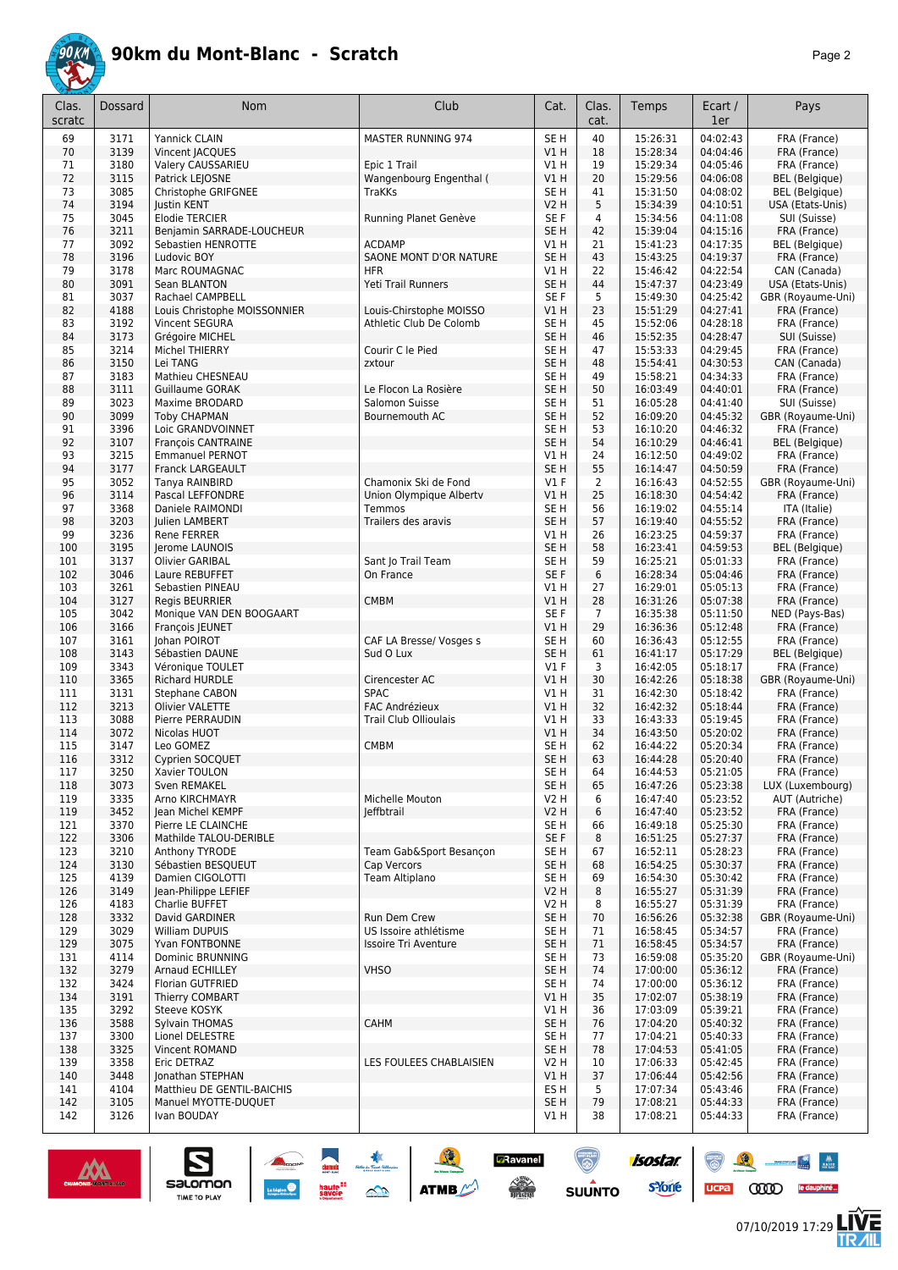

|--|--|

| Clas.<br>scratc | Dossard      | Nom                                                | Club                              | Cat.                    | Clas.<br>cat.        | Temps                | Ecart /<br>1er       | Pays                           |
|-----------------|--------------|----------------------------------------------------|-----------------------------------|-------------------------|----------------------|----------------------|----------------------|--------------------------------|
| 69              | 3171         | Yannick CLAIN                                      | MASTER RUNNING 974                | SE <sub>H</sub>         | 40                   | 15:26:31             | 04:02:43             | FRA (France)                   |
| 70              | 3139         | Vincent JACQUES                                    |                                   | V1H                     | 18                   | 15:28:34             | 04:04:46             | FRA (France)                   |
| 71              | 3180         | Valery CAUSSARIEU                                  | Epic 1 Trail                      | V1 H                    | 19                   | 15:29:34             | 04:05:46             | FRA (France)                   |
| 72              | 3115         | Patrick LEJOSNE                                    | Wangenbourg Engenthal (           | V1H                     | 20                   | 15:29:56             | 04:06:08             | <b>BEL</b> (Belgique)          |
| 73              | 3085         | Christophe GRIFGNEE                                | <b>TraKKs</b>                     | SE H                    | 41                   | 15:31:50             | 04:08:02             | <b>BEL</b> (Belgique)          |
| 74              | 3194         | Justin KENT                                        |                                   | V2 H                    | 5                    | 15:34:39             | 04:10:51             | USA (Etats-Unis)               |
| 75<br>76        | 3045<br>3211 | <b>Elodie TERCIER</b><br>Benjamin SARRADE-LOUCHEUR | Running Planet Genève             | SE F<br>SE <sub>H</sub> | 4<br>42              | 15:34:56<br>15:39:04 | 04:11:08<br>04:15:16 | SUI (Suisse)<br>FRA (France)   |
| 77              | 3092         | Sebastien HENROTTE                                 | <b>ACDAMP</b>                     | $VI$ H                  | 21                   | 15:41:23             | 04:17:35             | BEL (Belgique)                 |
| 78              | 3196         | Ludovic BOY                                        | SAONE MONT D'OR NATURE            | SE <sub>H</sub>         | 43                   | 15:43:25             | 04:19:37             | FRA (France)                   |
| 79              | 3178         | Marc ROUMAGNAC                                     | <b>HFR</b>                        | $VI$ H                  | 22                   | 15:46:42             | 04:22:54             | CAN (Canada)                   |
| 80              | 3091         | Sean BLANTON                                       | Yeti Trail Runners                | SE <sub>H</sub>         | 44                   | 15:47:37             | 04:23:49             | USA (Etats-Unis)               |
| 81              | 3037         | Rachael CAMPBELL                                   |                                   | SE <sub>F</sub>         | 5                    | 15:49:30             | 04:25:42             | GBR (Royaume-Uni)              |
| 82              | 4188         | Louis Christophe MOISSONNIER                       | Louis-Chirstophe MOISSO           | VIH                     | 23                   | 15:51:29             | 04:27:41             | FRA (France)                   |
| 83              | 3192         | Vincent SEGURA                                     | Athletic Club De Colomb           | SE <sub>H</sub>         | 45                   | 15:52:06             | 04:28:18             | FRA (France)                   |
| 84<br>85        | 3173<br>3214 | Grégoire MICHEL<br>Michel THIERRY                  | Courir C le Pied                  | SE <sub>H</sub><br>SE H | 46<br>47             | 15:52:35<br>15:53:33 | 04:28:47<br>04:29:45 | SUI (Suisse)                   |
| 86              | 3150         | Lei TANG                                           | zxtour                            | SE <sub>H</sub>         | 48                   | 15:54:41             | 04:30:53             | FRA (France)<br>CAN (Canada)   |
| 87              | 3183         | Mathieu CHESNEAU                                   |                                   | SE H                    | 49                   | 15:58:21             | 04:34:33             | FRA (France)                   |
| 88              | 3111         | <b>Guillaume GORAK</b>                             | Le Flocon La Rosière              | SE <sub>H</sub>         | 50                   | 16:03:49             | 04:40:01             | FRA (France)                   |
| 89              | 3023         | Maxime BRODARD                                     | Salomon Suisse                    | SE H                    | 51                   | 16:05:28             | 04:41:40             | SUI (Suisse)                   |
| 90              | 3099         | <b>Toby CHAPMAN</b>                                | Bournemouth AC                    | SE <sub>H</sub>         | 52                   | 16:09:20             | 04:45:32             | GBR (Royaume-Uni)              |
| 91              | 3396         | Loic GRANDVOINNET                                  |                                   | SE <sub>H</sub>         | 53                   | 16:10:20             | 04:46:32             | FRA (France)                   |
| 92              | 3107         | François CANTRAINE                                 |                                   | SE <sub>H</sub>         | 54                   | 16:10:29             | 04:46:41             | <b>BEL</b> (Belgique)          |
| 93              | 3215         | <b>Emmanuel PERNOT</b>                             |                                   | V1H                     | 24                   | 16:12:50             | 04:49:02             | FRA (France)                   |
| 94              | 3177         | Franck LARGEAULT                                   |                                   | SE <sub>H</sub>         | 55                   | 16:14:47             | 04:50:59             | FRA (France)                   |
| 95<br>96        | 3052<br>3114 | Tanya RAINBIRD<br>Pascal LEFFONDRE                 | Chamonix Ski de Fond              | $VI$ F<br>VIH           | $\overline{2}$<br>25 | 16:16:43<br>16:18:30 | 04:52:55<br>04:54:42 | GBR (Royaume-Uni)              |
| 97              | 3368         | Daniele RAIMONDI                                   | Union Olympique Alberty<br>Temmos | SE <sub>H</sub>         | 56                   | 16:19:02             | 04:55:14             | FRA (France)<br>ITA (Italie)   |
| 98              | 3203         | Julien LAMBERT                                     | Trailers des aravis               | SE <sub>H</sub>         | 57                   | 16:19:40             | 04:55:52             | FRA (France)                   |
| 99              | 3236         | <b>Rene FERRER</b>                                 |                                   | V1 H                    | 26                   | 16:23:25             | 04:59:37             | FRA (France)                   |
| 100             | 3195         | Jerome LAUNOIS                                     |                                   | SE H                    | 58                   | 16:23:41             | 04:59:53             | <b>BEL</b> (Belgique)          |
| 101             | 3137         | Olivier GARIBAL                                    | Sant Jo Trail Team                | SE H                    | 59                   | 16:25:21             | 05:01:33             | FRA (France)                   |
| 102             | 3046         | Laure REBUFFET                                     | On France                         | SE F                    | 6                    | 16:28:34             | 05:04:46             | FRA (France)                   |
| 103             | 3261         | Sebastien PINEAU                                   |                                   | $VI$ H                  | 27                   | 16:29:01             | 05:05:13             | FRA (France)                   |
| 104             | 3127         | <b>Regis BEURRIER</b>                              | <b>CMBM</b>                       | VIH                     | 28                   | 16:31:26             | 05:07:38             | FRA (France)                   |
| 105<br>106      | 3042<br>3166 | Monique VAN DEN BOOGAART<br>François JEUNET        |                                   | SE F<br>VIH             | $\overline{7}$<br>29 | 16:35:38<br>16:36:36 | 05:11:50<br>05:12:48 | NED (Pays-Bas)<br>FRA (France) |
| 107             | 3161         | Johan POIROT                                       | CAF LA Bresse/ Vosges s           | SE <sub>H</sub>         | 60                   | 16:36:43             | 05:12:55             | FRA (France)                   |
| 108             | 3143         | Sébastien DAUNE                                    | Sud O Lux                         | SE <sub>H</sub>         | 61                   | 16:41:17             | 05:17:29             | <b>BEL</b> (Belgique)          |
| 109             | 3343         | Véronique TOULET                                   |                                   | $VI$ F                  | 3                    | 16:42:05             | 05:18:17             | FRA (France)                   |
| 110             | 3365         | Richard HURDLE                                     | Cirencester AC                    | VIH                     | 30                   | 16:42:26             | 05:18:38             | GBR (Royaume-Uni)              |
| 111             | 3131         | Stephane CABON                                     | <b>SPAC</b>                       | V1 H                    | 31                   | 16:42:30             | 05:18:42             | FRA (France)                   |
| 112             | 3213         | Olivier VALETTE                                    | <b>FAC Andrézieux</b>             | V1H                     | 32                   | 16:42:32             | 05:18:44             | FRA (France)                   |
| 113             | 3088         | Pierre PERRAUDIN                                   | <b>Trail Club Ollioulais</b>      | V1 H                    | 33                   | 16:43:33             | 05:19:45             | FRA (France)                   |
| 114             | 3072<br>3147 | Nicolas HUOT<br>Leo GOMEZ                          |                                   | V1H<br>SE <sub>H</sub>  | 34<br>62             | 16:43:50<br>16:44:22 | 05:20:02<br>05:20:34 | FRA (France)                   |
| 115<br>116      | 3312         | Cyprien SOCQUET                                    | <b>CMBM</b>                       | SE <sub>H</sub>         | 63                   | 16:44:28             | 05:20:40             | FRA (France)<br>FRA (France)   |
| 117             | 3250         | Xavier TOULON                                      |                                   | SE H                    | 64                   | 16:44:53             | 05:21:05             | FRA (France)                   |
| 118             | 3073         | Sven REMAKEL                                       |                                   | SE <sub>H</sub>         | 65                   | 16:47:26             | 05:23:38             | LUX (Luxembourg)               |
| 119             | 3335         | Arno KIRCHMAYR                                     | Michelle Mouton                   | V2 H                    | 6                    | 16:47:40             | 05:23:52             | AUT (Autriche)                 |
| 119             | 3452         | Jean Michel KEMPF                                  | leffbtrail                        | V2 H                    | 6                    | 16:47:40             | 05:23:52             | FRA (France)                   |
| 121             | 3370         | Pierre LE CLAINCHE                                 |                                   | SE H                    | 66                   | 16:49:18             | 05:25:30             | FRA (France)                   |
| 122             | 3306         | Mathilde TALOU-DERIBLE                             |                                   | SE F                    | 8                    | 16:51:25             | 05:27:37             | FRA (France)                   |
| 123             | 3210         | Anthony TYRODE                                     | Team Gab&Sport Besançon           | SE H                    | 67                   | 16:52:11             | 05:28:23             | FRA (France)                   |
| 124<br>125      | 3130<br>4139 | Sébastien BESQUEUT<br>Damien CIGOLOTTI             | Cap Vercors<br>Team Altiplano     | SE <sub>H</sub><br>SE H | 68<br>69             | 16:54:25<br>16:54:30 | 05:30:37<br>05:30:42 | FRA (France)<br>FRA (France)   |
| 126             | 3149         | Jean-Philippe LEFIEF                               |                                   | <b>V2 H</b>             | 8                    | 16:55:27             | 05:31:39             | FRA (France)                   |
| 126             | 4183         | Charlie BUFFET                                     |                                   | V2 H                    | 8                    | 16:55:27             | 05:31:39             | FRA (France)                   |
| 128             | 3332         | David GARDINER                                     | Run Dem Crew                      | SE <sub>H</sub>         | 70                   | 16:56:26             | 05:32:38             | GBR (Royaume-Uni)              |
| 129             | 3029         | William DUPUIS                                     | US Issoire athlétisme             | SE H                    | 71                   | 16:58:45             | 05:34:57             | FRA (France)                   |
| 129             | 3075         | Yvan FONTBONNE                                     | <b>Issoire Tri Aventure</b>       | SE <sub>H</sub>         | 71                   | 16:58:45             | 05:34:57             | FRA (France)                   |
| 131             | 4114         | Dominic BRUNNING                                   |                                   | SE H                    | 73                   | 16:59:08             | 05:35:20             | GBR (Royaume-Uni)              |
| 132             | 3279         | Arnaud ECHILLEY                                    | <b>VHSO</b>                       | SE <sub>H</sub>         | 74                   | 17:00:00             | 05:36:12             | FRA (France)                   |
| 132             | 3424         | Florian GUTFRIED                                   |                                   | SE H                    | 74                   | 17:00:00             | 05:36:12             | FRA (France)                   |
| 134<br>135      | 3191<br>3292 | Thierry COMBART<br>Steeve KOSYK                    |                                   | VIH<br>V1 H             | 35<br>36             | 17:02:07<br>17:03:09 | 05:38:19<br>05:39:21 | FRA (France)<br>FRA (France)   |
| 136             | 3588         | Sylvain THOMAS                                     | CAHM                              | SE <sub>H</sub>         | 76                   | 17:04:20             | 05:40:32             | FRA (France)                   |
| 137             | 3300         | Lionel DELESTRE                                    |                                   | SE H                    | 77                   | 17:04:21             | 05:40:33             | FRA (France)                   |
| 138             | 3325         | Vincent ROMAND                                     |                                   | SE <sub>H</sub>         | 78                   | 17:04:53             | 05:41:05             | FRA (France)                   |
| 139             | 3358         | Eric DETRAZ                                        | LES FOULEES CHABLAISIEN           | <b>V2 H</b>             | 10                   | 17:06:33             | 05:42:45             | FRA (France)                   |
| 140             | 3448         | Jonathan STEPHAN                                   |                                   | V1H                     | 37                   | 17:06:44             | 05:42:56             | FRA (France)                   |
| 141             | 4104         | Matthieu DE GENTIL-BAICHIS                         |                                   | ES H                    | 5                    | 17:07:34             | 05:43:46             | FRA (France)                   |
| 142             | 3105         | Manuel MYOTTE-DUQUET                               |                                   | SE <sub>H</sub>         | 79                   | 17:08:21             | 05:44:33             | FRA (France)                   |
| 142             | 3126         | Ivan BOUDAY                                        |                                   | V1 H                    | 38                   | 17:08:21             | 05:44:33             | FRA (France)                   |

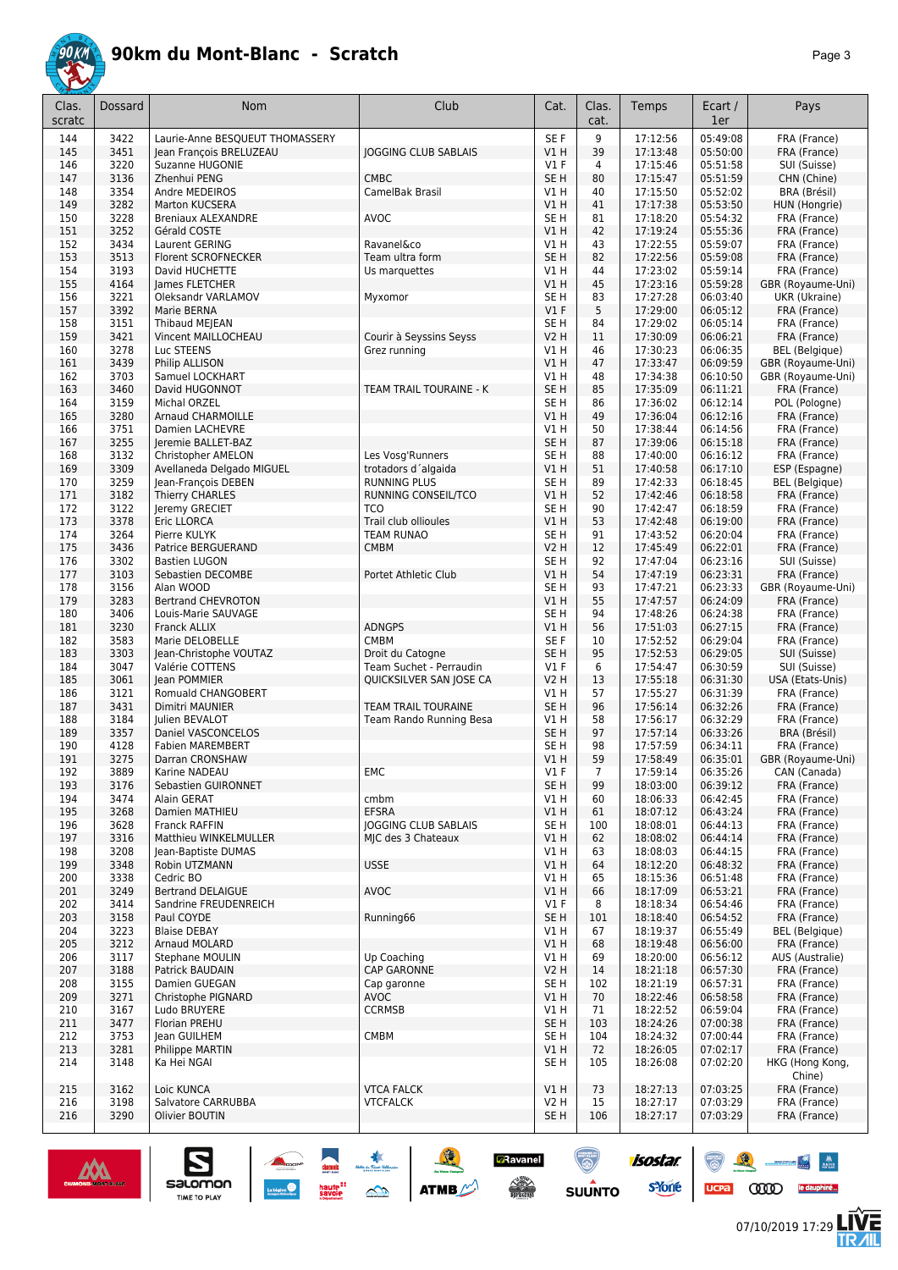

|--|--|

| Clas.<br>scratc | Dossard      | Nom                                       | Club                        | Cat.                    | Clas.<br>cat.  | Temps                | Ecart /<br>1er       | Pays                             |
|-----------------|--------------|-------------------------------------------|-----------------------------|-------------------------|----------------|----------------------|----------------------|----------------------------------|
| 144             | 3422         | Laurie-Anne BESQUEUT THOMASSERY           |                             | SE <sub>F</sub>         | 9              | 17:12:56             | 05:49:08             | FRA (France)                     |
| 145             | 3451         | Jean François BRELUZEAU                   | <b>JOGGING CLUB SABLAIS</b> | VIH                     | 39             | 17:13:48             | 05:50:00             | FRA (France)                     |
| 146             | 3220         | Suzanne HUGONIE                           |                             | V1F                     | $\overline{4}$ | 17:15:46             | 05:51:58             | SUI (Suisse)                     |
| 147             | 3136         | Zhenhui PENG                              | <b>CMBC</b>                 | SE <sub>H</sub>         | 80             | 17:15:47             | 05:51:59             | CHN (Chine)                      |
| 148<br>149      | 3354<br>3282 | Andre MEDEIROS<br>Marton KUCSERA          | CamelBak Brasil             | V1 H<br>V1H             | 40<br>41       | 17:15:50<br>17:17:38 | 05:52:02<br>05:53:50 | BRA (Brésil)<br>HUN (Hongrie)    |
| 150             | 3228         | <b>Breniaux ALEXANDRE</b>                 | AVOC                        | SE <sub>H</sub>         | 81             | 17:18:20             | 05:54:32             | FRA (France)                     |
| 151             | 3252         | Gérald COSTE                              |                             | V1 H                    | 42             | 17:19:24             | 05:55:36             | FRA (France)                     |
| 152             | 3434         | Laurent GERING                            | Ravanel&co                  | V1H                     | 43             | 17:22:55             | 05:59:07             | FRA (France)                     |
| 153             | 3513         | Florent SCROFNECKER                       | Team ultra form             | SE <sub>H</sub>         | 82             | 17:22:56             | 05:59:08             | FRA (France)                     |
| 154             | 3193         | David HUCHETTE                            | Us marquettes               | V1 H                    | 44             | 17:23:02             | 05:59:14             | FRA (France)                     |
| 155             | 4164         | James FLETCHER                            |                             | V1H                     | 45             | 17:23:16             | 05:59:28             | GBR (Royaume-Uni)                |
| 156             | 3221         | Oleksandr VARLAMOV                        | Myxomor                     | SE <sub>H</sub>         | 83             | 17:27:28             | 06:03:40             | UKR (Ukraine)                    |
| 157<br>158      | 3392<br>3151 | Marie BERNA<br>Thibaud MEJEAN             |                             | V1F<br>SE <sub>H</sub>  | 5<br>84        | 17:29:00<br>17:29:02 | 06:05:12<br>06:05:14 | FRA (France)<br>FRA (France)     |
| 159             | 3421         | Vincent MAILLOCHEAU                       | Courir à Seyssins Seyss     | <b>V2 H</b>             | 11             | 17:30:09             | 06:06:21             | FRA (France)                     |
| 160             | 3278         | Luc STEENS                                | Grez running                | V1 H                    | 46             | 17:30:23             | 06:06:35             | <b>BEL</b> (Belgique)            |
| 161             | 3439         | Philip ALLISON                            |                             | VIH                     | 47             | 17:33:47             | 06:09:59             | GBR (Royaume-Uni)                |
| 162             | 3703         | Samuel LOCKHART                           |                             | V1 H                    | 48             | 17:34:38             | 06:10:50             | GBR (Royaume-Uni)                |
| 163             | 3460         | David HUGONNOT                            | TEAM TRAIL TOURAINE - K     | SE <sub>H</sub>         | 85             | 17:35:09             | 06:11:21             | FRA (France)                     |
| 164             | 3159         | Michal ORZEL                              |                             | SE <sub>H</sub>         | 86             | 17:36:02             | 06:12:14             | POL (Pologne)                    |
| 165             | 3280         | <b>Arnaud CHARMOILLE</b>                  |                             | VIH                     | 49             | 17:36:04             | 06:12:16             | FRA (France)                     |
| 166<br>167      | 3751<br>3255 | Damien LACHEVRE                           |                             | V1 H<br>SE <sub>H</sub> | 50<br>87       | 17:38:44<br>17:39:06 | 06:14:56<br>06:15:18 | FRA (France)<br>FRA (France)     |
| 168             | 3132         | Jeremie BALLET-BAZ<br>Christopher AMELON  | Les Vosg'Runners            | SE <sub>H</sub>         | 88             | 17:40:00             | 06:16:12             | FRA (France)                     |
| 169             | 3309         | Avellaneda Delgado MIGUEL                 | trotadors d'algaida         | V1H                     | 51             | 17:40:58             | 06:17:10             | ESP (Espagne)                    |
| 170             | 3259         | Jean-François DEBEN                       | <b>RUNNING PLUS</b>         | SE <sub>H</sub>         | 89             | 17:42:33             | 06:18:45             | <b>BEL</b> (Belgique)            |
| 171             | 3182         | Thierry CHARLES                           | RUNNING CONSEIL/TCO         | V1H                     | 52             | 17:42:46             | 06:18:58             | FRA (France)                     |
| 172             | 3122         | Jeremy GRECIET                            | <b>TCO</b>                  | SE <sub>H</sub>         | 90             | 17:42:47             | 06:18:59             | FRA (France)                     |
| 173             | 3378         | Eric LLORCA                               | Trail club ollioules        | V1H                     | 53             | 17:42:48             | 06:19:00             | FRA (France)                     |
| 174             | 3264         | Pierre KULYK                              | <b>TEAM RUNAO</b>           | SE <sub>H</sub>         | 91             | 17:43:52             | 06:20:04             | FRA (France)                     |
| 175             | 3436         | Patrice BERGUERAND                        | <b>CMBM</b>                 | <b>V2 H</b>             | 12<br>92       | 17:45:49             | 06:22:01             | FRA (France)                     |
| 176<br>177      | 3302<br>3103 | <b>Bastien LUGON</b><br>Sebastien DECOMBE | Portet Athletic Club        | SE <sub>H</sub><br>VIH  | 54             | 17:47:04<br>17:47:19 | 06:23:16<br>06:23:31 | SUI (Suisse)<br>FRA (France)     |
| 178             | 3156         | Alan WOOD                                 |                             | SE <sub>H</sub>         | 93             | 17:47:21             | 06:23:33             | GBR (Royaume-Uni)                |
| 179             | 3283         | <b>Bertrand CHEVROTON</b>                 |                             | V1H                     | 55             | 17:47:57             | 06:24:09             | FRA (France)                     |
| 180             | 3406         | Louis-Marie SAUVAGE                       |                             | SE <sub>H</sub>         | 94             | 17:48:26             | 06:24:38             | FRA (France)                     |
| 181             | 3230         | Franck ALLIX                              | <b>ADNGPS</b>               | V1H                     | 56             | 17:51:03             | 06:27:15             | FRA (France)                     |
| 182             | 3583         | Marie DELOBELLE                           | <b>CMBM</b>                 | SE <sub>F</sub>         | 10             | 17:52:52             | 06:29:04             | FRA (France)                     |
| 183             | 3303         | Jean-Christophe VOUTAZ                    | Droit du Catogne            | SE <sub>H</sub>         | 95             | 17:52:53             | 06:29:05             | SUI (Suisse)                     |
| 184<br>185      | 3047<br>3061 | Valérie COTTENS<br>lean POMMIER           | Team Suchet - Perraudin     | V1F<br><b>V2 H</b>      | 6<br>13        | 17:54:47<br>17:55:18 | 06:30:59<br>06:31:30 | SUI (Suisse)<br>USA (Etats-Unis) |
| 186             | 3121         | Romuald CHANGOBERT                        | QUICKSILVER SAN JOSE CA     | V1 H                    | 57             | 17:55:27             | 06:31:39             | FRA (France)                     |
| 187             | 3431         | Dimitri MAUNIER                           | TEAM TRAIL TOURAINE         | SE <sub>H</sub>         | 96             | 17:56:14             | 06:32:26             | FRA (France)                     |
| 188             | 3184         | Julien BEVALOT                            | Team Rando Running Besa     | V1 H                    | 58             | 17:56:17             | 06:32:29             | FRA (France)                     |
| 189             | 3357         | Daniel VASCONCELOS                        |                             | SE <sub>H</sub>         | 97             | 17:57:14             | 06:33:26             | BRA (Brésil)                     |
| 190             | 4128         | <b>Fabien MAREMBERT</b>                   |                             | SE H                    | 98             | 17:57:59             | 06:34:11             | FRA (France)                     |
| 191             | 3275         | Darran CRONSHAW                           |                             | VIH                     | 59             | 17:58:49             | 06:35:01             | GBR (Royaume-Uni)                |
| 192             | 3889         | Karine NADEAU                             | EMC                         | V1 F<br>SE <sub>H</sub> | 7<br>99        | 17:59:14             | 06:35:26<br>06:39:12 | CAN (Canada)<br>FRA (France)     |
| 193<br>194      | 3176<br>3474 | Sebastien GUIRONNET<br>Alain GERAT        | cmbm                        | V1H                     | 60             | 18:03:00<br>18:06:33 | 06:42:45             | FRA (France)                     |
| 195             | 3268         | Damien MATHIEU                            | <b>EFSRA</b>                | VIH                     | 61             | 18:07:12             | 06:43:24             | FRA (France)                     |
| 196             | 3628         | Franck RAFFIN                             | <b>JOGGING CLUB SABLAIS</b> | SE <sub>H</sub>         | 100            | 18:08:01             | 06:44:13             | FRA (France)                     |
| 197             | 3316         | Matthieu WINKELMULLER                     | MJC des 3 Chateaux          | V1 H                    | 62             | 18:08:02             | 06:44:14             | FRA (France)                     |
| 198             | 3208         | Jean-Baptiste DUMAS                       |                             | V1 H                    | 63             | 18:08:03             | 06:44:15             | FRA (France)                     |
| 199             | 3348         | Robin UTZMANN                             | <b>USSE</b>                 | V1 H                    | 64             | 18:12:20             | 06:48:32             | FRA (France)                     |
| 200<br>201      | 3338<br>3249 | Cedric BO<br><b>Bertrand DELAIGUE</b>     | <b>AVOC</b>                 | V1H<br>V1 H             | 65<br>66       | 18:15:36<br>18:17:09 | 06:51:48<br>06:53:21 | FRA (France)<br>FRA (France)     |
| 202             | 3414         | Sandrine FREUDENREICH                     |                             | $VI$ F                  | 8              | 18:18:34             | 06:54:46             | FRA (France)                     |
| 203             | 3158         | Paul COYDE                                | Running66                   | SE <sub>H</sub>         | 101            | 18:18:40             | 06:54:52             | FRA (France)                     |
| 204             | 3223         | <b>Blaise DEBAY</b>                       |                             | V1 H                    | 67             | 18:19:37             | 06:55:49             | <b>BEL</b> (Belgique)            |
| 205             | 3212         | Arnaud MOLARD                             |                             | V1H                     | 68             | 18:19:48             | 06:56:00             | FRA (France)                     |
| 206             | 3117         | <b>Stephane MOULIN</b>                    | Up Coaching                 | V1 H                    | 69             | 18:20:00             | 06:56:12             | AUS (Australie)                  |
| 207             | 3188         | Patrick BAUDAIN                           | <b>CAP GARONNE</b>          | <b>V2 H</b>             | 14             | 18:21:18             | 06:57:30             | FRA (France)                     |
| 208             | 3155         | Damien GUEGAN                             | Cap garonne                 | SE <sub>H</sub>         | 102            | 18:21:19             | 06:57:31             | FRA (France)                     |
| 209             | 3271         | Christophe PIGNARD                        | AVOC<br><b>CCRMSB</b>       | V1 H                    | 70             | 18:22:46             | 06:58:58             | FRA (France)                     |
| 210<br>211      | 3167<br>3477 | Ludo BRUYERE<br>Florian PREHU             |                             | V1 H<br>SE <sub>H</sub> | 71<br>103      | 18:22:52<br>18:24:26 | 06:59:04<br>07:00:38 | FRA (France)<br>FRA (France)     |
| 212             | 3753         | lean GUILHEM                              | CMBM                        | SE <sub>H</sub>         | 104            | 18:24:32             | 07:00:44             | FRA (France)                     |
| 213             | 3281         | Philippe MARTIN                           |                             | V1 H                    | 72             | 18:26:05             | 07:02:17             | FRA (France)                     |
| 214             | 3148         | Ka Hei NGAI                               |                             | SE H                    | 105            | 18:26:08             | 07:02:20             | HKG (Hong Kong,<br>Chine)        |
| 215             | 3162         | Loic KUNCA                                | <b>VTCA FALCK</b>           | V1 H                    | 73             | 18:27:13             | 07:03:25             | FRA (France)                     |
| 216             | 3198         | Salvatore CARRUBBA                        | <b>VTCFALCK</b>             | <b>V2 H</b>             | 15             | 18:27:17             | 07:03:29             | FRA (France)                     |
| 216             | 3290         | Olivier BOUTIN                            |                             | SE <sub>H</sub>         | 106            | 18:27:17             | 07:03:29             | FRA (France)                     |
|                 |              |                                           |                             |                         |                |                      |                      |                                  |



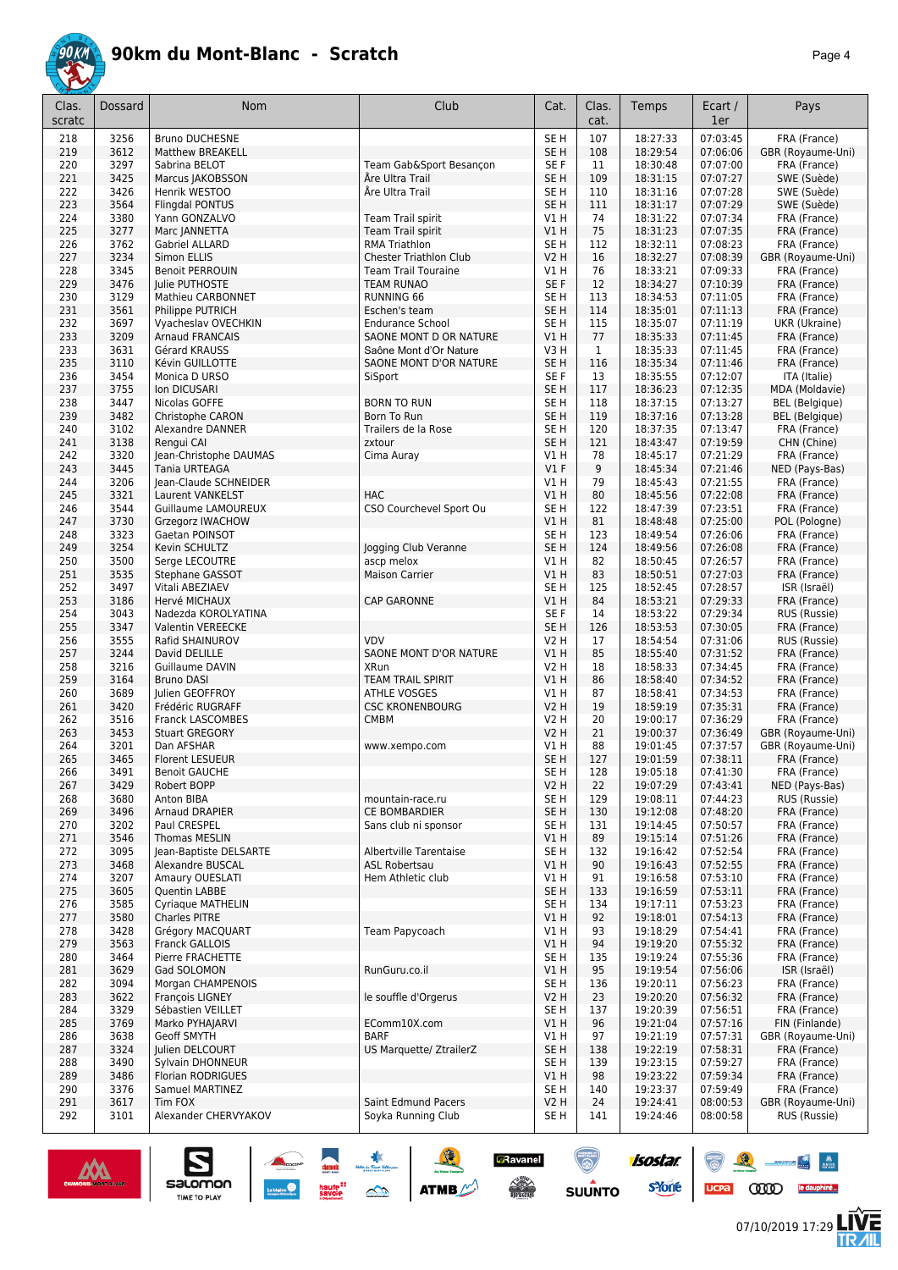

|--|--|

| Clas.<br>scratc | Dossard      | Nom                                            | Club                                      | Cat.                    | Clas.<br>cat. | Temps                | Ecart /<br>1er       | Pays                              |
|-----------------|--------------|------------------------------------------------|-------------------------------------------|-------------------------|---------------|----------------------|----------------------|-----------------------------------|
| 218             | 3256         | <b>Bruno DUCHESNE</b>                          |                                           | SE <sub>H</sub>         | 107           | 18:27:33             | 07:03:45             | FRA (France)                      |
| 219             | 3612         | <b>Matthew BREAKELL</b>                        |                                           | SE <sub>H</sub>         | 108           | 18:29:54             | 07:06:06             | GBR (Royaume-Uni)                 |
| 220             | 3297         | Sabrina BELOT                                  | Team Gab&Sport Besançon                   | SE F                    | 11            | 18:30:48             | 07:07:00             | FRA (France)                      |
| 221             | 3425         | Marcus JAKOBSSON                               | Åre Ultra Trail                           | SE <sub>H</sub>         | 109           | 18:31:15             | 07:07:27             | SWE (Suède)                       |
| 222             | 3426         | Henrik WESTOO                                  | Åre Ultra Trail                           | SE <sub>H</sub>         | 110           | 18:31:16             | 07:07:28             | SWE (Suède)                       |
| 223             | 3564         | <b>Flingdal PONTUS</b>                         |                                           | SE <sub>H</sub>         | 111           | 18:31:17             | 07:07:29             | SWE (Suède)                       |
| 224<br>225      | 3380<br>3277 | Yann GONZALVO                                  | Team Trail spirit                         | V1H<br>VIH              | 74<br>75      | 18:31:22<br>18:31:23 | 07:07:34<br>07:07:35 | FRA (France)                      |
| 226             | 3762         | Marc JANNETTA<br>Gabriel ALLARD                | Team Trail spirit<br><b>RMA Triathlon</b> | SE H                    | 112           | 18:32:11             | 07:08:23             | FRA (France)<br>FRA (France)      |
| 227             | 3234         | Simon ELLIS                                    | <b>Chester Triathlon Club</b>             | <b>V2 H</b>             | 16            | 18:32:27             | 07:08:39             | GBR (Royaume-Uni)                 |
| 228             | 3345         | <b>Benoit PERROUIN</b>                         | <b>Team Trail Touraine</b>                | V1H                     | 76            | 18:33:21             | 07:09:33             | FRA (France)                      |
| 229             | 3476         | Julie PUTHOSTE                                 | <b>TEAM RUNAO</b>                         | SE F                    | 12            | 18:34:27             | 07:10:39             | FRA (France)                      |
| 230             | 3129         | Mathieu CARBONNET                              | <b>RUNNING 66</b>                         | SE <sub>H</sub>         | 113           | 18:34:53             | 07:11:05             | FRA (France)                      |
| 231             | 3561         | Philippe PUTRICH                               | Eschen's team                             | SE <sub>H</sub>         | 114           | 18:35:01             | 07:11:13             | FRA (France)                      |
| 232             | 3697         | Vyacheslav OVECHKIN                            | <b>Endurance School</b>                   | SE H                    | 115           | 18:35:07             | 07:11:19             | UKR (Ukraine)                     |
| 233             | 3209         | <b>Arnaud FRANCAIS</b>                         | SAONE MONT D OR NATURE                    | VIH                     | 77            | 18:35:33             | 07:11:45             | FRA (France)                      |
| 233             | 3631         | Gérard KRAUSS                                  | Saône Mont d'Or Nature                    | V3H                     | $\mathbf{1}$  | 18:35:33             | 07:11:45             | FRA (France)                      |
| 235             | 3110         | Kévin GUILLOTTE                                | SAONE MONT D'OR NATURE                    | SE <sub>H</sub>         | 116           | 18:35:34             | 07:11:46             | FRA (France)                      |
| 236             | 3454         | Monica D URSO                                  | SiSport                                   | SE F                    | 13            | 18:35:55             | 07:12:07             | ITA (Italie)                      |
| 237             | 3755         | Ion DICUSARI                                   |                                           | SE <sub>H</sub>         | 117           | 18:36:23             | 07:12:35             | MDA (Moldavie)                    |
| 238             | 3447         | Nicolas GOFFE                                  | <b>BORN TO RUN</b>                        | SE H                    | 118           | 18:37:15             | 07:13:27             | <b>BEL</b> (Belgique)             |
| 239             | 3482         | Christophe CARON                               | Born To Run                               | SE <sub>H</sub>         | 119           | 18:37:16             | 07:13:28             | <b>BEL</b> (Belgique)             |
| 240             | 3102<br>3138 | Alexandre DANNER                               | Trailers de la Rose                       | SE <sub>H</sub>         | 120           | 18:37:35<br>18:43:47 | 07:13:47<br>07:19:59 | FRA (France)<br>CHN (Chine)       |
| 241<br>242      | 3320         | Rengui CAI                                     | zxtour                                    | SE <sub>H</sub><br>V1 H | 121<br>78     | 18:45:17             | 07:21:29             |                                   |
| 243             | 3445         | Jean-Christophe DAUMAS<br><b>Tania URTEAGA</b> | Cima Auray                                | $VI$ F                  | 9             | 18:45:34             | 07:21:46             | FRA (France)<br>NED (Pays-Bas)    |
| 244             | 3206         | Jean-Claude SCHNEIDER                          |                                           | V1 H                    | 79            | 18:45:43             | 07:21:55             | FRA (France)                      |
| 245             | 3321         | Laurent VANKELST                               | <b>HAC</b>                                | VIH                     | 80            | 18:45:56             | 07:22:08             | FRA (France)                      |
| 246             | 3544         | Guillaume LAMOUREUX                            | CSO Courchevel Sport Ou                   | SE <sub>H</sub>         | 122           | 18:47:39             | 07:23:51             | FRA (France)                      |
| 247             | 3730         | <b>Grzegorz IWACHOW</b>                        |                                           | V1H                     | 81            | 18:48:48             | 07:25:00             | POL (Pologne)                     |
| 248             | 3323         | Gaetan POINSOT                                 |                                           | SE <sub>H</sub>         | 123           | 18:49:54             | 07:26:06             | FRA (France)                      |
| 249             | 3254         | Kevin SCHULTZ                                  | Jogging Club Veranne                      | SE <sub>H</sub>         | 124           | 18:49:56             | 07:26:08             | FRA (France)                      |
| 250             | 3500         | Serge LECOUTRE                                 | ascp melox                                | V1H                     | 82            | 18:50:45             | 07:26:57             | FRA (France)                      |
| 251             | 3535         | Stephane GASSOT                                | <b>Maison Carrier</b>                     | VIH                     | 83            | 18:50:51             | 07:27:03             | FRA (France)                      |
| 252             | 3497         | Vitali ABEZIAEV                                |                                           | SE <sub>H</sub>         | 125           | 18:52:45             | 07:28:57             | ISR (Israël)                      |
| 253             | 3186         | Hervé MICHAUX                                  | <b>CAP GARONNE</b>                        | VIH                     | 84            | 18:53:21             | 07:29:33             | FRA (France)                      |
| 254             | 3043         | Nadezda KOROLYATINA                            |                                           | SE F                    | 14            | 18:53:22             | 07:29:34             | RUS (Russie)                      |
| 255             | 3347         | Valentin VEREECKE                              |                                           | SE H                    | 126           | 18:53:53             | 07:30:05             | FRA (France)                      |
| 256             | 3555         | Rafid SHAINUROV                                | <b>VDV</b>                                | V2 H                    | 17            | 18:54:54             | 07:31:06             | RUS (Russie)                      |
| 257             | 3244<br>3216 | David DELILLE                                  | SAONE MONT D'OR NATURE<br>XRun            | VIH                     | 85<br>18      | 18:55:40<br>18:58:33 | 07:31:52<br>07:34:45 | FRA (France)                      |
| 258<br>259      | 3164         | Guillaume DAVIN<br><b>Bruno DASI</b>           | <b>TEAM TRAIL SPIRIT</b>                  | V2 H<br>V1H             | 86            | 18:58:40             | 07:34:52             | FRA (France)<br>FRA (France)      |
| 260             | 3689         | Julien GEOFFROY                                | <b>ATHLE VOSGES</b>                       | V1H                     | 87            | 18:58:41             | 07:34:53             | FRA (France)                      |
| 261             | 3420         | Frédéric RUGRAFF                               | <b>CSC KRONENBOURG</b>                    | <b>V2 H</b>             | 19            | 18:59:19             | 07:35:31             | FRA (France)                      |
| 262             | 3516         | <b>Franck LASCOMBES</b>                        | CMBM                                      | <b>V2 H</b>             | 20            | 19:00:17             | 07:36:29             | FRA (France)                      |
| 263             | 3453         | <b>Stuart GREGORY</b>                          |                                           | V2 H                    | 21            | 19:00:37             | 07:36:49             | GBR (Royaume-Uni)                 |
| 264             | 3201         | Dan AFSHAR                                     | www.xempo.com                             | V1 H                    | 88            | 19:01:45             | 07:37:57             | GBR (Royaume-Uni)                 |
| 265             | 3465         | <b>Florent LESUEUR</b>                         |                                           | SE <sub>H</sub>         | 127           | 19:01:59             | 07:38:11             | FRA (France)                      |
| 266             | 3491         | <b>Benoit GAUCHE</b>                           |                                           | SE H                    | 128           | 19:05:18             | 07:41:30             | FRA (France)                      |
| 267             | 3429         | Robert BOPP                                    |                                           | <b>V2 H</b>             | 22            | 19:07:29             | 07:43:41             | NED (Pays-Bas)                    |
| 268             | 3680         | Anton BIBA                                     | mountain-race.ru                          | SE H                    | 129           | 19:08:11             | 07:44:23             | RUS (Russie)                      |
| 269             | 3496         | Arnaud DRAPIER                                 | CE BOMBARDIER                             | SE H                    | 130           | 19:12:08             | 07:48:20             | FRA (France)                      |
| 270             | 3202         | Paul CRESPEL                                   | Sans club ni sponsor                      | SE H                    | 131           | 19:14:45<br>19:15:14 | 07:50:57             | FRA (France)                      |
| 271<br>272      | 3546<br>3095 | <b>Thomas MESLIN</b><br>Jean-Baptiste DELSARTE | Albertville Tarentaise                    | VIH<br>SE H             | 89<br>132     | 19:16:42             | 07:51:26<br>07:52:54 | FRA (France)<br>FRA (France)      |
| 273             | 3468         | Alexandre BUSCAL                               | <b>ASL Robertsau</b>                      | V1 H                    | 90            | 19:16:43             | 07:52:55             | FRA (France)                      |
| 274             | 3207         | Amaury OUESLATI                                | Hem Athletic club                         | V1 H                    | 91            | 19:16:58             | 07:53:10             | FRA (France)                      |
| 275             | 3605         | Quentin LABBE                                  |                                           | SE <sub>H</sub>         | 133           | 19:16:59             | 07:53:11             | FRA (France)                      |
| 276             | 3585         | Cyriaque MATHELIN                              |                                           | SE H                    | 134           | 19:17:11             | 07:53:23             | FRA (France)                      |
| 277             | 3580         | <b>Charles PITRE</b>                           |                                           | V1H                     | 92            | 19:18:01             | 07:54:13             | FRA (France)                      |
| 278             | 3428         | Grégory MACQUART                               | Team Papycoach                            | V1 H                    | 93            | 19:18:29             | 07:54:41             | FRA (France)                      |
| 279             | 3563         | Franck GALLOIS                                 |                                           | VIH                     | 94            | 19:19:20             | 07:55:32             | FRA (France)                      |
| 280             | 3464         | Pierre FRACHETTE                               |                                           | SE H                    | 135           | 19:19:24             | 07:55:36             | FRA (France)                      |
| 281             | 3629         | Gad SOLOMON                                    | RunGuru.co.il                             | V1H                     | 95            | 19:19:54             | 07:56:06             | ISR (Israël)                      |
| 282             | 3094         | Morgan CHAMPENOIS                              |                                           | SE H                    | 136           | 19:20:11             | 07:56:23             | FRA (France)                      |
| 283             | 3622         | François LIGNEY                                | le souffle d'Orgerus                      | <b>V2 H</b>             | 23            | 19:20:20             | 07:56:32             | FRA (France)                      |
| 284             | 3329         | Sébastien VEILLET                              |                                           | SE H                    | 137           | 19:20:39             | 07:56:51             | FRA (France)                      |
| 285             | 3769         | Marko PYHAJARVI                                | EComm10X.com                              | V1 H                    | 96            | 19:21:04             | 07:57:16             | FIN (Finlande)                    |
| 286<br>287      | 3638<br>3324 | <b>Geoff SMYTH</b><br>Julien DELCOURT          | <b>BARF</b><br>US Marquette/ ZtrailerZ    | V1 H<br>SE <sub>H</sub> | 97<br>138     | 19:21:19<br>19:22:19 | 07:57:31<br>07:58:31 | GBR (Royaume-Uni)<br>FRA (France) |
| 288             | 3490         | Sylvain DHONNEUR                               |                                           | SE H                    | 139           | 19:23:15             | 07:59:27             | FRA (France)                      |
| 289             | 3486         | <b>Florian RODRIGUES</b>                       |                                           | V1H                     | 98            | 19:23:22             | 07:59:34             | FRA (France)                      |
| 290             | 3376         | Samuel MARTINEZ                                |                                           | SE H                    | 140           | 19:23:37             | 07:59:49             | FRA (France)                      |
| 291             | 3617         | Tim FOX                                        | Saint Edmund Pacers                       | <b>V2 H</b>             | 24            | 19:24:41             | 08:00:53             | GBR (Royaume-Uni)                 |
| 292             | 3101         | Alexander CHERVYAKOV                           | Soyka Running Club                        | SE H                    | 141           | 19:24:46             | 08:00:58             | RUS (Russie)                      |



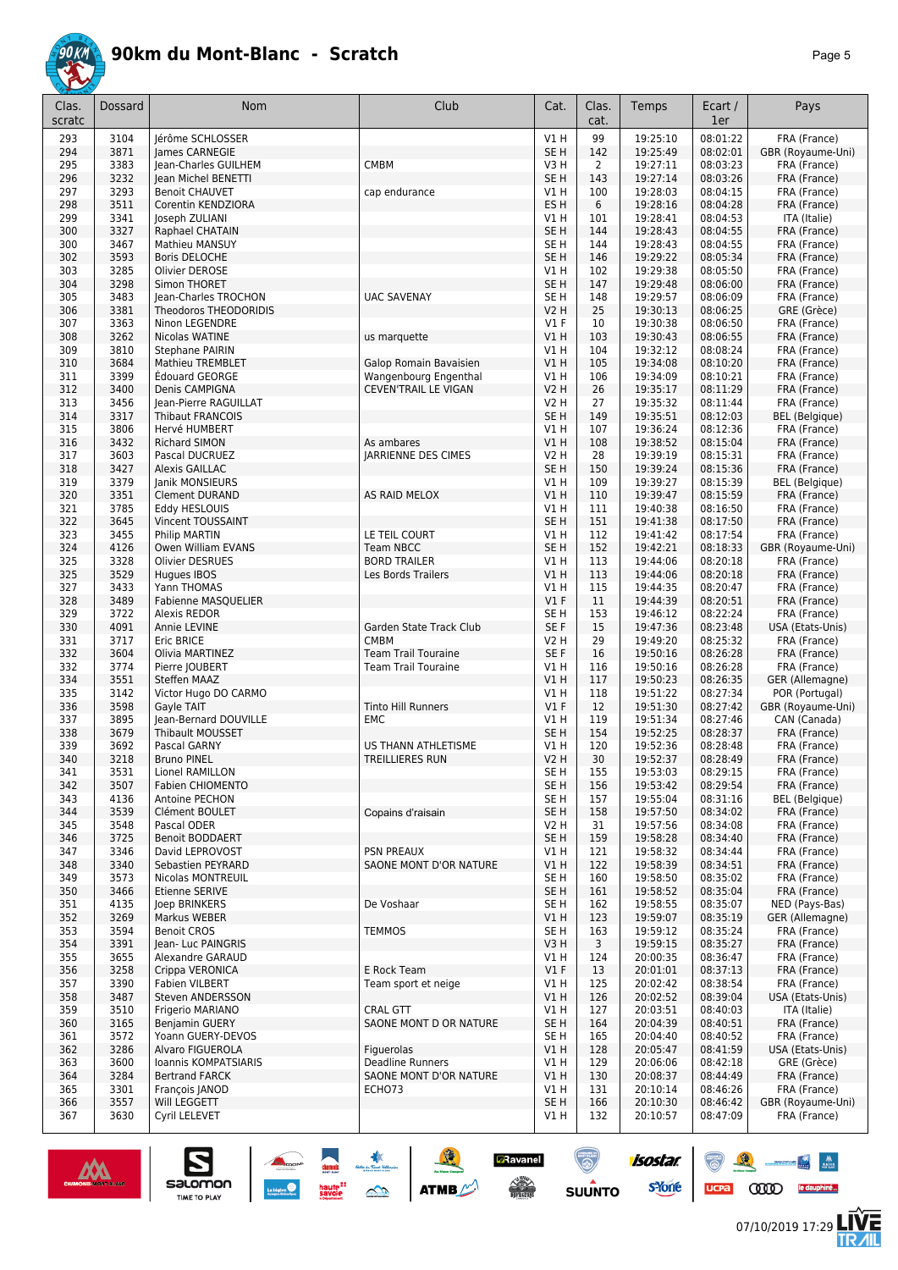

| Clas.      | Dossard      | <b>Nom</b>                                        | Club                                                     | Cat.                    | Clas.                 | Temps                | Ecart /              | Pays                         |
|------------|--------------|---------------------------------------------------|----------------------------------------------------------|-------------------------|-----------------------|----------------------|----------------------|------------------------------|
| scratc     |              |                                                   |                                                          |                         | cat.                  |                      | 1er                  |                              |
| 293        | 3104         | lérôme SCHLOSSER                                  |                                                          | V1H                     | 99                    | 19:25:10             | 08:01:22             | FRA (France)                 |
| 294        | 3871         | James CARNEGIE                                    |                                                          | SE <sub>H</sub>         | 142                   | 19:25:49             | 08:02:01             | GBR (Royaume-Uni)            |
| 295<br>296 | 3383<br>3232 | Jean-Charles GUILHEM<br>Jean Michel BENETTI       | <b>CMBM</b>                                              | V3H<br>SE <sub>H</sub>  | $\overline{2}$<br>143 | 19:27:11<br>19:27:14 | 08:03:23<br>08:03:26 | FRA (France)<br>FRA (France) |
| 297        | 3293         | <b>Benoit CHAUVET</b>                             | cap endurance                                            | V1H                     | 100                   | 19:28:03             | 08:04:15             | FRA (France)                 |
| 298        | 3511         | Corentin KENDZIORA                                |                                                          | ES <sub>H</sub>         | 6                     | 19:28:16             | 08:04:28             | FRA (France)                 |
| 299        | 3341         | Joseph ZULIANI                                    |                                                          | V1 H                    | 101                   | 19:28:41             | 08:04:53             | ITA (Italie)                 |
| 300        | 3327         | Raphael CHATAIN                                   |                                                          | SE <sub>H</sub>         | 144                   | 19:28:43             | 08:04:55             | FRA (France)                 |
| 300        | 3467         | Mathieu MANSUY                                    |                                                          | SE <sub>H</sub>         | 144                   | 19:28:43             | 08:04:55             | FRA (France)                 |
| 302<br>303 | 3593<br>3285 | <b>Boris DELOCHE</b><br>Olivier DEROSE            |                                                          | SE <sub>H</sub><br>V1 H | 146<br>102            | 19:29:22<br>19:29:38 | 08:05:34<br>08:05:50 | FRA (France)<br>FRA (France) |
| 304        | 3298         | Simon THORET                                      |                                                          | SE <sub>H</sub>         | 147                   | 19:29:48             | 08:06:00             | FRA (France)                 |
| 305        | 3483         | Jean-Charles TROCHON                              | <b>UAC SAVENAY</b>                                       | SE <sub>H</sub>         | 148                   | 19:29:57             | 08:06:09             | FRA (France)                 |
| 306        | 3381         | <b>Theodoros THEODORIDIS</b>                      |                                                          | <b>V2 H</b>             | 25                    | 19:30:13             | 08:06:25             | GRE (Grèce)                  |
| 307        | 3363         | Ninon LEGENDRE                                    |                                                          | $VI$ F                  | 10                    | 19:30:38             | 08:06:50             | FRA (France)                 |
| 308        | 3262         | Nicolas WATINE                                    | us marquette                                             | V1H                     | 103                   | 19:30:43             | 08:06:55             | FRA (France)                 |
| 309<br>310 | 3810<br>3684 | <b>Stephane PAIRIN</b><br><b>Mathieu TREMBLET</b> | Galop Romain Bavaisien                                   | V1 H<br>VIH             | 104<br>105            | 19:32:12<br>19:34:08 | 08:08:24<br>08:10:20 | FRA (France)<br>FRA (France) |
| 311        | 3399         | Édouard GEORGE                                    | Wangenbourg Engenthal                                    | V1 H                    | 106                   | 19:34:09             | 08:10:21             | FRA (France)                 |
| 312        | 3400         | Denis CAMPIGNA                                    | CEVEN'TRAIL LE VIGAN                                     | <b>V2 H</b>             | 26                    | 19:35:17             | 08:11:29             | FRA (France)                 |
| 313        | 3456         | Jean-Pierre RAGUILLAT                             |                                                          | V2 H                    | 27                    | 19:35:32             | 08:11:44             | FRA (France)                 |
| 314        | 3317         | <b>Thibaut FRANCOIS</b>                           |                                                          | SE <sub>H</sub>         | 149                   | 19:35:51             | 08:12:03             | <b>BEL</b> (Belgique)        |
| 315        | 3806         | Hervé HUMBERT                                     |                                                          | V1 H                    | 107                   | 19:36:24             | 08:12:36             | FRA (France)                 |
| 316        | 3432         | Richard SIMON                                     | As ambares                                               | VIH                     | 108                   | 19:38:52             | 08:15:04             | FRA (France)                 |
| 317<br>318 | 3603<br>3427 | Pascal DUCRUEZ<br><b>Alexis GAILLAC</b>           | <b>JARRIENNE DES CIMES</b>                               | V2 H<br>SE <sub>H</sub> | 28<br>150             | 19:39:19<br>19:39:24 | 08:15:31<br>08:15:36 | FRA (France)<br>FRA (France) |
| 319        | 3379         | Janik MONSIEURS                                   |                                                          | V1 H                    | 109                   | 19:39:27             | 08:15:39             | <b>BEL</b> (Belgique)        |
| 320        | 3351         | <b>Clement DURAND</b>                             | AS RAID MELOX                                            | VIH                     | 110                   | 19:39:47             | 08:15:59             | FRA (France)                 |
| 321        | 3785         | Eddy HESLOUIS                                     |                                                          | V1 H                    | 111                   | 19:40:38             | 08:16:50             | FRA (France)                 |
| 322        | 3645         | Vincent TOUSSAINT                                 |                                                          | SE <sub>H</sub>         | 151                   | 19:41:38             | 08:17:50             | FRA (France)                 |
| 323        | 3455         | Philip MARTIN                                     | LE TEIL COURT                                            | V1 H                    | 112                   | 19:41:42             | 08:17:54             | FRA (France)                 |
| 324        | 4126         | Owen William EVANS                                | <b>Team NBCC</b>                                         | SE <sub>H</sub>         | 152                   | 19:42:21             | 08:18:33             | GBR (Royaume-Uni)            |
| 325<br>325 | 3328<br>3529 | <b>Olivier DESRUES</b><br>Hugues IBOS             | <b>BORD TRAILER</b><br>Les Bords Trailers                | V1 H<br>VIH             | 113<br>113            | 19:44:06<br>19:44:06 | 08:20:18<br>08:20:18 | FRA (France)<br>FRA (France) |
| 327        | 3433         | Yann THOMAS                                       |                                                          | V1 H                    | 115                   | 19:44:35             | 08:20:47             | FRA (France)                 |
| 328        | 3489         | <b>Fabienne MASQUELIER</b>                        |                                                          | $VI$ F                  | 11                    | 19:44:39             | 08:20:51             | FRA (France)                 |
| 329        | 3722         | Alexis REDOR                                      |                                                          | SE H                    | 153                   | 19:46:12             | 08:22:24             | FRA (France)                 |
| 330        | 4091         | Annie LEVINE                                      | Garden State Track Club                                  | SE F                    | 15                    | 19:47:36             | 08:23:48             | USA (Etats-Unis)             |
| 331        | 3717         | <b>Eric BRICE</b>                                 | <b>CMBM</b>                                              | V2 H                    | 29                    | 19:49:20             | 08:25:32             | FRA (France)                 |
| 332<br>332 | 3604<br>3774 | Olivia MARTINEZ<br>Pierre JOUBERT                 | <b>Team Trail Touraine</b><br><b>Team Trail Touraine</b> | SE F<br>V1 H            | 16<br>116             | 19:50:16<br>19:50:16 | 08:26:28<br>08:26:28 | FRA (France)<br>FRA (France) |
| 334        | 3551         | Steffen MAAZ                                      |                                                          | VIH                     | 117                   | 19:50:23             | 08:26:35             | GER (Allemagne)              |
| 335        | 3142         | Victor Hugo DO CARMO                              |                                                          | V1 H                    | 118                   | 19:51:22             | 08:27:34             | POR (Portugal)               |
| 336        | 3598         | Gayle TAIT                                        | <b>Tinto Hill Runners</b>                                | $VI$ F                  | 12                    | 19:51:30             | 08:27:42             | GBR (Royaume-Uni)            |
| 337        | 3895         | Jean-Bernard DOUVILLE                             | EMC                                                      | V1 H                    | 119                   | 19:51:34             | 08:27:46             | CAN (Canada)                 |
| 338        | 3679         | <b>Thibault MOUSSET</b>                           |                                                          | SE <sub>H</sub>         | 154                   | 19:52:25             | 08:28:37             | FRA (France)                 |
| 339<br>340 | 3692<br>3218 | Pascal GARNY<br><b>Bruno PINEL</b>                | US THANN ATHLETISME<br>TREILLIERES RUN                   | V1 H<br><b>V2 H</b>     | 120<br>30             | 19:52:36<br>19:52:37 | 08:28:48<br>08:28:49 | FRA (France)<br>FRA (France) |
| 341        | 3531         | Lionel RAMILLON                                   |                                                          | SE H                    | 155                   | 19:53:03             | 08:29:15             | FRA (France)                 |
| 342        | 3507         | <b>Fabien CHIOMENTO</b>                           |                                                          | SE H                    | 156                   | 19:53:42             | 08:29:54             | FRA (France)                 |
| 343        | 4136         | Antoine PECHON                                    |                                                          | SE <sub>H</sub>         | 157                   | 19:55:04             | 08:31:16             | <b>BEL</b> (Belgique)        |
| 344        | 3539         | Clément BOULET                                    | Copains d'raisain                                        | SE <sub>H</sub>         | 158                   | 19:57:50             | 08:34:02             | FRA (France)                 |
| 345        | 3548         | Pascal ODER                                       |                                                          | V2 H                    | 31                    | 19:57:56             | 08:34:08             | FRA (France)                 |
| 346        | 3725         | <b>Benoit BODDAERT</b>                            |                                                          | SE <sub>H</sub>         | 159                   | 19:58:28             | 08:34:40             | FRA (France)                 |
| 347<br>348 | 3346<br>3340 | David LEPROVOST<br>Sebastien PEYRARD              | <b>PSN PREAUX</b><br>SAONE MONT D'OR NATURE              | V1 H<br>V1 H            | 121<br>122            | 19:58:32<br>19:58:39 | 08:34:44<br>08:34:51 | FRA (France)<br>FRA (France) |
| 349        | 3573         | Nicolas MONTREUIL                                 |                                                          | SE <sub>H</sub>         | 160                   | 19:58:50             | 08:35:02             | FRA (France)                 |
| 350        | 3466         | Etienne SERIVE                                    |                                                          | SE <sub>H</sub>         | 161                   | 19:58:52             | 08:35:04             | FRA (France)                 |
| 351        | 4135         | Joep BRINKERS                                     | De Voshaar                                               | SE <sub>H</sub>         | 162                   | 19:58:55             | 08:35:07             | NED (Pays-Bas)               |
| 352        | 3269         | Markus WEBER                                      |                                                          | V1H                     | 123                   | 19:59:07             | 08:35:19             | GER (Allemagne)              |
| 353        | 3594         | <b>Benoit CROS</b>                                | <b>TEMMOS</b>                                            | SE <sub>H</sub>         | 163                   | 19:59:12             | 08:35:24             | FRA (France)                 |
| 354        | 3391         | Jean- Luc PAINGRIS                                |                                                          | V3H                     | 3                     | 19:59:15             | 08:35:27             | FRA (France)                 |
| 355<br>356 | 3655<br>3258 | Alexandre GARAUD<br>Crippa VERONICA               | E Rock Team                                              | V1 H<br>$VI$ F          | 124<br>13             | 20:00:35<br>20:01:01 | 08:36:47<br>08:37:13 | FRA (France)<br>FRA (France) |
| 357        | 3390         | <b>Fabien VILBERT</b>                             | Team sport et neige                                      | V1 H                    | 125                   | 20:02:42             | 08:38:54             | FRA (France)                 |
| 358        | 3487         | Steven ANDERSSON                                  |                                                          | VIH                     | 126                   | 20:02:52             | 08:39:04             | USA (Etats-Unis)             |
| 359        | 3510         | Frigerio MARIANO                                  | CRAL GTT                                                 | V1 H                    | 127                   | 20:03:51             | 08:40:03             | ITA (Italie)                 |
| 360        | 3165         | <b>Benjamin GUERY</b>                             | SAONE MONT D OR NATURE                                   | SE <sub>H</sub>         | 164                   | 20:04:39             | 08:40:51             | FRA (France)                 |
| 361        | 3572         | Yoann GUERY-DEVOS                                 |                                                          | SE <sub>H</sub>         | 165                   | 20:04:40             | 08:40:52             | FRA (France)                 |
| 362        | 3286         | Alvaro FIGUEROLA                                  | Figuerolas                                               | V1H                     | 128                   | 20:05:47             | 08:41:59             | USA (Etats-Unis)             |
| 363<br>364 | 3600<br>3284 | Ioannis KOMPATSIARIS<br><b>Bertrand FARCK</b>     | <b>Deadline Runners</b><br>SAONE MONT D'OR NATURE        | V1 H<br>V1H             | 129<br>130            | 20:06:06<br>20:08:37 | 08:42:18<br>08:44:49 | GRE (Grèce)<br>FRA (France)  |
| 365        | 3301         | François JANOD                                    | ECHO73                                                   | V1 H                    | 131                   | 20:10:14             | 08:46:26             | FRA (France)                 |
| 366        | 3557         | Will LEGGETT                                      |                                                          | SE <sub>H</sub>         | 166                   | 20:10:30             | 08:46:42             | GBR (Royaume-Uni)            |
| 367        | 3630         | Cyril LELEVET                                     |                                                          | V1 H                    | 132                   | 20:10:57             | 08:47:09             | FRA (France)                 |

**A MERICAN ATME** 

**BRavanel** 

 $\begin{picture}(180,10) \put(0,0){\line(1,0){15}} \put(10,0){\line(1,0){15}} \put(10,0){\line(1,0){15}} \put(10,0){\line(1,0){15}} \put(10,0){\line(1,0){15}} \put(10,0){\line(1,0){15}} \put(10,0){\line(1,0){15}} \put(10,0){\line(1,0){15}} \put(10,0){\line(1,0){15}} \put(10,0){\line(1,0){15}} \put(10,0){\line(1,0){15}} \put(10,0){\line($ 

 $\odot$ 

**SUUNTO** 

isostar.

**s**Yone



 $\sum_{\text{SALOMOM}}$ 



UCPa **COOD** le dauphiné...



 $\begin{array}{c|c} \textbf{M} & \textbf{M} \\ \textbf{M} & \textbf{M} \end{array}$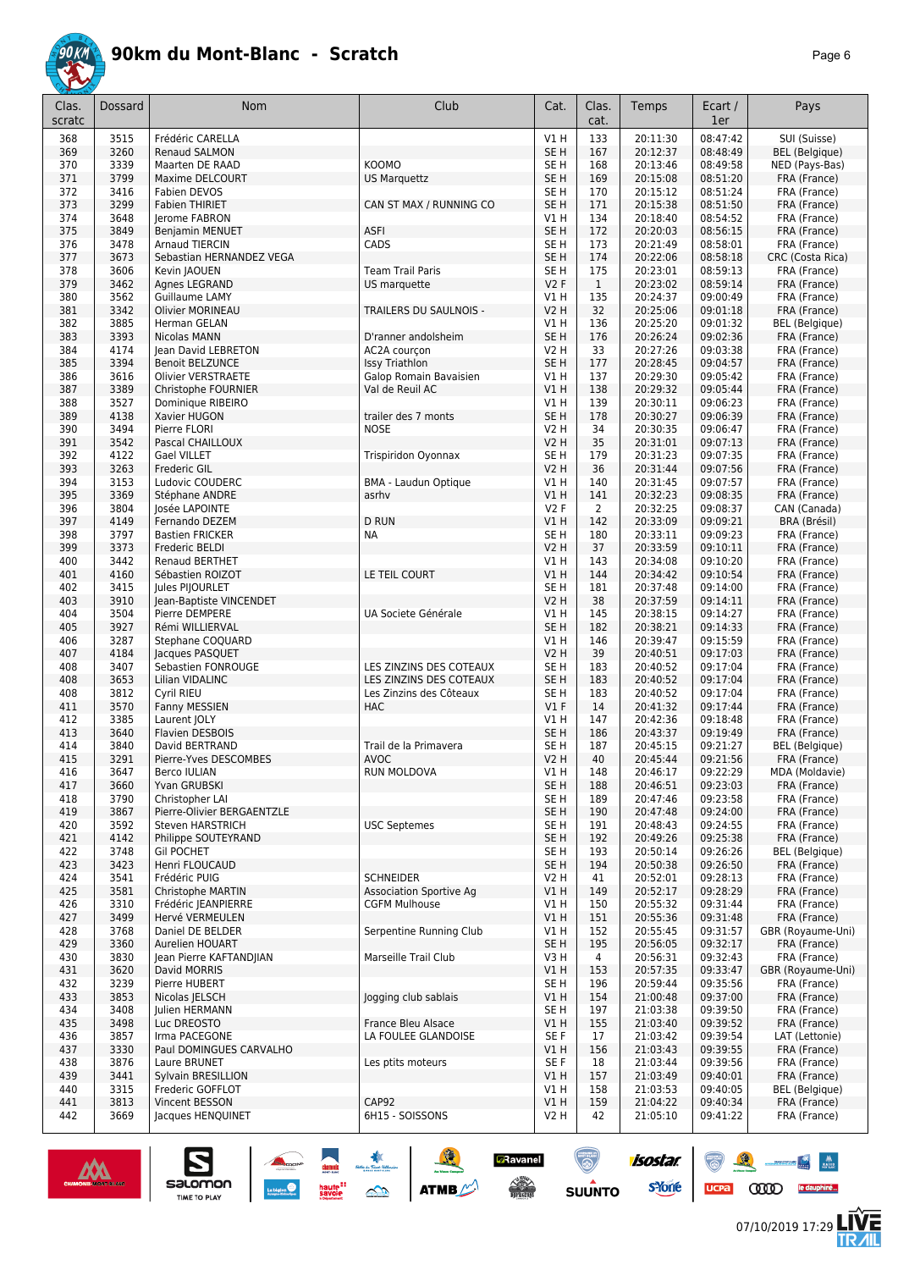

|--|--|

| Clas.<br>scratc | Dossard      | Nom                                            | Club                                            | Cat.                               | Clas.<br>cat.  | Temps                | Ecart /<br>1er       | Pays                              |
|-----------------|--------------|------------------------------------------------|-------------------------------------------------|------------------------------------|----------------|----------------------|----------------------|-----------------------------------|
| 368             | 3515         | Frédéric CARELLA                               |                                                 | V1H                                | 133            | 20:11:30             | 08:47:42             | SUI (Suisse)                      |
| 369             | 3260         | <b>Renaud SALMON</b>                           |                                                 | SE <sub>H</sub>                    | 167            | 20:12:37             | 08:48:49             | <b>BEL</b> (Belgique)             |
| 370<br>371      | 3339<br>3799 | Maarten DE RAAD<br>Maxime DELCOURT             | <b>KOOMO</b>                                    | SE <sub>H</sub><br>SE <sub>H</sub> | 168<br>169     | 20:13:46<br>20:15:08 | 08:49:58<br>08:51:20 | NED (Pays-Bas)<br>FRA (France)    |
| 372             | 3416         | <b>Fabien DEVOS</b>                            | <b>US Marquettz</b>                             | SE <sub>H</sub>                    | 170            | 20:15:12             | 08:51:24             | FRA (France)                      |
| 373             | 3299         | <b>Fabien THIRIET</b>                          | CAN ST MAX / RUNNING CO                         | SE <sub>H</sub>                    | 171            | 20:15:38             | 08:51:50             | FRA (France)                      |
| 374             | 3648         | Jerome FABRON                                  |                                                 | V1H                                | 134            | 20:18:40             | 08:54:52             | FRA (France)                      |
| 375             | 3849         | Benjamin MENUET                                | <b>ASFI</b>                                     | SE <sub>H</sub>                    | 172            | 20:20:03             | 08:56:15             | FRA (France)                      |
| 376             | 3478         | <b>Arnaud TIERCIN</b>                          | CADS                                            | SE <sub>H</sub>                    | 173            | 20:21:49             | 08:58:01             | FRA (France)                      |
| 377<br>378      | 3673<br>3606 | Sebastian HERNANDEZ VEGA<br>Kevin JAOUEN       | <b>Team Trail Paris</b>                         | SE <sub>H</sub><br>SE H            | 174<br>175     | 20:22:06<br>20:23:01 | 08:58:18<br>08:59:13 | CRC (Costa Rica)<br>FRA (France)  |
| 379             | 3462         | Agnes LEGRAND                                  | US marquette                                    | V2F                                | $\mathbf{1}$   | 20:23:02             | 08:59:14             | FRA (France)                      |
| 380             | 3562         | Guillaume LAMY                                 |                                                 | V1 H                               | 135            | 20:24:37             | 09:00:49             | FRA (France)                      |
| 381             | 3342         | <b>Olivier MORINEAU</b>                        | TRAILERS DU SAULNOIS -                          | <b>V2 H</b>                        | 32             | 20:25:06             | 09:01:18             | FRA (France)                      |
| 382             | 3885         | Herman GELAN                                   |                                                 | V1H                                | 136            | 20:25:20             | 09:01:32             | BEL (Belgique)                    |
| 383             | 3393         | Nicolas MANN                                   | D'ranner andolsheim                             | SE <sub>H</sub>                    | 176            | 20:26:24             | 09:02:36             | FRA (France)                      |
| 384             | 4174         | Jean David LEBRETON                            | AC2A courçon                                    | <b>V2 H</b>                        | 33             | 20:27:26             | 09:03:38             | FRA (France)                      |
| 385<br>386      | 3394<br>3616 | <b>Benoit BELZUNCE</b><br>Olivier VERSTRAETE   | <b>Issy Triathlon</b><br>Galop Romain Bavaisien | SE <sub>H</sub><br>V1 H            | 177<br>137     | 20:28:45<br>20:29:30 | 09:04:57<br>09:05:42 | FRA (France)<br>FRA (France)      |
| 387             | 3389         | Christophe FOURNIER                            | Val de Reuil AC                                 | VIH                                | 138            | 20:29:32             | 09:05:44             | FRA (France)                      |
| 388             | 3527         | Dominique RIBEIRO                              |                                                 | V1 H                               | 139            | 20:30:11             | 09:06:23             | FRA (France)                      |
| 389             | 4138         | Xavier HUGON                                   | trailer des 7 monts                             | SE <sub>H</sub>                    | 178            | 20:30:27             | 09:06:39             | FRA (France)                      |
| 390             | 3494         | Pierre FLORI                                   | <b>NOSE</b>                                     | V2 H                               | 34             | 20:30:35             | 09:06:47             | FRA (France)                      |
| 391             | 3542         | Pascal CHAILLOUX                               |                                                 | V2 H                               | 35             | 20:31:01             | 09:07:13             | FRA (France)                      |
| 392             | 4122         | <b>Gael VILLET</b>                             | Trispiridon Oyonnax                             | SE H                               | 179            | 20:31:23             | 09:07:35             | FRA (France)                      |
| 393<br>394      | 3263<br>3153 | Frederic GIL<br>Ludovic COUDERC                | <b>BMA - Laudun Optique</b>                     | V2 H<br>V1 H                       | 36<br>140      | 20:31:44<br>20:31:45 | 09:07:56<br>09:07:57 | FRA (France)<br>FRA (France)      |
| 395             | 3369         | Stéphane ANDRE                                 | asrhv                                           | VIH                                | 141            | 20:32:23             | 09:08:35             | FRA (France)                      |
| 396             | 3804         | losée LAPOINTE                                 |                                                 | V2F                                | $\overline{2}$ | 20:32:25             | 09:08:37             | CAN (Canada)                      |
| 397             | 4149         | Fernando DEZEM                                 | <b>D RUN</b>                                    | VIH                                | 142            | 20:33:09             | 09:09:21             | BRA (Brésil)                      |
| 398             | 3797         | <b>Bastien FRICKER</b>                         | <b>NA</b>                                       | SE <sub>H</sub>                    | 180            | 20:33:11             | 09:09:23             | FRA (France)                      |
| 399             | 3373         | Frederic BELDI                                 |                                                 | <b>V2 H</b>                        | 37             | 20:33:59             | 09:10:11             | FRA (France)                      |
| 400             | 3442         | <b>Renaud BERTHET</b>                          |                                                 | V1H                                | 143            | 20:34:08             | 09:10:20             | FRA (France)                      |
| 401             | 4160         | Sébastien ROIZOT                               | LE TEIL COURT                                   | VIH                                | 144            | 20:34:42             | 09:10:54             | FRA (France)                      |
| 402<br>403      | 3415<br>3910 | Jules PIJOURLET<br>Jean-Baptiste VINCENDET     |                                                 | SE H<br>V2 H                       | 181<br>38      | 20:37:48<br>20:37:59 | 09:14:00<br>09:14:11 | FRA (France)<br>FRA (France)      |
| 404             | 3504         | Pierre DEMPERE                                 | UA Societe Générale                             | V1 H                               | 145            | 20:38:15             | 09:14:27             | FRA (France)                      |
| 405             | 3927         | Rémi WILLIERVAL                                |                                                 | SE <sub>H</sub>                    | 182            | 20:38:21             | 09:14:33             | FRA (France)                      |
| 406             | 3287         | Stephane COQUARD                               |                                                 | V1H                                | 146            | 20:39:47             | 09:15:59             | FRA (France)                      |
| 407             | 4184         | Jacques PASQUET                                |                                                 | <b>V2 H</b>                        | 39             | 20:40:51             | 09:17:03             | FRA (France)                      |
| 408             | 3407         | Sebastien FONROUGE                             | LES ZINZINS DES COTEAUX                         | SE <sub>H</sub>                    | 183            | 20:40:52             | 09:17:04             | FRA (France)                      |
| 408             | 3653         | Lilian VIDALINC                                | LES ZINZINS DES COTEAUX                         | SE <sub>H</sub>                    | 183            | 20:40:52             | 09:17:04             | FRA (France)                      |
| 408<br>411      | 3812<br>3570 | Cyril RIEU<br>Fanny MESSIEN                    | Les Zinzins des Côteaux<br><b>HAC</b>           | SE <sub>H</sub><br>$VI$ F          | 183<br>14      | 20:40:52<br>20:41:32 | 09:17:04<br>09:17:44 | FRA (France)<br>FRA (France)      |
| 412             | 3385         | Laurent JOLY                                   |                                                 | V1H                                | 147            | 20:42:36             | 09:18:48             | FRA (France)                      |
| 413             | 3640         | <b>Flavien DESBOIS</b>                         |                                                 | SE H                               | 186            | 20:43:37             | 09:19:49             | FRA (France)                      |
| 414             | 3840         | David BERTRAND                                 | Trail de la Primavera                           | SE H                               | 187            | 20:45:15             | 09:21:27             | <b>BEL</b> (Belgique)             |
| 415             | 3291         | Pierre-Yves DESCOMBES                          | <b>AVOC</b>                                     | V2 H                               | 40             | 20:45:44             | 09:21:56             | FRA (France)                      |
| 416             | 3647         | Berco IULIAN                                   | RUN MOLDOVA                                     | V1 H                               | 148            | 20:46:17             | 09:22:29             | MDA (Moldavie)                    |
| 417             | 3660         | Yvan GRUBSKI                                   |                                                 | SE <sub>H</sub>                    | 188            | 20:46:51             | 09:23:03             | FRA (France)                      |
| 418             | 3790         | Christopher LAI                                |                                                 | SE <sub>H</sub>                    | 189            | 20:47:46             | 09:23:58             | FRA (France)                      |
| 419<br>420      | 3867<br>3592 | Pierre-Olivier BERGAENTZLE<br>Steven HARSTRICH | <b>USC Septemes</b>                             | SE <sub>H</sub><br>SE H            | 190<br>191     | 20:47:48<br>20:48:43 | 09:24:00<br>09:24:55 | FRA (France)<br>FRA (France)      |
| 421             | 4142         | Philippe SOUTEYRAND                            |                                                 | SE <sub>H</sub>                    | 192            | 20:49:26             | 09:25:38             | FRA (France)                      |
| 422             | 3748         | <b>Gil POCHET</b>                              |                                                 | SE H                               | 193            | 20:50:14             | 09:26:26             | <b>BEL</b> (Belgique)             |
| 423             | 3423         | Henri FLOUCAUD                                 |                                                 | SE <sub>H</sub>                    | 194            | 20:50:38             | 09:26:50             | FRA (France)                      |
| 424             | 3541         | Frédéric PUIG                                  | <b>SCHNEIDER</b>                                | V2 H                               | 41             | 20:52:01             | 09:28:13             | FRA (France)                      |
| 425             | 3581         | Christophe MARTIN                              | <b>Association Sportive Ag</b>                  | VIH                                | 149            | 20:52:17             | 09:28:29             | FRA (France)                      |
| 426             | 3310         | Frédéric JEANPIERRE                            | <b>CGFM Mulhouse</b>                            | V1 H                               | 150            | 20:55:32             | 09:31:44             | FRA (France)                      |
| 427<br>428      | 3499<br>3768 | Hervé VERMEULEN<br>Daniel DE BELDER            | Serpentine Running Club                         | V1 H<br>V1 H                       | 151<br>152     | 20:55:36<br>20:55:45 | 09:31:48<br>09:31:57 | FRA (France)<br>GBR (Royaume-Uni) |
| 429             | 3360         | Aurelien HOUART                                |                                                 | SE <sub>H</sub>                    | 195            | 20:56:05             | 09:32:17             | FRA (France)                      |
| 430             | 3830         | Jean Pierre KAFTANDJIAN                        | Marseille Trail Club                            | V3H                                | 4              | 20:56:31             | 09:32:43             | FRA (France)                      |
| 431             | 3620         | David MORRIS                                   |                                                 | V1H                                | 153            | 20:57:35             | 09:33:47             | GBR (Royaume-Uni)                 |
| 432             | 3239         | Pierre HUBERT                                  |                                                 | SE H                               | 196            | 20:59:44             | 09:35:56             | FRA (France)                      |
| 433             | 3853         | Nicolas JELSCH                                 | Jogging club sablais                            | V1H                                | 154            | 21:00:48             | 09:37:00             | FRA (France)                      |
| 434             | 3408         | Julien HERMANN                                 |                                                 | SE H                               | 197            | 21:03:38             | 09:39:50             | FRA (France)                      |
| 435<br>436      | 3498<br>3857 | Luc DREOSTO<br>Irma PACEGONE                   | France Bleu Alsace<br>LA FOULEE GLANDOISE       | V1 H<br>SE F                       | 155<br>17      | 21:03:40<br>21:03:42 | 09:39:52<br>09:39:54 | FRA (France)<br>LAT (Lettonie)    |
| 437             | 3330         | Paul DOMINGUES CARVALHO                        |                                                 | V1 H                               | 156            | 21:03:43             | 09:39:55             | FRA (France)                      |
| 438             | 3876         | Laure BRUNET                                   | Les ptits moteurs                               | SE F                               | 18             | 21:03:44             | 09:39:56             | FRA (France)                      |
| 439             | 3441         | Sylvain BRESILLION                             |                                                 | V1 H                               | 157            | 21:03:49             | 09:40:01             | FRA (France)                      |
| 440             | 3315         | Frederic GOFFLOT                               |                                                 | V1 H                               | 158            | 21:03:53             | 09:40:05             | <b>BEL</b> (Belgique)             |
| 441             | 3813         | Vincent BESSON                                 | CAP92                                           | V1 H                               | 159            | 21:04:22             | 09:40:34             | FRA (France)                      |
| 442             | 3669         | Jacques HENQUINET                              | 6H15 - SOISSONS                                 | V <sub>2</sub> H                   | 42             | 21:05:10             | 09:41:22             | FRA (France)                      |
|                 |              |                                                |                                                 |                                    |                |                      |                      |                                   |



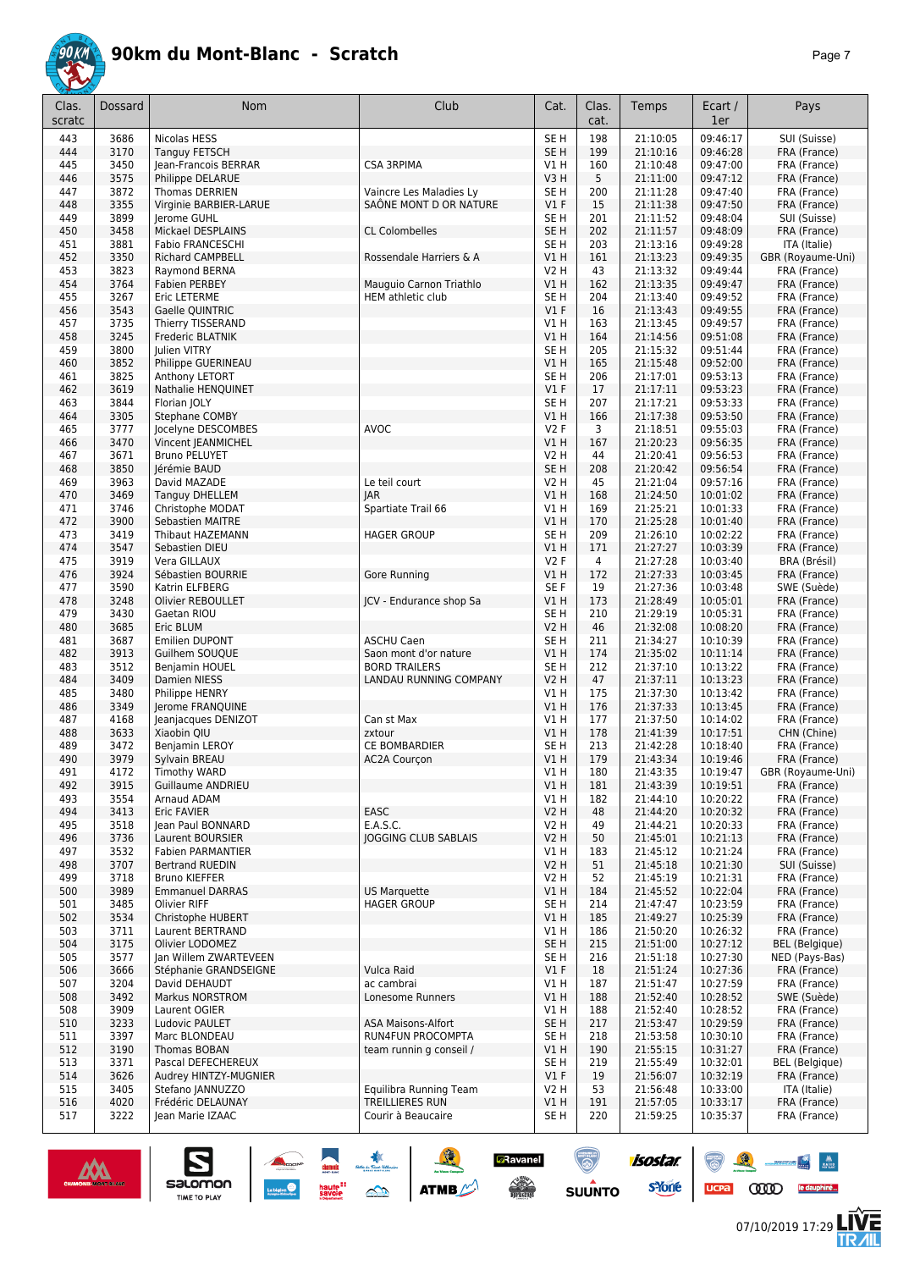

| Clas.<br>scratc | Dossard      | Nom                                       | Club                                       | Cat.                    | Clas.<br>cat.         | Temps                | Ecart /<br>1er       | Pays                         |
|-----------------|--------------|-------------------------------------------|--------------------------------------------|-------------------------|-----------------------|----------------------|----------------------|------------------------------|
| 443             | 3686         | Nicolas HESS                              |                                            | SE <sub>H</sub>         | 198                   | 21:10:05             | 09:46:17             | SUI (Suisse)                 |
| 444             | 3170         | <b>Tanguy FETSCH</b>                      |                                            | SE <sub>H</sub>         | 199                   | 21:10:16             | 09:46:28             | FRA (France)                 |
| 445             | 3450         | Jean-Francois BERRAR                      | <b>CSA 3RPIMA</b>                          | V1 H                    | 160                   | 21:10:48             | 09:47:00             | FRA (France)                 |
| 446<br>447      | 3575<br>3872 | Philippe DELARUE<br><b>Thomas DERRIEN</b> | Vaincre Les Maladies Ly                    | V3H<br>SE H             | 5<br>200              | 21:11:00<br>21:11:28 | 09:47:12<br>09:47:40 | FRA (France)<br>FRA (France) |
| 448             | 3355         | Virginie BARBIER-LARUE                    | SAÔNE MONT D OR NATURE                     | $VI$ F                  | 15                    | 21:11:38             | 09:47:50             | FRA (France)                 |
| 449             | 3899         | Jerome GUHL                               |                                            | SE <sub>H</sub>         | 201                   | 21:11:52             | 09:48:04             | SUI (Suisse)                 |
| 450             | 3458         | Mickael DESPLAINS                         | <b>CL Colombelles</b>                      | SE <sub>H</sub>         | 202                   | 21:11:57             | 09:48:09             | FRA (France)                 |
| 451             | 3881         | <b>Fabio FRANCESCHI</b>                   |                                            | SE H                    | 203                   | 21:13:16             | 09:49:28             | ITA (Italie)                 |
| 452             | 3350         | <b>Richard CAMPBELL</b>                   | Rossendale Harriers & A                    | VIH                     | 161                   | 21:13:23             | 09:49:35             | GBR (Royaume-Uni)            |
| 453<br>454      | 3823<br>3764 | Raymond BERNA<br>Fabien PERBEY            | Mauguio Carnon Triathlo                    | <b>V2 H</b><br>V1H      | 43<br>162             | 21:13:32<br>21:13:35 | 09:49:44<br>09:49:47 | FRA (France)<br>FRA (France) |
| 455             | 3267         | <b>Eric LETERME</b>                       | HEM athletic club                          | SE <sub>H</sub>         | 204                   | 21:13:40             | 09:49:52             | FRA (France)                 |
| 456             | 3543         | Gaelle QUINTRIC                           |                                            | $VI$ F                  | 16                    | 21:13:43             | 09:49:55             | FRA (France)                 |
| 457             | 3735         | Thierry TISSERAND                         |                                            | V1 H                    | 163                   | 21:13:45             | 09:49:57             | FRA (France)                 |
| 458             | 3245         | Frederic BLATNIK                          |                                            | V1H                     | 164                   | 21:14:56             | 09:51:08             | FRA (France)                 |
| 459             | 3800         | Julien VITRY                              |                                            | SE <sub>H</sub>         | 205                   | 21:15:32             | 09:51:44             | FRA (France)                 |
| 460<br>461      | 3852<br>3825 | Philippe GUERINEAU<br>Anthony LETORT      |                                            | V1H<br>SE <sub>H</sub>  | 165<br>206            | 21:15:48<br>21:17:01 | 09:52:00<br>09:53:13 | FRA (France)<br>FRA (France) |
| 462             | 3619         | Nathalie HENQUINET                        |                                            | $VI$ F                  | 17                    | 21:17:11             | 09:53:23             | FRA (France)                 |
| 463             | 3844         | Florian JOLY                              |                                            | SE <sub>H</sub>         | 207                   | 21:17:21             | 09:53:33             | FRA (France)                 |
| 464             | 3305         | Stephane COMBY                            |                                            | VIH                     | 166                   | 21:17:38             | 09:53:50             | FRA (France)                 |
| 465             | 3777         | Jocelyne DESCOMBES                        | AVOC                                       | V2F                     | 3                     | 21:18:51             | 09:55:03             | FRA (France)                 |
| 466             | 3470         | Vincent JEANMICHEL                        |                                            | V1 H                    | 167                   | 21:20:23             | 09:56:35             | FRA (France)                 |
| 467<br>468      | 3671<br>3850 | <b>Bruno PELUYET</b><br>Jérémie BAUD      |                                            | V2 H<br>SE <sub>H</sub> | 44<br>208             | 21:20:41<br>21:20:42 | 09:56:53<br>09:56:54 | FRA (France)<br>FRA (France) |
| 469             | 3963         | David MAZADE                              | Le teil court                              | <b>V2 H</b>             | 45                    | 21:21:04             | 09:57:16             | FRA (France)                 |
| 470             | 3469         | <b>Tanguy DHELLEM</b>                     | <b>JAR</b>                                 | V1H                     | 168                   | 21:24:50             | 10:01:02             | FRA (France)                 |
| 471             | 3746         | Christophe MODAT                          | Spartiate Trail 66                         | V1 H                    | 169                   | 21:25:21             | 10:01:33             | FRA (France)                 |
| 472             | 3900         | <b>Sebastien MAITRE</b>                   |                                            | V1H                     | 170                   | 21:25:28             | 10:01:40             | FRA (France)                 |
| 473             | 3419         | Thibaut HAZEMANN                          | <b>HAGER GROUP</b>                         | SE H                    | 209                   | 21:26:10             | 10:02:22             | FRA (France)                 |
| 474<br>475      | 3547<br>3919 | Sebastien DIEU<br>Vera GILLAUX            |                                            | VIH<br><b>V2F</b>       | 171<br>$\overline{4}$ | 21:27:27<br>21:27:28 | 10:03:39<br>10:03:40 | FRA (France)<br>BRA (Brésil) |
| 476             | 3924         | Sébastien BOURRIE                         | Gore Running                               | VIH                     | 172                   | 21:27:33             | 10:03:45             | FRA (France)                 |
| 477             | 3590         | Katrin ELFBERG                            |                                            | SE F                    | 19                    | 21:27:36             | 10:03:48             | SWE (Suède)                  |
| 478             | 3248         | Olivier REBOULLET                         | JCV - Endurance shop Sa                    | V1H                     | 173                   | 21:28:49             | 10:05:01             | FRA (France)                 |
| 479             | 3430         | Gaetan RIOU                               |                                            | SE H                    | 210                   | 21:29:19             | 10:05:31             | FRA (France)                 |
| 480             | 3685         | Eric BLUM                                 |                                            | <b>V2 H</b>             | 46                    | 21:32:08             | 10:08:20             | FRA (France)                 |
| 481<br>482      | 3687<br>3913 | Emilien DUPONT<br>Guilhem SOUQUE          | <b>ASCHU Caen</b><br>Saon mont d'or nature | SE <sub>H</sub><br>V1H  | 211<br>174            | 21:34:27<br>21:35:02 | 10:10:39<br>10:11:14 | FRA (France)<br>FRA (France) |
| 483             | 3512         | Benjamin HOUEL                            | <b>BORD TRAILERS</b>                       | SE H                    | 212                   | 21:37:10             | 10:13:22             | FRA (France)                 |
| 484             | 3409         | Damien NIESS                              | LANDAU RUNNING COMPANY                     | <b>V2 H</b>             | 47                    | 21:37:11             | 10:13:23             | FRA (France)                 |
| 485             | 3480         | Philippe HENRY                            |                                            | V1 H                    | 175                   | 21:37:30             | 10:13:42             | FRA (France)                 |
| 486             | 3349         | Jerome FRANQUINE                          |                                            | VIH                     | 176                   | 21:37:33             | 10:13:45             | FRA (France)                 |
| 487<br>488      | 4168<br>3633 | Jeanjacques DENIZOT                       | Can st Max<br>zxtour                       | V1H<br>VIH              | 177<br>178            | 21:37:50<br>21:41:39 | 10:14:02<br>10:17:51 | FRA (France)                 |
| 489             | 3472         | Xiaobin QIU<br>Benjamin LEROY             | <b>CE BOMBARDIER</b>                       | SE H                    | 213                   | 21:42:28             | 10:18:40             | CHN (Chine)<br>FRA (France)  |
| 490             | 3979         | Sylvain BREAU                             | <b>AC2A Courcon</b>                        | VIH                     | 179                   | 21:43:34             | 10:19:46             | FRA (France)                 |
| 491             | 4172         | Timothy WARD                              |                                            | V1 H                    | 180                   | 21:43:35             | 10:19:47             | GBR (Royaume-Uni)            |
| 492             | 3915         | <b>Guillaume ANDRIEU</b>                  |                                            | V1 H                    | 181                   | 21:43:39             | 10:19:51             | FRA (France)                 |
| 493             | 3554         | Arnaud ADAM                               |                                            | V1 H                    | 182                   | 21:44:10             | 10:20:22             | FRA (France)                 |
| 494<br>495      | 3413         | Eric FAVIER<br>Jean Paul BONNARD          | EASC<br>E.A.S.C.                           | <b>V2 H</b>             | 48<br>49              | 21:44:20             | 10:20:32<br>10:20:33 | FRA (France)                 |
| 496             | 3518<br>3736 | Laurent BOURSIER                          | <b>JOGGING CLUB SABLAIS</b>                | V2 H<br><b>V2 H</b>     | 50                    | 21:44:21<br>21:45:01 | 10:21:13             | FRA (France)<br>FRA (France) |
| 497             | 3532         | Fabien PARMANTIER                         |                                            | V1 H                    | 183                   | 21:45:12             | 10:21:24             | FRA (France)                 |
| 498             | 3707         | <b>Bertrand RUEDIN</b>                    |                                            | <b>V2 H</b>             | 51                    | 21:45:18             | 10:21:30             | SUI (Suisse)                 |
| 499             | 3718         | <b>Bruno KIEFFER</b>                      |                                            | V2 H                    | 52                    | 21:45:19             | 10:21:31             | FRA (France)                 |
| 500             | 3989         | <b>Emmanuel DARRAS</b>                    | <b>US Marquette</b>                        | V1H                     | 184                   | 21:45:52             | 10:22:04             | FRA (France)                 |
| 501             | 3485         | <b>Olivier RIFF</b>                       | <b>HAGER GROUP</b>                         | SE H                    | 214                   | 21:47:47             | 10:23:59             | FRA (France)                 |
| 502<br>503      | 3534<br>3711 | Christophe HUBERT<br>Laurent BERTRAND     |                                            | V1H<br>V1 H             | 185<br>186            | 21:49:27<br>21:50:20 | 10:25:39<br>10:26:32 | FRA (France)<br>FRA (France) |
| 504             | 3175         | Olivier LODOMEZ                           |                                            | SE <sub>H</sub>         | 215                   | 21:51:00             | 10:27:12             | BEL (Belgique)               |
| 505             | 3577         | Ian Willem ZWARTEVEEN                     |                                            | SE <sub>H</sub>         | 216                   | 21:51:18             | 10:27:30             | NED (Pays-Bas)               |
| 506             | 3666         | Stéphanie GRANDSEIGNE                     | Vulca Raid                                 | V1F                     | 18                    | 21:51:24             | 10:27:36             | FRA (France)                 |
| 507             | 3204         | David DEHAUDT                             | ac cambrai                                 | V1 H                    | 187                   | 21:51:47             | 10:27:59             | FRA (France)                 |
| 508             | 3492         | <b>Markus NORSTROM</b>                    | Lonesome Runners                           | V1H                     | 188                   | 21:52:40             | 10:28:52             | SWE (Suède)                  |
| 508<br>510      | 3909<br>3233 | Laurent OGIER<br>Ludovic PAULET           | <b>ASA Maisons-Alfort</b>                  | V1 H<br>SE <sub>H</sub> | 188<br>217            | 21:52:40<br>21:53:47 | 10:28:52<br>10:29:59 | FRA (France)<br>FRA (France) |
| 511             | 3397         | Marc BLONDEAU                             | RUN4FUN PROCOMPTA                          | SE H                    | 218                   | 21:53:58             | 10:30:10             | FRA (France)                 |
| 512             | 3190         | Thomas BOBAN                              | team runnin g conseil /                    | V1H                     | 190                   | 21:55:15             | 10:31:27             | FRA (France)                 |
| 513             | 3371         | Pascal DEFECHEREUX                        |                                            | SE <sub>H</sub>         | 219                   | 21:55:49             | 10:32:01             | BEL (Belgique)               |
| 514             | 3626         | Audrey HINTZY-MUGNIER                     |                                            | $VI$ F                  | 19                    | 21:56:07             | 10:32:19             | FRA (France)                 |
| 515             | 3405         | Stefano JANNUZZO                          | Equilibra Running Team                     | V <sub>2</sub> H        | 53                    | 21:56:48             | 10:33:00             | ITA (Italie)                 |
| 516<br>517      | 4020<br>3222 | Frédéric DELAUNAY<br>Jean Marie IZAAC     | TREILLIERES RUN<br>Courir à Beaucaire      | V1H<br>SE H             | 191<br>220            | 21:57:05<br>21:59:25 | 10:33:17<br>10:35:37 | FRA (France)<br>FRA (France) |
|                 |              |                                           |                                            |                         |                       |                      |                      |                              |





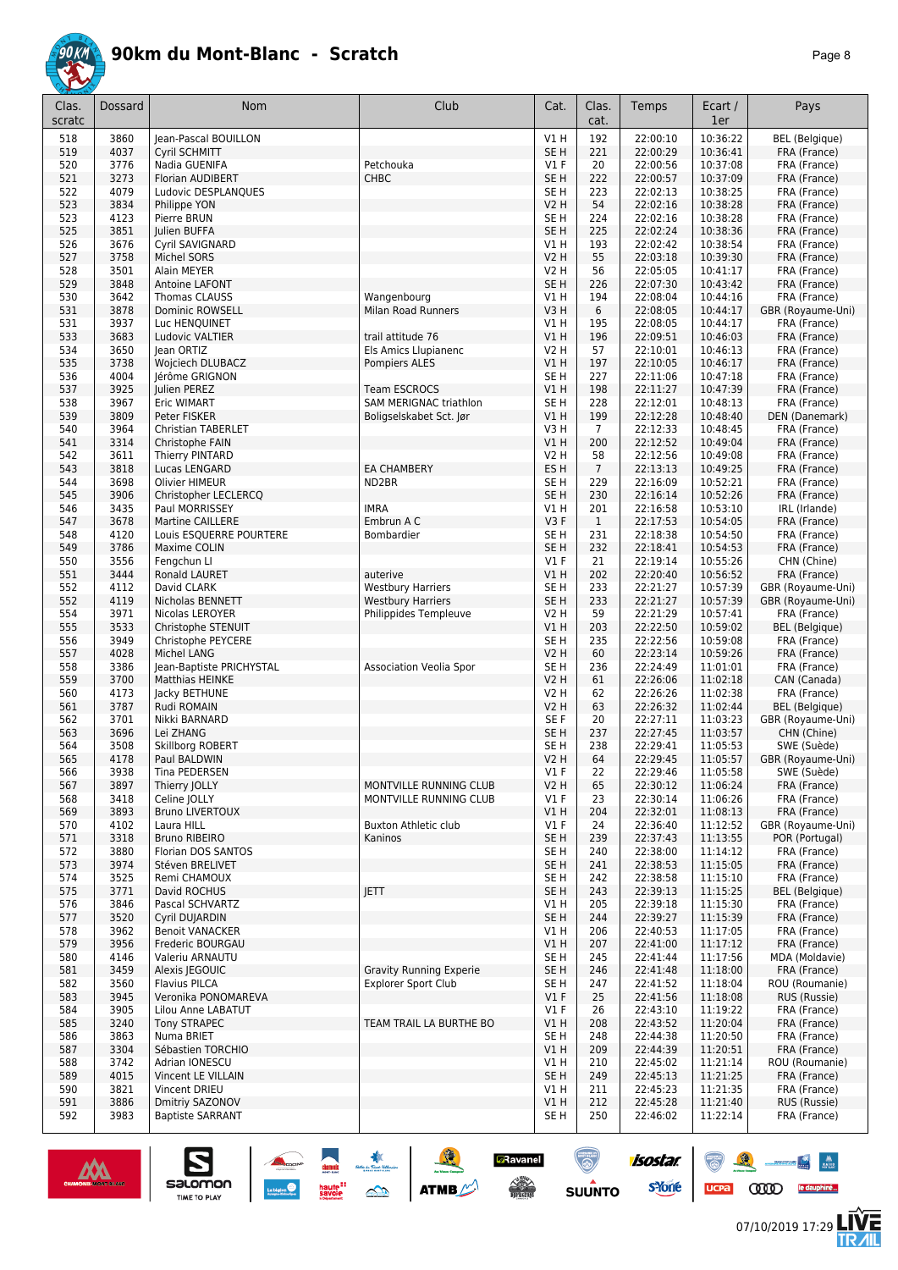

| Clas.<br>scratc | <b>Dossard</b> | <b>Nom</b>                                         | Club                           | Cat.                      | Clas.<br>cat.  | Temps                | Ecart /<br>1er       | Pays                                  |
|-----------------|----------------|----------------------------------------------------|--------------------------------|---------------------------|----------------|----------------------|----------------------|---------------------------------------|
|                 |                |                                                    |                                |                           |                |                      |                      |                                       |
| 518<br>519      | 3860<br>4037   | Jean-Pascal BOUILLON<br>Cyril SCHMITT              |                                | V1H<br>SE H               | 192<br>221     | 22:00:10<br>22:00:29 | 10:36:22<br>10:36:41 | <b>BEL</b> (Belgique)<br>FRA (France) |
| 520             | 3776           | Nadia GUENIFA                                      | Petchouka                      | $VI$ F                    | 20             | 22:00:56             | 10:37:08             | FRA (France)                          |
| 521             | 3273           | Florian AUDIBERT                                   | <b>CHBC</b>                    | SE <sub>H</sub>           | 222            | 22:00:57             | 10:37:09             | FRA (France)                          |
| 522             | 4079           | Ludovic DESPLANQUES                                |                                | SE H                      | 223            | 22:02:13             | 10:38:25             | FRA (France)                          |
| 523             | 3834           | Philippe YON                                       |                                | <b>V2 H</b>               | 54             | 22:02:16             | 10:38:28             | FRA (France)                          |
| 523             | 4123           | Pierre BRUN                                        |                                | SE H                      | 224            | 22:02:16             | 10:38:28             | FRA (France)                          |
| 525             | 3851           | Julien BUFFA                                       |                                | SE <sub>H</sub>           | 225            | 22:02:24             | 10:38:36             | FRA (France)                          |
| 526             | 3676           | Cyril SAVIGNARD                                    |                                | V1 H                      | 193            | 22:02:42             | 10:38:54             | FRA (France)                          |
| 527             | 3758           | Michel SORS                                        |                                | V2 H                      | 55             | 22:03:18             | 10:39:30             | FRA (France)                          |
| 528             | 3501           | Alain MEYER                                        |                                | <b>V2 H</b>               | 56             | 22:05:05             | 10:41:17             | FRA (France)                          |
| 529             | 3848           | Antoine LAFONT                                     |                                | SE <sub>H</sub>           | 226            | 22:07:30             | 10:43:42             | FRA (France)                          |
| 530             | 3642           | Thomas CLAUSS                                      | Wangenbourg                    | <b>V1 H</b>               | 194            | 22:08:04             | 10:44:16             | FRA (France)                          |
| 531<br>531      | 3878<br>3937   | Dominic ROWSELL<br>Luc HENQUINET                   | Milan Road Runners             | V3H<br>V1 H               | 6<br>195       | 22:08:05<br>22:08:05 | 10:44:17<br>10:44:17 | GBR (Royaume-Uni)<br>FRA (France)     |
| 533             | 3683           | Ludovic VALTIER                                    | trail attitude 76              | V1 H                      | 196            | 22:09:51             | 10:46:03             | FRA (France)                          |
| 534             | 3650           | lean ORTIZ                                         | Els Amics Llupianenc           | V2 H                      | 57             | 22:10:01             | 10:46:13             | FRA (France)                          |
| 535             | 3738           | Wojciech DLUBACZ                                   | Pompiers ALES                  | <b>V1 H</b>               | 197            | 22:10:05             | 10:46:17             | FRA (France)                          |
| 536             | 4004           | Jérôme GRIGNON                                     |                                | SE H                      | 227            | 22:11:06             | 10:47:18             | FRA (France)                          |
| 537             | 3925           | Julien PEREZ                                       | <b>Team ESCROCS</b>            | V1H                       | 198            | 22:11:27             | 10:47:39             | FRA (France)                          |
| 538             | 3967           | Eric WIMART                                        | <b>SAM MERIGNAC triathlon</b>  | SE H                      | 228            | 22:12:01             | 10:48:13             | FRA (France)                          |
| 539             | 3809           | Peter FISKER                                       | Boligselskabet Sct. Jør        | <b>V1 H</b>               | 199            | 22:12:28             | 10:48:40             | DEN (Danemark)                        |
| 540             | 3964           | <b>Christian TABERLET</b>                          |                                | V3H                       | $\overline{7}$ | 22:12:33             | 10:48:45             | FRA (France)                          |
| 541             | 3314           | Christophe FAIN                                    |                                | V1H                       | 200            | 22:12:52             | 10:49:04             | FRA (France)                          |
| 542             | 3611           | Thierry PINTARD                                    |                                | <b>V2 H</b>               | 58             | 22:12:56             | 10:49:08             | FRA (France)                          |
| 543             | 3818<br>3698   | Lucas LENGARD                                      | <b>EA CHAMBERY</b>             | ES H                      | $\overline{7}$ | 22:13:13             | 10:49:25             | FRA (France)                          |
| 544<br>545      | 3906           | Olivier HIMEUR<br>Christopher LECLERCQ             | ND2BR                          | SE H<br>SE H              | 229<br>230     | 22:16:09<br>22:16:14 | 10:52:21<br>10:52:26 | FRA (France)<br>FRA (France)          |
| 546             | 3435           | Paul MORRISSEY                                     | <b>IMRA</b>                    | V1 H                      | 201            | 22:16:58             | 10:53:10             | IRL (Irlande)                         |
| 547             | 3678           | <b>Martine CAILLERE</b>                            | Embrun A C                     | V3F                       | $\mathbf{1}$   | 22:17:53             | 10:54:05             | FRA (France)                          |
| 548             | 4120           | Louis ESQUERRE POURTERE                            | Bombardier                     | SE H                      | 231            | 22:18:38             | 10:54:50             | FRA (France)                          |
| 549             | 3786           | Maxime COLIN                                       |                                | SE H                      | 232            | 22:18:41             | 10:54:53             | FRA (France)                          |
| 550             | 3556           | Fengchun Ll                                        |                                | $VI$ F                    | 21             | 22:19:14             | 10:55:26             | CHN (Chine)                           |
| 551             | 3444           | Ronald LAURET                                      | auterive                       | <b>V1 H</b>               | 202            | 22:20:40             | 10:56:52             | FRA (France)                          |
| 552             | 4112           | David CLARK                                        | <b>Westbury Harriers</b>       | SE H                      | 233            | 22:21:27             | 10:57:39             | GBR (Royaume-Uni)                     |
| 552             | 4119           | Nicholas BENNETT                                   | <b>Westbury Harriers</b>       | SE <sub>H</sub>           | 233            | 22:21:27             | 10:57:39             | GBR (Royaume-Uni)                     |
| 554             | 3971           | Nicolas LEROYER                                    | Philippides Templeuve          | V2 H                      | 59             | 22:21:29             | 10:57:41             | FRA (France)                          |
| 555             | 3533           | Christophe STENUIT                                 |                                | VIH                       | 203            | 22:22:50             | 10:59:02             | <b>BEL</b> (Belgique)                 |
| 556             | 3949           | Christophe PEYCERE                                 |                                | SE H                      | 235            | 22:22:56             | 10:59:08             | FRA (France)                          |
| 557             | 4028           | Michel LANG                                        |                                | V2 H                      | 60             | 22:23:14             | 10:59:26             | FRA (France)                          |
| 558<br>559      | 3386<br>3700   | Jean-Baptiste PRICHYSTAL<br><b>Matthias HEINKE</b> | <b>Association Veolia Spor</b> | SE H<br>V2 H              | 236<br>61      | 22:24:49<br>22:26:06 | 11:01:01<br>11:02:18 | FRA (France)<br>CAN (Canada)          |
| 560             | 4173           | Jacky BETHUNE                                      |                                | V2 H                      | 62             | 22:26:26             | 11:02:38             | FRA (France)                          |
| 561             | 3787           | Rudi ROMAIN                                        |                                | V2 H                      | 63             | 22:26:32             | 11:02:44             | <b>BEL</b> (Belgique)                 |
| 562             | 3701           | Nikki BARNARD                                      |                                | SE F                      | 20             | 22:27:11             | 11:03:23             | GBR (Royaume-Uni)                     |
| 563             | 3696           | Lei ZHANG                                          |                                | SE <sub>H</sub>           | 237            | 22:27:45             | 11:03:57             | CHN (Chine)                           |
| 564             | 3508           | Skillborg ROBERT                                   |                                | SE H                      | 238            | 22:29:41             | 11:05:53             | SWE (Suède)                           |
| 565             | 4178           | Paul BALDWIN                                       |                                | V2 H                      | 64             | 22:29:45             | 11:05:57             | GBR (Royaume-Uni)                     |
| 566             | 3938           | Tina PEDERSEN                                      |                                | $VI$ F                    | 22             | 22:29:46             | 11:05:58             | SWE (Suède)                           |
| 567             | 3897           | Thierry JOLLY                                      | MONTVILLE RUNNING CLUB         | <b>V2 H</b>               | 65             | 22:30:12             | 11:06:24             | FRA (France)                          |
| 568             | 3418           | Celine JOLLY                                       | MONTVILLE RUNNING CLUB         | $VI$ F                    | 23             | 22:30:14             | 11:06:26             | FRA (France)                          |
| 569             | 3893           | <b>Bruno LIVERTOUX</b>                             | <b>Buxton Athletic club</b>    | V1H                       | 204            | 22:32:01             | 11:08:13             | FRA (France)                          |
| 570<br>571      | 4102<br>3318   | Laura HILL<br><b>Bruno RIBEIRO</b>                 | Kaninos                        | $VI$ F<br>SE <sub>H</sub> | 24<br>239      | 22:36:40<br>22:37:43 | 11:12:52<br>11:13:55 | GBR (Royaume-Uni)<br>POR (Portugal)   |
| 572             | 3880           | Florian DOS SANTOS                                 |                                | SE H                      | 240            | 22:38:00             | 11:14:12             | FRA (France)                          |
| 573             | 3974           | Stéven BRELIVET                                    |                                | SE <sub>H</sub>           | 241            | 22:38:53             | 11:15:05             | FRA (France)                          |
| 574             | 3525           | Remi CHAMOUX                                       |                                | SE <sub>H</sub>           | 242            | 22:38:58             | 11:15:10             | FRA (France)                          |
| 575             | 3771           | David ROCHUS                                       | <b>JETT</b>                    | SE <sub>H</sub>           | 243            | 22:39:13             | 11:15:25             | <b>BEL</b> (Belgique)                 |
| 576             | 3846           | Pascal SCHVARTZ                                    |                                | V1 H                      | 205            | 22:39:18             | 11:15:30             | FRA (France)                          |
| 577             | 3520           | Cyril DUJARDIN                                     |                                | SE <sub>H</sub>           | 244            | 22:39:27             | 11:15:39             | FRA (France)                          |
| 578             | 3962           | <b>Benoit VANACKER</b>                             |                                | V1 H                      | 206            | 22:40:53             | 11:17:05             | FRA (France)                          |
| 579             | 3956           | Frederic BOURGAU                                   |                                | V1H                       | 207            | 22:41:00             | 11:17:12             | FRA (France)                          |
| 580             | 4146           | Valeriu ARNAUTU                                    |                                | SE <sub>H</sub>           | 245            | 22:41:44             | 11:17:56             | MDA (Moldavie)                        |
| 581             | 3459           | Alexis JEGOUIC                                     | <b>Gravity Running Experie</b> | SE H                      | 246            | 22:41:48             | 11:18:00             | FRA (France)                          |
| 582             | 3560           | <b>Flavius PILCA</b>                               | <b>Explorer Sport Club</b>     | SE H                      | 247            | 22:41:52             | 11:18:04             | ROU (Roumanie)                        |
| 583             | 3945           | Veronika PONOMAREVA                                |                                | $VI$ F                    | 25             | 22:41:56             | 11:18:08             | RUS (Russie)                          |
| 584             | 3905           | Lilou Anne LABATUT                                 |                                | $VI$ F                    | 26             | 22:43:10             | 11:19:22             | FRA (France)                          |
| 585<br>586      | 3240           | <b>Tony STRAPEC</b><br>Numa BRIET                  | TEAM TRAIL LA BURTHE BO        | V1 H                      | 208<br>248     | 22:43:52<br>22:44:38 | 11:20:04             | FRA (France)                          |
| 587             | 3863<br>3304   | Sébastien TORCHIO                                  |                                | SE H<br>V1H               | 209            | 22:44:39             | 11:20:50<br>11:20:51 | FRA (France)<br>FRA (France)          |
| 588             | 3742           | Adrian IONESCU                                     |                                | V1 H                      | 210            | 22:45:02             | 11:21:14             | ROU (Roumanie)                        |
| 589             | 4015           | Vincent LE VILLAIN                                 |                                | SE <sub>H</sub>           | 249            | 22:45:13             | 11:21:25             | FRA (France)                          |
| 590             | 3821           | Vincent DRIEU                                      |                                | <b>V1 H</b>               | 211            | 22:45:23             | 11:21:35             | FRA (France)                          |
| 591             | 3886           | Dmitriy SAZONOV                                    |                                | V1H                       | 212            | 22:45:28             | 11:21:40             | RUS (Russie)                          |
| 592             | 3983           | <b>Baptiste SARRANT</b>                            |                                | SE H                      | 250            | 22:46:02             | 11:22:14             | FRA (France)                          |



 $\sum_{\text{SALOMOM}}$ 

SOLUTION ATME

 $\frac{\sqrt{2}}{2}$ 

 $\mathbb{Z}$ 

 $ucpa$ 

 $\frac{1}{2} \frac{1}{2} \frac{1}{2} \frac{1}{2} \frac{1}{2} \frac{1}{2} \frac{1}{2} \frac{1}{2} \frac{1}{2} \frac{1}{2} \frac{1}{2} \frac{1}{2} \frac{1}{2} \frac{1}{2} \frac{1}{2} \frac{1}{2} \frac{1}{2} \frac{1}{2} \frac{1}{2} \frac{1}{2} \frac{1}{2} \frac{1}{2} \frac{1}{2} \frac{1}{2} \frac{1}{2} \frac{1}{2} \frac{1}{2} \frac{1}{2} \frac{1}{2} \frac{1}{2} \frac{1}{2} \frac{$ 

怎

**CODO** le dauphiné...

isostar.

**s**Yone

**D**Ravanel

 $\begin{picture}(180,10) \put(0,0){\line(1,0){15}} \put(10,0){\line(1,0){15}} \put(10,0){\line(1,0){15}} \put(10,0){\line(1,0){15}} \put(10,0){\line(1,0){15}} \put(10,0){\line(1,0){15}} \put(10,0){\line(1,0){15}} \put(10,0){\line(1,0){15}} \put(10,0){\line(1,0){15}} \put(10,0){\line(1,0){15}} \put(10,0){\line(1,0){15}} \put(10,0){\line($ 

 $\bigcirc$ 

**SUUNTO**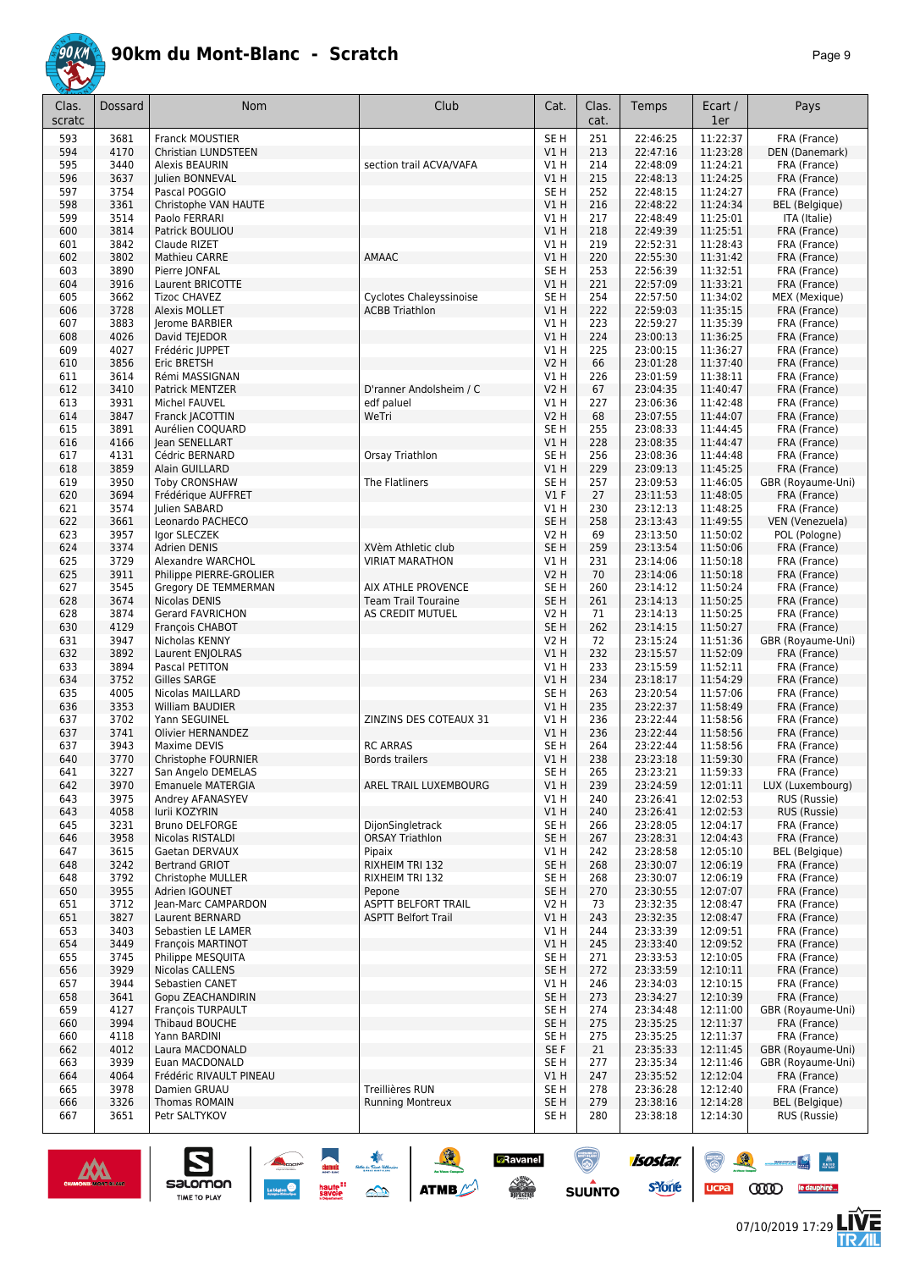

| Clas.<br>scratc | Dossard      | Nom                                     | Club                                  | Cat.                           | Clas.<br>cat. | Temps                | Ecart /<br>1er       | Pays                             |
|-----------------|--------------|-----------------------------------------|---------------------------------------|--------------------------------|---------------|----------------------|----------------------|----------------------------------|
| 593             | 3681         | Franck MOUSTIER                         |                                       | SE <sub>H</sub>                | 251           | 22:46:25             | 11:22:37             | FRA (France)                     |
| 594             | 4170         | <b>Christian LUNDSTEEN</b>              |                                       | VIH                            | 213           | 22:47:16             | 11:23:28             | DEN (Danemark)                   |
| 595             | 3440         | Alexis BEAURIN                          | section trail ACVA/VAFA               | V1 H                           | 214           | 22:48:09             | 11:24:21             | FRA (France)                     |
| 596             | 3637         | Julien BONNEVAL                         |                                       | V1H                            | 215           | 22:48:13             | 11:24:25             | FRA (France)                     |
| 597             | 3754         | Pascal POGGIO                           |                                       | SE <sub>H</sub>                | 252           | 22:48:15             | 11:24:27             | FRA (France)                     |
| 598             | 3361         | Christophe VAN HAUTE                    |                                       | VIH                            | 216           | 22:48:22             | 11:24:34             | <b>BEL</b> (Belgique)            |
| 599             | 3514         | Paolo FERRARI                           |                                       | V1 H                           | 217           | 22:48:49             | 11:25:01             | ITA (Italie)                     |
| 600             | 3814         | Patrick BOULIOU                         |                                       | V1 H                           | 218           | 22:49:39             | 11:25:51             | FRA (France)                     |
| 601             | 3842         | Claude RIZET                            |                                       | VIH                            | 219           | 22:52:31             | 11:28:43             | FRA (France)                     |
| 602<br>603      | 3802<br>3890 | Mathieu CARRE                           | AMAAC                                 | V1 H                           | 220           | 22:55:30             | 11:31:42             | FRA (France)                     |
| 604             | 3916         | Pierre JONFAL<br>Laurent BRICOTTE       |                                       | SE <sub>H</sub><br>VIH         | 253<br>221    | 22:56:39<br>22:57:09 | 11:32:51<br>11:33:21 | FRA (France)<br>FRA (France)     |
| 605             | 3662         | <b>Tizoc CHAVEZ</b>                     | <b>Cyclotes Chaleyssinoise</b>        | SE <sub>H</sub>                | 254           | 22:57:50             | 11:34:02             | MEX (Mexique)                    |
| 606             | 3728         | <b>Alexis MOLLET</b>                    | <b>ACBB Triathlon</b>                 | V1H                            | 222           | 22:59:03             | 11:35:15             | FRA (France)                     |
| 607             | 3883         | Jerome BARBIER                          |                                       | V1 H                           | 223           | 22:59:27             | 11:35:39             | FRA (France)                     |
| 608             | 4026         | David TEJEDOR                           |                                       | V1H                            | 224           | 23:00:13             | 11:36:25             | FRA (France)                     |
| 609             | 4027         | Frédéric JUPPET                         |                                       | V1 H                           | 225           | 23:00:15             | 11:36:27             | FRA (France)                     |
| 610             | 3856         | <b>Eric BRETSH</b>                      |                                       | <b>V2 H</b>                    | 66            | 23:01:28             | 11:37:40             | FRA (France)                     |
| 611             | 3614         | Rémi MASSIGNAN                          |                                       | V1 H                           | 226           | 23:01:59             | 11:38:11             | FRA (France)                     |
| 612<br>613      | 3410<br>3931 | Patrick MENTZER<br>Michel FAUVEL        | D'ranner Andolsheim / C<br>edf paluel | V2 H<br>V1 H                   | 67<br>227     | 23:04:35<br>23:06:36 | 11:40:47<br>11:42:48 | FRA (France)<br>FRA (France)     |
| 614             | 3847         | Franck JACOTTIN                         | WeTri                                 | <b>V2 H</b>                    | 68            | 23:07:55             | 11:44:07             | FRA (France)                     |
| 615             | 3891         | Aurélien COQUARD                        |                                       | SE <sub>H</sub>                | 255           | 23:08:33             | 11:44:45             | FRA (France)                     |
| 616             | 4166         | Jean SENELLART                          |                                       | V1H                            | 228           | 23:08:35             | 11:44:47             | FRA (France)                     |
| 617             | 4131         | Cédric BERNARD                          | Orsay Triathlon                       | SE <sub>H</sub>                | 256           | 23:08:36             | 11:44:48             | FRA (France)                     |
| 618             | 3859         | Alain GUILLARD                          |                                       | VIH                            | 229           | 23:09:13             | 11:45:25             | FRA (France)                     |
| 619             | 3950         | <b>Toby CRONSHAW</b>                    | The Flatliners                        | SE <sub>H</sub>                | 257           | 23:09:53             | 11:46:05             | GBR (Royaume-Uni)                |
| 620             | 3694         | Frédérique AUFFRET                      |                                       | $VI$ F                         | 27            | 23:11:53             | 11:48:05             | FRA (France)                     |
| 621             | 3574         | Julien SABARD                           |                                       | V1H                            | 230           | 23:12:13             | 11:48:25             | FRA (France)                     |
| 622<br>623      | 3661<br>3957 | Leonardo PACHECO<br>Igor SLECZEK        |                                       | SE <sub>H</sub><br><b>V2 H</b> | 258<br>69     | 23:13:43<br>23:13:50 | 11:49:55<br>11:50:02 | VEN (Venezuela)                  |
| 624             | 3374         | <b>Adrien DENIS</b>                     | XVèm Athletic club                    | SE <sub>H</sub>                | 259           | 23:13:54             | 11:50:06             | POL (Pologne)<br>FRA (France)    |
| 625             | 3729         | Alexandre WARCHOL                       | <b>VIRIAT MARATHON</b>                | V1 H                           | 231           | 23:14:06             | 11:50:18             | FRA (France)                     |
| 625             | 3911         | Philippe PIERRE-GROLIER                 |                                       | V2 H                           | 70            | 23:14:06             | 11:50:18             | FRA (France)                     |
| 627             | 3545         | Gregory DE TEMMERMAN                    | AIX ATHLE PROVENCE                    | SE H                           | 260           | 23:14:12             | 11:50:24             | FRA (France)                     |
| 628             | 3674         | Nicolas DENIS                           | <b>Team Trail Touraine</b>            | SE <sub>H</sub>                | 261           | 23:14:13             | 11:50:25             | FRA (France)                     |
| 628             | 3874         | <b>Gerard FAVRICHON</b>                 | AS CREDIT MUTUEL                      | <b>V2 H</b>                    | 71            | 23:14:13             | 11:50:25             | FRA (France)                     |
| 630             | 4129         | François CHABOT                         |                                       | SE <sub>H</sub>                | 262           | 23:14:15             | 11:50:27             | FRA (France)                     |
| 631             | 3947         | Nicholas KENNY                          |                                       | V2 H                           | 72            | 23:15:24             | 11:51:36             | GBR (Royaume-Uni)                |
| 632<br>633      | 3892<br>3894 | Laurent ENJOLRAS<br>Pascal PETITON      |                                       | V1H<br>V1 H                    | 232<br>233    | 23:15:57<br>23:15:59 | 11:52:09<br>11:52:11 | FRA (France)<br>FRA (France)     |
| 634             | 3752         | Gilles SARGE                            |                                       | V1H                            | 234           | 23:18:17             | 11:54:29             | FRA (France)                     |
| 635             | 4005         | Nicolas MAILLARD                        |                                       | SE H                           | 263           | 23:20:54             | 11:57:06             | FRA (France)                     |
| 636             | 3353         | William BAUDIER                         |                                       | VIH                            | 235           | 23:22:37             | 11:58:49             | FRA (France)                     |
| 637             | 3702         | Yann SEGUINEL                           | ZINZINS DES COTEAUX 31                | V1 H                           | 236           | 23:22:44             | 11:58:56             | FRA (France)                     |
| 637             | 3741         | Olivier HERNANDEZ                       |                                       | VIH                            | 236           | 23:22:44             | 11:58:56             | FRA (France)                     |
| 637             | 3943         | Maxime DEVIS                            | <b>RC ARRAS</b>                       | SE H                           | 264           | 23:22:44             | 11:58:56             | FRA (France)                     |
| 640             | 3770         | Christophe FOURNIER                     | <b>Bords trailers</b>                 | VIH                            | 238           | 23:23:18             | 11:59:30             | FRA (France)                     |
| 641<br>642      | 3227<br>3970 | San Angelo DEMELAS<br>Emanuele MATERGIA | AREL TRAIL LUXEMBOURG                 | SE H<br>V1H                    | 265<br>239    | 23:23:21<br>23:24:59 | 11:59:33<br>12:01:11 | FRA (France)<br>LUX (Luxembourg) |
| 643             | 3975         | Andrey AFANASYEV                        |                                       | V1 H                           | 240           | 23:26:41             | 12:02:53             | RUS (Russie)                     |
| 643             | 4058         | lurii KOZYRIN                           |                                       | V1H                            | 240           | 23:26:41             | 12:02:53             | RUS (Russie)                     |
| 645             | 3231         | <b>Bruno DELFORGE</b>                   | DijonSingletrack                      | SE <sub>H</sub>                | 266           | 23:28:05             | 12:04:17             | FRA (France)                     |
| 646             | 3958         | Nicolas RISTALDI                        | <b>ORSAY Triathlon</b>                | SE <sub>H</sub>                | 267           | 23:28:31             | 12:04:43             | FRA (France)                     |
| 647             | 3615         | Gaetan DERVAUX                          | Pipaix                                | V1 H                           | 242           | 23:28:58             | 12:05:10             | <b>BEL</b> (Belgique)            |
| 648             | 3242         | <b>Bertrand GRIOT</b>                   | RIXHEIM TRI 132                       | SE <sub>H</sub>                | 268           | 23:30:07             | 12:06:19             | FRA (France)                     |
| 648             | 3792         | Christophe MULLER                       | RIXHEIM TRI 132                       | SE H                           | 268           | 23:30:07             | 12:06:19             | FRA (France)                     |
| 650             | 3955         | Adrien IGOUNET                          | Pepone<br><b>ASPTT BELFORT TRAIL</b>  | SE H                           | 270           | 23:30:55             | 12:07:07             | FRA (France)                     |
| 651<br>651      | 3712<br>3827 | Jean-Marc CAMPARDON<br>Laurent BERNARD  | <b>ASPTT Belfort Trail</b>            | V <sub>2</sub> H<br>V1H        | 73<br>243     | 23:32:35<br>23:32:35 | 12:08:47<br>12:08:47 | FRA (France)<br>FRA (France)     |
| 653             | 3403         | Sebastien LE LAMER                      |                                       | V1 H                           | 244           | 23:33:39             | 12:09:51             | FRA (France)                     |
| 654             | 3449         | <b>Francois MARTINOT</b>                |                                       | V1 H                           | 245           | 23:33:40             | 12:09:52             | FRA (France)                     |
| 655             | 3745         | Philippe MESQUITA                       |                                       | SE H                           | 271           | 23:33:53             | 12:10:05             | FRA (France)                     |
| 656             | 3929         | Nicolas CALLENS                         |                                       | SE <sub>H</sub>                | 272           | 23:33:59             | 12:10:11             | FRA (France)                     |
| 657             | 3944         | Sebastien CANET                         |                                       | V1 H                           | 246           | 23:34:03             | 12:10:15             | FRA (France)                     |
| 658             | 3641         | Gopu ZEACHANDIRIN                       |                                       | SE <sub>H</sub>                | 273           | 23:34:27             | 12:10:39             | FRA (France)                     |
| 659             | 4127         | François TURPAULT                       |                                       | SE H                           | 274           | 23:34:48             | 12:11:00             | GBR (Royaume-Uni)                |
| 660<br>660      | 3994<br>4118 | Thibaud BOUCHE<br>Yann BARDINI          |                                       | SE <sub>H</sub><br>SE H        | 275<br>275    | 23:35:25<br>23:35:25 | 12:11:37<br>12:11:37 | FRA (France)<br>FRA (France)     |
| 662             | 4012         | Laura MACDONALD                         |                                       | SE F                           | 21            | 23:35:33             | 12:11:45             | GBR (Royaume-Uni)                |
| 663             | 3939         | Euan MACDONALD                          |                                       | SE H                           | 277           | 23:35:34             | 12:11:46             | GBR (Royaume-Uni)                |
| 664             | 4064         | Frédéric RIVAULT PINEAU                 |                                       | V1 H                           | 247           | 23:35:52             | 12:12:04             | FRA (France)                     |
| 665             | 3978         | Damien GRUAU                            | Treillières RUN                       | SE H                           | 278           | 23:36:28             | 12:12:40             | FRA (France)                     |
| 666             | 3326         | Thomas ROMAIN                           | <b>Running Montreux</b>               | SE <sub>H</sub>                | 279           | 23:38:16             | 12:14:28             | <b>BEL</b> (Belgique)            |
| 667             | 3651         | Petr SALTYKOV                           |                                       | SE H                           | 280           | 23:38:18             | 12:14:30             | RUS (Russie)                     |

ATMB

**GRavanel** 

**CONTRACTOR** 

 $\odot$ 

**SUUNTO** 

isostar.

**s**Yone

haute<sup>::</sup><br>savoie

 $\mathbb{Z}^2$ 



 $\sum_{\text{SALOMOM}}$ 

 $\mathcal{R}$ 

 $\binom{m}{\binom{n}{2}}$ 

 $ucpa$ 

 $\frac{1}{2} \frac{1}{2} \frac{1}{2} \frac{1}{2} \frac{1}{2} \frac{1}{2} \frac{1}{2} \frac{1}{2} \frac{1}{2} \frac{1}{2} \frac{1}{2} \frac{1}{2} \frac{1}{2} \frac{1}{2} \frac{1}{2} \frac{1}{2} \frac{1}{2} \frac{1}{2} \frac{1}{2} \frac{1}{2} \frac{1}{2} \frac{1}{2} \frac{1}{2} \frac{1}{2} \frac{1}{2} \frac{1}{2} \frac{1}{2} \frac{1}{2} \frac{1}{2} \frac{1}{2} \frac{1}{2} \frac{$ 

/后<br>⁄IIL

**CODO** le dauphiné...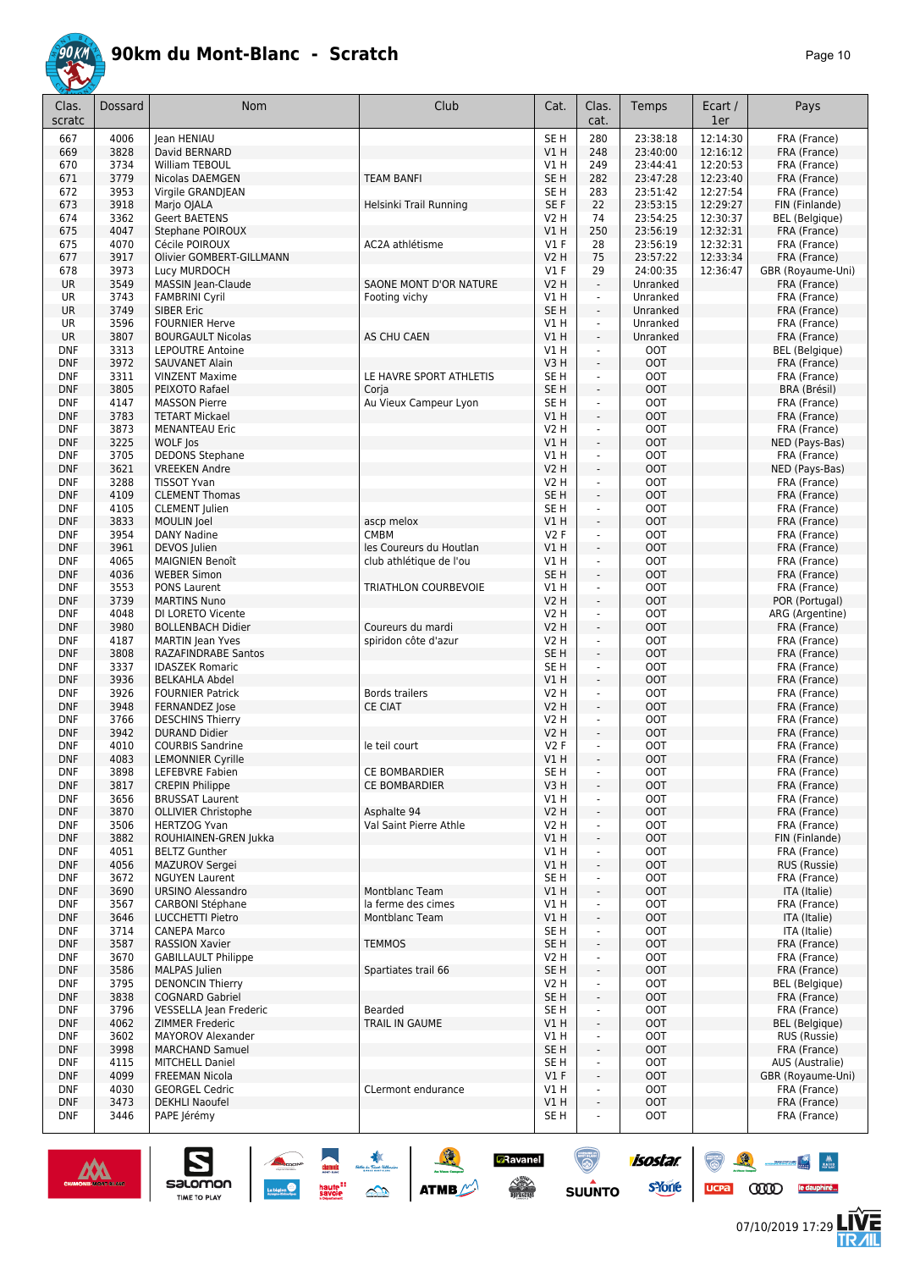

| Clas.<br>scratc          | <b>Dossard</b> | Nom                                              | Club                    | Cat.                    | Clas.<br>cat.                | Temps                    | Ecart /<br>1er | Pays                            |
|--------------------------|----------------|--------------------------------------------------|-------------------------|-------------------------|------------------------------|--------------------------|----------------|---------------------------------|
| 667                      | 4006           | lean HENIAU                                      |                         | SE <sub>H</sub>         | 280                          | 23:38:18                 | 12:14:30       | FRA (France)                    |
| 669                      | 3828           | David BERNARD                                    |                         | VIH                     | 248                          | 23:40:00                 | 12:16:12       | FRA (France)                    |
| 670                      | 3734           | William TEBOUL                                   |                         | V1 H                    | 249                          | 23:44:41                 | 12:20:53       | FRA (France)                    |
| 671                      | 3779           | Nicolas DAEMGEN                                  | <b>TEAM BANFI</b>       | SE <sub>H</sub>         | 282                          | 23:47:28                 | 12:23:40       | FRA (France)                    |
| 672                      | 3953           | Virgile GRANDJEAN                                |                         | SE H                    | 283                          | 23:51:42                 | 12:27:54       | FRA (France)                    |
| 673                      | 3918           | Marjo OJALA                                      | Helsinki Trail Running  | SE F                    | 22                           | 23:53:15                 | 12:29:27       | FIN (Finlande)                  |
| 674                      | 3362           | <b>Geert BAETENS</b>                             |                         | <b>V2 H</b>             | 74                           | 23:54:25                 | 12:30:37       | BEL (Belgique)                  |
| 675                      | 4047           | Stephane POIROUX                                 |                         | <b>V1 H</b>             | 250                          | 23:56:19                 | 12:32:31       | FRA (France)                    |
| 675                      | 4070           | Cécile POIROUX                                   | AC2A athlétisme         | $VI$ F                  | 28                           | 23:56:19                 | 12:32:31       | FRA (France)                    |
| 677                      | 3917           | Olivier GOMBERT-GILLMANN                         |                         | <b>V2 H</b>             | 75                           | 23:57:22                 | 12:33:34       | FRA (France)                    |
| 678                      | 3973           | Lucy MURDOCH                                     |                         | $VI$ F                  | 29                           | 24:00:35                 | 12:36:47       | GBR (Royaume-Uni)               |
| <b>UR</b>                | 3549           | MASSIN Jean-Claude                               | SAONE MONT D'OR NATURE  | <b>V2 H</b>             | $\blacksquare$               | Unranked                 |                | FRA (France)                    |
| UR                       | 3743           | <b>FAMBRINI Cyril</b>                            | Footing vichy           | V1H                     | $\blacksquare$               | Unranked                 |                | FRA (France)                    |
| <b>UR</b>                | 3749           | <b>SIBER Eric</b>                                |                         | SE <sub>H</sub>         | ÷.                           | Unranked                 |                | FRA (France)                    |
| UR                       | 3596           | <b>FOURNIER Herve</b>                            |                         | V1H                     | $\mathcal{L}$                | Unranked                 |                | FRA (France)                    |
| <b>UR</b>                | 3807           | <b>BOURGAULT Nicolas</b>                         | AS CHU CAEN             | V1 H                    | $\overline{\phantom{a}}$     | Unranked                 |                | FRA (France)                    |
| DNF                      | 3313           | <b>LEPOUTRE Antoine</b>                          |                         | V1 H                    | $\blacksquare$               | <b>OOT</b>               |                | BEL (Belgique)                  |
| <b>DNF</b><br><b>DNF</b> | 3972<br>3311   | SAUVANET Alain                                   | LE HAVRE SPORT ATHLETIS | V3H                     | $\overline{\phantom{a}}$     | <b>OOT</b><br><b>OOT</b> |                | FRA (France)                    |
| <b>DNF</b>               | 3805           | <b>VINZENT Maxime</b><br>PEIXOTO Rafael          | Corja                   | SE H<br>SE <sub>H</sub> | ÷<br>$\blacksquare$          | <b>OOT</b>               |                | FRA (France)<br>BRA (Brésil)    |
| <b>DNF</b>               | 4147           | <b>MASSON Pierre</b>                             | Au Vieux Campeur Lyon   | SE H                    | $\overline{\phantom{a}}$     | <b>OOT</b>               |                | FRA (France)                    |
| <b>DNF</b>               | 3783           | <b>TETART Mickael</b>                            |                         | V1H                     | $\overline{\phantom{a}}$     | <b>OOT</b>               |                | FRA (France)                    |
| <b>DNF</b>               | 3873           | <b>MENANTEAU Eric</b>                            |                         | <b>V2 H</b>             | ä,                           | <b>OOT</b>               |                | FRA (France)                    |
| <b>DNF</b>               | 3225           | WOLF Jos                                         |                         | V1H                     | ÷.                           | <b>OOT</b>               |                | NED (Pays-Bas)                  |
| <b>DNF</b>               | 3705           | <b>DEDONS Stephane</b>                           |                         | V1H                     | $\blacksquare$               | <b>OOT</b>               |                | FRA (France)                    |
| <b>DNF</b>               | 3621           | <b>VREEKEN Andre</b>                             |                         | <b>V2 H</b>             | ÷.                           | <b>OOT</b>               |                | NED (Pays-Bas)                  |
| <b>DNF</b>               | 3288           | <b>TISSOT Yvan</b>                               |                         | V2 H                    | $\blacksquare$               | <b>OOT</b>               |                | FRA (France)                    |
| <b>DNF</b>               | 4109           | <b>CLEMENT Thomas</b>                            |                         | SE <sub>H</sub>         | ÷                            | <b>OOT</b>               |                | FRA (France)                    |
| <b>DNF</b>               | 4105           | <b>CLEMENT</b> Julien                            |                         | SE H                    | ä,                           | <b>OOT</b>               |                | FRA (France)                    |
| <b>DNF</b>               | 3833           | MOULIN Joel                                      | ascp melox              | V1H                     | ÷,                           | <b>OOT</b>               |                | FRA (France)                    |
| <b>DNF</b>               | 3954           | <b>DANY Nadine</b>                               | <b>CMBM</b>             | V2F                     | ä,                           | <b>OOT</b>               |                | FRA (France)                    |
| <b>DNF</b>               | 3961           | DEVOS Julien                                     | les Coureurs du Houtlan | V1 H                    | ÷,                           | <b>OOT</b>               |                | FRA (France)                    |
| <b>DNF</b>               | 4065           | <b>MAIGNIEN Benoît</b>                           | club athlétique de l'ou | V1H                     | ä,                           | <b>OOT</b>               |                | FRA (France)                    |
| <b>DNF</b>               | 4036           | <b>WEBER Simon</b>                               |                         | SE <sub>H</sub>         | ÷,                           | <b>OOT</b>               |                | FRA (France)                    |
| <b>DNF</b>               | 3553           | PONS Laurent                                     | TRIATHLON COURBEVOIE    | V1H                     | ä,                           | <b>OOT</b>               |                | FRA (France)                    |
| <b>DNF</b>               | 3739<br>4048   | <b>MARTINS Nuno</b>                              |                         | <b>V2 H</b>             | ÷,<br>÷,                     | <b>OOT</b><br><b>OOT</b> |                | POR (Portugal)                  |
| <b>DNF</b><br><b>DNF</b> | 3980           | DI LORETO Vicente<br><b>BOLLENBACH Didier</b>    | Coureurs du mardi       | <b>V2 H</b><br>V2 H     | $\blacksquare$               | <b>OOT</b>               |                | ARG (Argentine)<br>FRA (France) |
| <b>DNF</b>               | 4187           | <b>MARTIN</b> Jean Yves                          | spiridon côte d'azur    | <b>V2 H</b>             | $\blacksquare$               | <b>OOT</b>               |                | FRA (France)                    |
| <b>DNF</b>               | 3808           | <b>RAZAFINDRABE Santos</b>                       |                         | SE <sub>H</sub>         | $\overline{\phantom{a}}$     | <b>OOT</b>               |                | FRA (France)                    |
| <b>DNF</b>               | 3337           | <b>IDASZEK Romaric</b>                           |                         | SE H                    | $\blacksquare$               | <b>OOT</b>               |                | FRA (France)                    |
| <b>DNF</b>               | 3936           | <b>BELKAHLA Abdel</b>                            |                         | V1 H                    | $\overline{\phantom{a}}$     | <b>OOT</b>               |                | FRA (France)                    |
| <b>DNF</b>               | 3926           | <b>FOURNIER Patrick</b>                          | <b>Bords trailers</b>   | <b>V2 H</b>             | ä,                           | <b>OOT</b>               |                | FRA (France)                    |
| <b>DNF</b>               | 3948           | FERNANDEZ Jose                                   | <b>CE CIAT</b>          | <b>V2 H</b>             | $\overline{\phantom{a}}$     | <b>OOT</b>               |                | FRA (France)                    |
| <b>DNF</b>               | 3766           | <b>DESCHINS Thierry</b>                          |                         | <b>V2 H</b>             | ÷,                           | <b>OOT</b>               |                | FRA (France)                    |
| <b>DNF</b>               | 3942           | <b>DURAND Didier</b>                             |                         | <b>V2 H</b>             | $\overline{\phantom{a}}$     | <b>OOT</b>               |                | FRA (France)                    |
| <b>DNF</b>               | 4010           | <b>COURBIS Sandrine</b>                          | le teil court           | V2F                     | ÷,                           | <b>OOT</b>               |                | FRA (France)                    |
| <b>DNF</b>               | 4083           | <b>LEMONNIER Cyrille</b>                         |                         | VIH                     | $\overline{\phantom{a}}$     | <b>OOT</b>               |                | FRA (France)                    |
| <b>DNF</b>               | 3898           | LEFEBVRE Fabien                                  | CE BOMBARDIER           | SE H                    | ٠                            | <b>OOT</b>               |                | FRA (France)                    |
| <b>DNF</b><br><b>DNF</b> | 3817           | <b>CREPIN Philippe</b><br><b>BRUSSAT Laurent</b> | CE BOMBARDIER           | V3H<br>VIH              | ÷<br>$\blacksquare$          | <b>OOT</b><br><b>OOT</b> |                | FRA (France)<br>FRA (France)    |
| <b>DNF</b>               | 3656<br>3870   | <b>OLLIVIER Christophe</b>                       | Asphalte 94             | V2H                     | $\blacksquare$               | <b>OOT</b>               |                | FRA (France)                    |
| <b>DNF</b>               | 3506           | <b>HERTZOG Yvan</b>                              | Val Saint Pierre Athle  | V2 H                    | $\blacksquare$               | <b>OOT</b>               |                | FRA (France)                    |
| <b>DNF</b>               | 3882           | ROUHIAINEN-GREN Jukka                            |                         | VIH                     | $\overline{\phantom{a}}$     | <b>OOT</b>               |                | FIN (Finlande)                  |
| <b>DNF</b>               | 4051           | <b>BELTZ Gunther</b>                             |                         | V1H                     | ÷                            | <b>OOT</b>               |                | FRA (France)                    |
| <b>DNF</b>               | 4056           | MAZUROV Sergei                                   |                         | V1H                     | $\overline{\phantom{a}}$     | <b>OOT</b>               |                | RUS (Russie)                    |
| <b>DNF</b>               | 3672           | <b>NGUYEN Laurent</b>                            |                         | SE <sub>H</sub>         | ÷,                           | <b>OOT</b>               |                | FRA (France)                    |
| <b>DNF</b>               | 3690           | <b>URSINO Alessandro</b>                         | Montblanc Team          | V1H                     | $\blacksquare$               | <b>OOT</b>               |                | ITA (Italie)                    |
| DNF                      | 3567           | CARBONI Stéphane                                 | la ferme des cimes      | V1H                     | ÷,                           | <b>OOT</b>               |                | FRA (France)                    |
| <b>DNF</b>               | 3646           | <b>LUCCHETTI Pietro</b>                          | Montblanc Team          | V1H                     | $\qquad \qquad \blacksquare$ | <b>OOT</b>               |                | ITA (Italie)                    |
| DNF                      | 3714           | <b>CANEPA Marco</b>                              |                         | SE H                    | $\overline{\phantom{a}}$     | <b>OOT</b>               |                | ITA (Italie)                    |
| <b>DNF</b>               | 3587           | <b>RASSION Xavier</b>                            | <b>TEMMOS</b>           | SE H                    | ÷.                           | <b>OOT</b>               |                | FRA (France)                    |
| <b>DNF</b>               | 3670           | <b>GABILLAULT Philippe</b>                       |                         | V2 H                    | $\blacksquare$               | <b>OOT</b>               |                | FRA (France)                    |
| <b>DNF</b>               | 3586           | MALPAS Julien                                    | Spartiates trail 66     | SE H                    | ÷.                           | <b>OOT</b>               |                | FRA (France)                    |
| <b>DNF</b>               | 3795           | <b>DENONCIN Thierry</b>                          |                         | V2 H                    | $\blacksquare$               | <b>OOT</b>               |                | BEL (Belgique)                  |
| <b>DNF</b>               | 3838           | <b>COGNARD Gabriel</b>                           |                         | SE H                    | $\blacksquare$               | <b>OOT</b>               |                | FRA (France)                    |
| <b>DNF</b>               | 3796           | VESSELLA Jean Frederic<br>ZIMMER Frederic        | Bearded                 | SE H<br>V1 H            | ÷,                           | OOT<br><b>OOT</b>        |                | FRA (France)                    |
| <b>DNF</b><br><b>DNF</b> | 4062<br>3602   | MAYOROV Alexander                                | TRAIL IN GAUME          | V1H                     | $\blacksquare$<br>÷,         | <b>OOT</b>               |                | BEL (Belgique)<br>RUS (Russie)  |
| <b>DNF</b>               | 3998           | <b>MARCHAND Samuel</b>                           |                         | SE H                    | $\overline{\phantom{a}}$     | <b>OOT</b>               |                | FRA (France)                    |
| <b>DNF</b>               | 4115           | <b>MITCHELL Daniel</b>                           |                         | SE H                    | $\overline{\phantom{a}}$     | <b>OOT</b>               |                | AUS (Australie)                 |
| <b>DNF</b>               | 4099           | <b>FREEMAN Nicola</b>                            |                         | V1F                     | $\blacksquare$               | <b>OOT</b>               |                | GBR (Royaume-Uni)               |
| <b>DNF</b>               | 4030           | <b>GEORGEL Cedric</b>                            | CLermont endurance      | V1 H                    | $\blacksquare$               | <b>OOT</b>               |                | FRA (France)                    |
| <b>DNF</b>               |                |                                                  |                         |                         | $\blacksquare$               |                          |                | FRA (France)                    |
|                          | 3473           | <b>DEKHLI Naoufel</b>                            |                         | V1H                     |                              | <b>OOT</b>               |                |                                 |



 $\sum_{\text{SALOMOM}}$ 

**A** 

ATMB

**COOD** 

 $\begin{array}{|c|c|c|c|}\hline \mathbf{N} & \mathbf{M} \\ \hline \mathbf{M} & \mathbf{M} \end{array}$ 

le dauphiné...

怎

isostar.

**s**Yone

 $\overline{\mathbb{R}}$ 

 $ucpa$ 

 $\bigcirc$ 

**SUUNTO** 

**a**Ravanel

 $\begin{array}{c} \mathcal{N}^{\text{obs}} \\ \hline \text{Liplicity} \end{array}$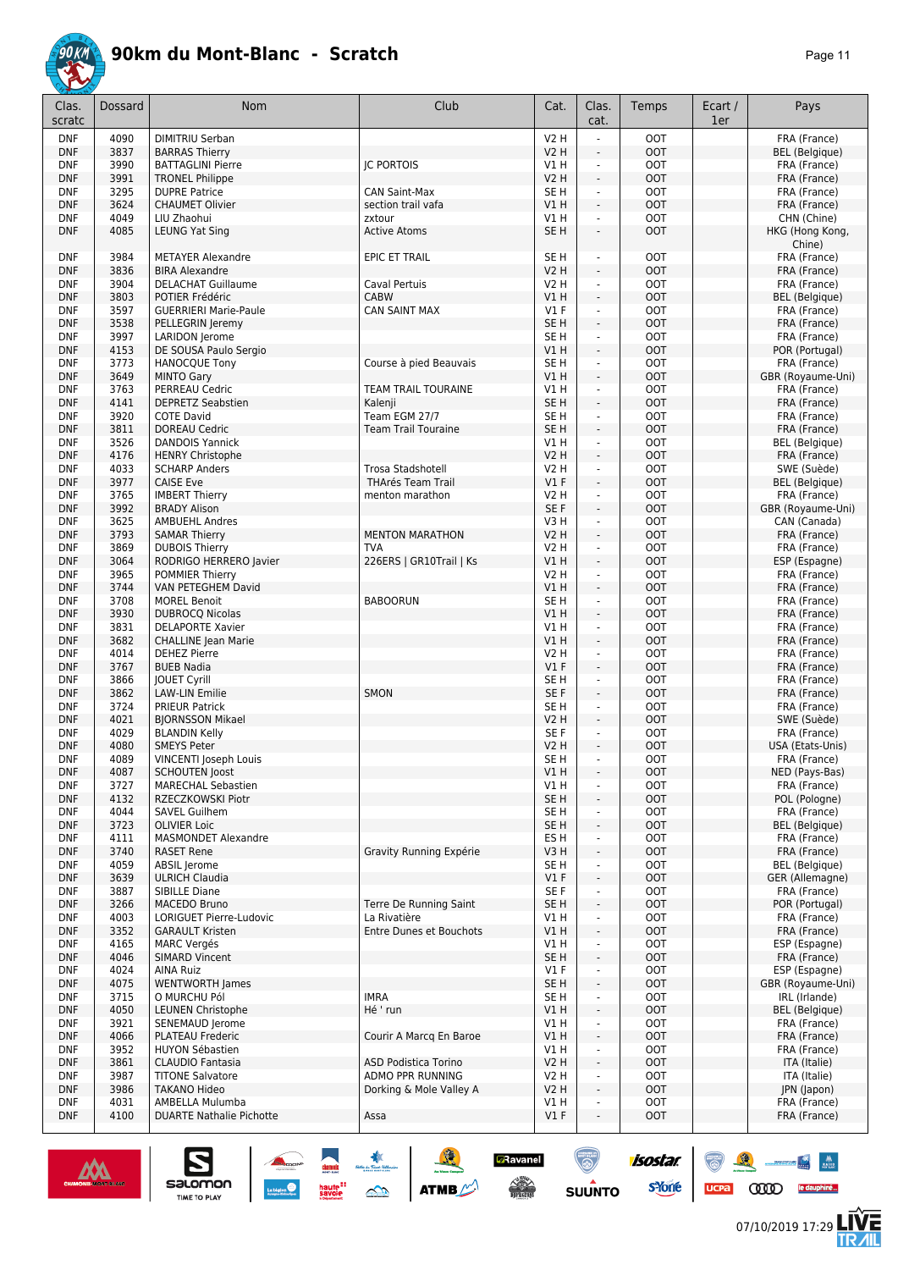

| Clas.<br>scratc          | <b>Dossard</b> | <b>Nom</b>                                        | Club                                        | Cat.                      | Clas.<br>cat.                                        | Temps                    | Ecart /<br>1er | Pays                                  |
|--------------------------|----------------|---------------------------------------------------|---------------------------------------------|---------------------------|------------------------------------------------------|--------------------------|----------------|---------------------------------------|
| <b>DNF</b>               | 4090           | DIMITRIU Serban                                   |                                             | <b>V2 H</b>               |                                                      | <b>OOT</b>               |                | FRA (France)                          |
| <b>DNF</b>               | 3837           | <b>BARRAS Thierry</b>                             |                                             | <b>V2 H</b>               | ÷,                                                   | <b>OOT</b>               |                | <b>BEL</b> (Belgique)                 |
| <b>DNF</b>               | 3990           | <b>BATTAGLINI Pierre</b>                          | <b>IC PORTOIS</b>                           | V1H                       | $\blacksquare$                                       | <b>OOT</b>               |                | FRA (France)                          |
| <b>DNF</b><br><b>DNF</b> | 3991<br>3295   | <b>TRONEL Philippe</b><br><b>DUPRE Patrice</b>    | <b>CAN Saint-Max</b>                        | <b>V2 H</b><br>SE H       | $\sim$<br>ä,                                         | <b>OOT</b><br><b>OOT</b> |                | FRA (France)<br>FRA (France)          |
| <b>DNF</b>               | 3624           | <b>CHAUMET Olivier</b>                            | section trail vafa                          | VIH                       | $\sim$                                               | <b>OOT</b>               |                | FRA (France)                          |
| <b>DNF</b>               | 4049           | LIU Zhaohui                                       | zxtour                                      | V1 H                      | ÷,                                                   | <b>OOT</b>               |                | CHN (Chine)                           |
| <b>DNF</b>               | 4085           | <b>LEUNG Yat Sing</b>                             | <b>Active Atoms</b>                         | SE <sub>H</sub>           | $\overline{\phantom{a}}$                             | <b>OOT</b>               |                | HKG (Hong Kong,<br>Chine)             |
| <b>DNF</b>               | 3984           | <b>METAYER Alexandre</b>                          | <b>EPIC ET TRAIL</b>                        | SE <sub>H</sub>           | ÷,                                                   | <b>OOT</b>               |                | FRA (France)                          |
| <b>DNF</b>               | 3836           | <b>BIRA Alexandre</b>                             |                                             | <b>V2 H</b>               | $\sim$                                               | <b>OOT</b>               |                | FRA (France)                          |
| <b>DNF</b>               | 3904           | <b>DELACHAT Guillaume</b>                         | Caval Pertuis                               | V2 H                      | $\overline{\phantom{a}}$                             | <b>OOT</b>               |                | FRA (France)                          |
| <b>DNF</b>               | 3803<br>3597   | POTIER Frédéric<br><b>GUERRIERI Marie-Paule</b>   | <b>CABW</b>                                 | VIH<br>$VI$ F             | $\sim$<br>$\omega$                                   | <b>OOT</b><br><b>OOT</b> |                | <b>BEL</b> (Belgique)<br>FRA (France) |
| <b>DNF</b><br><b>DNF</b> | 3538           | PELLEGRIN Jeremy                                  | <b>CAN SAINT MAX</b>                        | SE <sub>H</sub>           | $\sim$                                               | <b>OOT</b>               |                | FRA (France)                          |
| <b>DNF</b>               | 3997           | <b>LARIDON</b> Jerome                             |                                             | SE <sub>H</sub>           | ä,                                                   | <b>OOT</b>               |                | FRA (France)                          |
| <b>DNF</b>               | 4153           | DE SOUSA Paulo Sergio                             |                                             | V1 H                      | ÷,                                                   | <b>OOT</b>               |                | POR (Portugal)                        |
| <b>DNF</b>               | 3773           | <b>HANOCQUE Tony</b>                              | Course à pied Beauvais                      | SE <sub>H</sub>           | ÷,                                                   | <b>OOT</b>               |                | FRA (France)                          |
| <b>DNF</b>               | 3649           | <b>MINTO Gary</b>                                 |                                             | VIH                       | $\sim$                                               | OOT                      |                | GBR (Royaume-Uni)                     |
| <b>DNF</b>               | 3763           | PERREAU Cedric                                    | <b>TEAM TRAIL TOURAINE</b>                  | V1 H                      | ÷.                                                   | <b>OOT</b>               |                | FRA (France)                          |
| <b>DNF</b>               | 4141           | <b>DEPRETZ Seabstien</b>                          | Kalenji                                     | SE <sub>H</sub>           | $\blacksquare$                                       | OOT                      |                | FRA (France)                          |
| <b>DNF</b>               | 3920           | <b>COTE David</b>                                 | Team EGM 27/7                               | SE <sub>H</sub>           | $\overline{\phantom{a}}$                             | <b>OOT</b>               |                | FRA (France)                          |
| <b>DNF</b><br><b>DNF</b> | 3811<br>3526   | <b>DOREAU Cedric</b><br><b>DANDOIS Yannick</b>    | <b>Team Trail Touraine</b>                  | SE <sub>H</sub><br>V1H    | ÷,<br>÷.                                             | <b>OOT</b><br><b>OOT</b> |                | FRA (France)<br><b>BEL</b> (Belgique) |
| <b>DNF</b>               | 4176           | <b>HENRY Christophe</b>                           |                                             | <b>V2 H</b>               | $\sim$                                               | <b>OOT</b>               |                | FRA (France)                          |
| <b>DNF</b>               | 4033           | <b>SCHARP Anders</b>                              | Trosa Stadshotell                           | V2 H                      | $\blacksquare$                                       | <b>OOT</b>               |                | SWE (Suède)                           |
| <b>DNF</b>               | 3977           | <b>CAISE Eve</b>                                  | <b>THArés Team Trail</b>                    | $VI$ F                    | $\blacksquare$                                       | <b>OOT</b>               |                | <b>BEL</b> (Belgique)                 |
| <b>DNF</b>               | 3765           | <b>IMBERT Thierry</b>                             | menton marathon                             | V2 H                      | $\blacksquare$                                       | <b>OOT</b>               |                | FRA (France)                          |
| <b>DNF</b>               | 3992           | <b>BRADY Alison</b>                               |                                             | SE F                      | $\blacksquare$                                       | <b>OOT</b>               |                | GBR (Royaume-Uni)                     |
| <b>DNF</b>               | 3625           | <b>AMBUEHL Andres</b>                             |                                             | V3H                       | $\omega$                                             | <b>OOT</b>               |                | CAN (Canada)                          |
| <b>DNF</b>               | 3793           | <b>SAMAR Thierry</b>                              | <b>MENTON MARATHON</b>                      | V2 H                      | $\sim$                                               | OOT                      |                | FRA (France)                          |
| <b>DNF</b>               | 3869           | <b>DUBOIS Thierry</b>                             | <b>TVA</b>                                  | <b>V2 H</b>               | ÷.                                                   | <b>OOT</b>               |                | FRA (France)                          |
| <b>DNF</b>               | 3064           | RODRIGO HERRERO Javier                            | 226ERS   GR10Trail   Ks                     | V1H                       | $\overline{\phantom{a}}$                             | <b>OOT</b>               |                | ESP (Espagne)                         |
| <b>DNF</b><br><b>DNF</b> | 3965<br>3744   | <b>POMMIER Thierry</b><br>VAN PETEGHEM David      |                                             | <b>V2 H</b><br>VIH        | $\overline{\phantom{a}}$<br>$\blacksquare$           | <b>OOT</b><br><b>OOT</b> |                | FRA (France)<br>FRA (France)          |
| <b>DNF</b>               | 3708           | <b>MOREL Benoit</b>                               | <b>BABOORUN</b>                             | SE <sub>H</sub>           | $\mathbf{r}$                                         | <b>OOT</b>               |                | FRA (France)                          |
| <b>DNF</b>               | 3930           | <b>DUBROCQ Nicolas</b>                            |                                             | VIH                       | $\overline{\phantom{a}}$                             | <b>OOT</b>               |                | FRA (France)                          |
| <b>DNF</b>               | 3831           | <b>DELAPORTE Xavier</b>                           |                                             | VIH                       | ä,                                                   | <b>OOT</b>               |                | FRA (France)                          |
| <b>DNF</b>               | 3682           | <b>CHALLINE Jean Marie</b>                        |                                             | VIH                       | ÷,                                                   | OOT                      |                | FRA (France)                          |
| <b>DNF</b>               | 4014           | <b>DEHEZ Pierre</b>                               |                                             | V2 H                      | $\overline{\phantom{a}}$                             | <b>OOT</b>               |                | FRA (France)                          |
| <b>DNF</b>               | 3767           | <b>BUEB Nadia</b>                                 |                                             | $VI$ F                    | $\sim$                                               | <b>OOT</b>               |                | FRA (France)                          |
| <b>DNF</b>               | 3866           | <b>IOUET Cyrill</b>                               |                                             | SE H                      | $\overline{\phantom{a}}$                             | <b>OOT</b>               |                | FRA (France)                          |
| <b>DNF</b>               | 3862           | <b>LAW-LIN Emilie</b>                             | SMON                                        | SE F                      | $\sim$                                               | <b>OOT</b>               |                | FRA (France)                          |
| <b>DNF</b><br><b>DNF</b> | 3724<br>4021   | <b>PRIEUR Patrick</b><br><b>BJORNSSON Mikael</b>  |                                             | SE <sub>H</sub><br>V2 H   | ÷.<br>$\sim$                                         | <b>OOT</b><br>OOT        |                | FRA (France)<br>SWE (Suède)           |
| <b>DNF</b>               | 4029           | <b>BLANDIN Kelly</b>                              |                                             | SE F                      | $\overline{a}$                                       | <b>OOT</b>               |                | FRA (France)                          |
| <b>DNF</b>               | 4080           | <b>SMEYS Peter</b>                                |                                             | V2 H                      | $\blacksquare$                                       | OOT                      |                | USA (Etats-Unis)                      |
| <b>DNF</b>               | 4089           | VINCENTI Joseph Louis                             |                                             | SE H                      | $\overline{a}$                                       | <b>OOT</b>               |                | FRA (France)                          |
| <b>DNF</b>               | 4087           | <b>SCHOUTEN Joost</b>                             |                                             | V1H                       | $\overline{\phantom{a}}$                             | OOT                      |                | NED (Pays-Bas)                        |
| <b>DNF</b>               | 3727           | <b>MARECHAL Sebastien</b>                         |                                             | V1H                       | $\blacksquare$                                       | <b>OOT</b>               |                | FRA (France)                          |
| <b>DNF</b>               | 4132           | RZECZKOWSKI Piotr                                 |                                             | SE <sub>H</sub>           | $\Box$                                               | <b>OOT</b>               |                | POL (Pologne)                         |
| <b>DNF</b>               | 4044           | SAVEL Guilhem                                     |                                             | SE <sub>H</sub>           | $\overline{\phantom{a}}$                             | <b>OOT</b>               |                | FRA (France)                          |
| <b>DNF</b>               | 3723           | <b>OLIVIER Loic</b><br><b>MASMONDET Alexandre</b> |                                             | SE H                      | $\overline{\phantom{a}}$                             | OOT                      |                | <b>BEL</b> (Belgique)                 |
| <b>DNF</b><br><b>DNF</b> | 4111<br>3740   | <b>RASET Rene</b>                                 | Gravity Running Expérie                     | ES H<br>V3 H              | $\overline{\phantom{a}}$<br>$\overline{\phantom{a}}$ | <b>OOT</b><br><b>OOT</b> |                | FRA (France)<br>FRA (France)          |
| <b>DNF</b>               | 4059           | ABSIL Jerome                                      |                                             | SE H                      | $\overline{\phantom{a}}$                             | <b>OOT</b>               |                | BEL (Belgique)                        |
| <b>DNF</b>               | 3639           | <b>ULRICH Claudia</b>                             |                                             | $VI$ F                    | ÷,                                                   | <b>OOT</b>               |                | GER (Allemagne)                       |
| <b>DNF</b>               | 3887           | SIBILLE Diane                                     |                                             | SE F                      | $\overline{\phantom{a}}$                             | <b>OOT</b>               |                | FRA (France)                          |
| <b>DNF</b>               | 3266           | MACEDO Bruno                                      | Terre De Running Saint                      | SE <sub>H</sub>           | ÷,                                                   | <b>OOT</b>               |                | POR (Portugal)                        |
| <b>DNF</b>               | 4003           | <b>LORIGUET Pierre-Ludovic</b>                    | La Rivatière                                | V1H                       | ä,                                                   | <b>OOT</b>               |                | FRA (France)                          |
| <b>DNF</b>               | 3352           | <b>GARAULT Kristen</b>                            | Entre Dunes et Bouchots                     | VIH                       | ۷                                                    | <b>OOT</b>               |                | FRA (France)                          |
| <b>DNF</b>               | 4165           | <b>MARC Vergés</b>                                |                                             | V1H                       | $\overline{\phantom{a}}$                             | <b>OOT</b>               |                | ESP (Espagne)                         |
| <b>DNF</b><br><b>DNF</b> | 4046<br>4024   | <b>SIMARD Vincent</b><br><b>AINA Ruiz</b>         |                                             | SE <sub>H</sub><br>$VI$ F | ÷,<br>$\overline{\phantom{a}}$                       | <b>OOT</b><br><b>OOT</b> |                | FRA (France)<br>ESP (Espagne)         |
| <b>DNF</b>               | 4075           | <b>WENTWORTH James</b>                            |                                             | SE <sub>H</sub>           | $\frac{1}{2}$                                        | <b>OOT</b>               |                | GBR (Royaume-Uni)                     |
| <b>DNF</b>               | 3715           | O MURCHU Pól                                      | <b>IMRA</b>                                 | SE H                      | ÷                                                    | <b>OOT</b>               |                | IRL (Irlande)                         |
| <b>DNF</b>               | 4050           | <b>LEUNEN Christophe</b>                          | Hé ' run                                    | V1 H                      | $\overline{\phantom{a}}$                             | <b>OOT</b>               |                | <b>BEL</b> (Belgique)                 |
| <b>DNF</b>               | 3921           | SENEMAUD Jerome                                   |                                             | V1 H                      | ä,                                                   | <b>OOT</b>               |                | FRA (France)                          |
| <b>DNF</b>               | 4066           | PLATEAU Frederic                                  | Courir A Marcq En Baroe                     | VIH                       | $\overline{\phantom{a}}$                             | <b>OOT</b>               |                | FRA (France)                          |
| <b>DNF</b>               | 3952           | <b>HUYON Sébastien</b>                            |                                             | V1H                       | ÷,                                                   | <b>OOT</b>               |                | FRA (France)                          |
| <b>DNF</b>               | 3861           | <b>CLAUDIO Fantasia</b>                           | <b>ASD Podistica Torino</b>                 | <b>V2 H</b>               | ÷,                                                   | <b>OOT</b>               |                | ITA (Italie)                          |
| <b>DNF</b><br><b>DNF</b> | 3987<br>3986   | <b>TITONE Salvatore</b><br><b>TAKANO Hideo</b>    | ADMO PPR RUNNING<br>Dorking & Mole Valley A | V2 H<br><b>V2 H</b>       | $\overline{\phantom{a}}$<br>÷,                       | <b>OOT</b><br><b>OOT</b> |                | ITA (Italie)<br>JPN (Japon)           |
| <b>DNF</b>               | 4031           | AMBELLA Mulumba                                   |                                             | V1H                       | ä,                                                   | <b>OOT</b>               |                | FRA (France)                          |
| <b>DNF</b>               | 4100           | <b>DUARTE Nathalie Pichotte</b>                   | Assa                                        | $VI$ F                    | ÷,                                                   | <b>OOT</b>               |                | FRA (France)                          |
|                          |                |                                                   |                                             |                           |                                                      |                          |                |                                       |



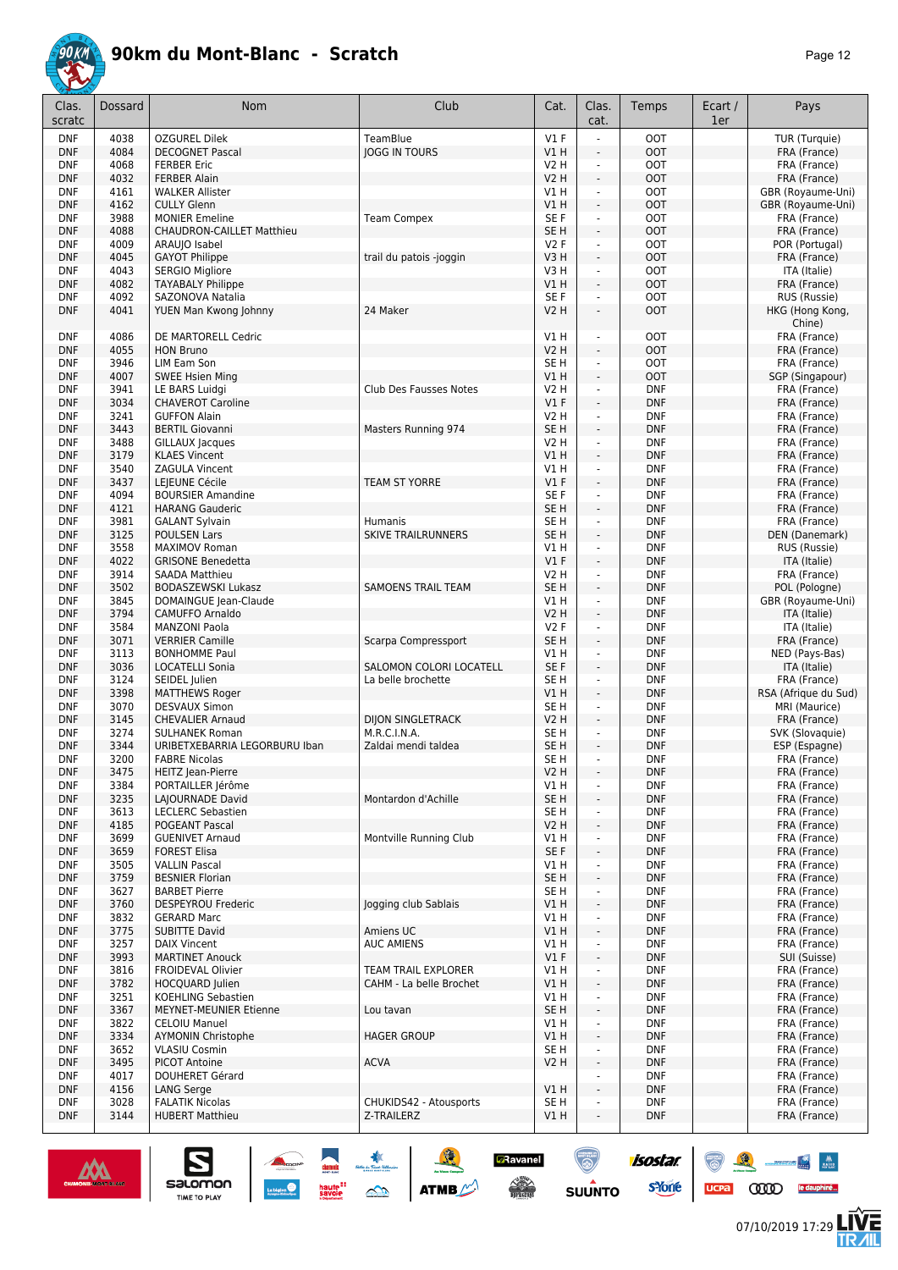

| Clas.<br>scratc          | Dossard      | <b>Nom</b>                                        | Club                      | Cat.                      | Clas.<br>cat.                                        | Temps                    | Ecart /<br>1er | Pays                              |
|--------------------------|--------------|---------------------------------------------------|---------------------------|---------------------------|------------------------------------------------------|--------------------------|----------------|-----------------------------------|
| <b>DNF</b>               | 4038         | <b>OZGUREL Dilek</b>                              | TeamBlue                  | $VI$ F                    |                                                      | <b>OOT</b>               |                | TUR (Turquie)                     |
| <b>DNF</b>               | 4084         | <b>DECOGNET Pascal</b>                            | <b>JOGG IN TOURS</b>      | V1 H                      | $\overline{\phantom{a}}$                             | <b>OOT</b>               |                | FRA (France)                      |
| <b>DNF</b>               | 4068         | <b>FERBER Eric</b>                                |                           | <b>V2 H</b>               | ÷,                                                   | <b>OOT</b>               |                | FRA (France)                      |
| <b>DNF</b>               | 4032         | <b>FERBER Alain</b>                               |                           | <b>V2 H</b>               | $\omega$                                             | <b>OOT</b>               |                | FRA (France)                      |
| <b>DNF</b>               | 4161<br>4162 | <b>WALKER Allister</b>                            |                           | V1H<br>VIH                | ÷,<br>$\overline{\phantom{a}}$                       | <b>OOT</b><br><b>OOT</b> |                | GBR (Royaume-Uni)                 |
| <b>DNF</b><br><b>DNF</b> | 3988         | <b>CULLY Glenn</b><br><b>MONIER Emeline</b>       | <b>Team Compex</b>        | SE F                      | $\overline{\phantom{a}}$                             | <b>OOT</b>               |                | GBR (Royaume-Uni)<br>FRA (France) |
| <b>DNF</b>               | 4088         | <b>CHAUDRON-CAILLET Matthieu</b>                  |                           | SE <sub>H</sub>           | $\Box$                                               | <b>OOT</b>               |                | FRA (France)                      |
| <b>DNF</b>               | 4009         | ARAUJO Isabel                                     |                           | V2F                       | $\blacksquare$                                       | <b>OOT</b>               |                | POR (Portugal)                    |
| <b>DNF</b>               | 4045         | <b>GAYOT Philippe</b>                             | trail du patois -joggin   | V3H                       | ÷.                                                   | <b>OOT</b>               |                | FRA (France)                      |
| <b>DNF</b>               | 4043         | <b>SERGIO Migliore</b>                            |                           | V3H                       | $\blacksquare$                                       | <b>OOT</b>               |                | ITA (Italie)                      |
| <b>DNF</b>               | 4082         | <b>TAYABALY Philippe</b>                          |                           | VIH                       | $\blacksquare$                                       | <b>OOT</b>               |                | FRA (France)                      |
| <b>DNF</b>               | 4092         | SAZONOVA Natalia                                  |                           | SE F                      | $\blacksquare$                                       | <b>OOT</b>               |                | RUS (Russie)                      |
| <b>DNF</b>               | 4041         | YUEN Man Kwong Johnny                             | 24 Maker                  | <b>V2 H</b>               | L,                                                   | <b>OOT</b>               |                | HKG (Hong Kong,<br>Chine)         |
| <b>DNF</b>               | 4086         | DE MARTORELL Cedric                               |                           | V1H                       | ä,                                                   | <b>OOT</b>               |                | FRA (France)                      |
| <b>DNF</b>               | 4055         | <b>HON Bruno</b>                                  |                           | <b>V2 H</b>               | $\overline{\phantom{a}}$                             | <b>OOT</b>               |                | FRA (France)                      |
| <b>DNF</b><br><b>DNF</b> | 3946<br>4007 | LIM Eam Son                                       |                           | SE <sub>H</sub><br>V1H    | $\overline{\phantom{a}}$<br>$\overline{\phantom{a}}$ | <b>OOT</b><br><b>OOT</b> |                | FRA (France)                      |
| <b>DNF</b>               | 3941         | <b>SWEE Hsien Ming</b><br>LE BARS Luidgi          | Club Des Fausses Notes    | V2 H                      | $\overline{\phantom{a}}$                             | <b>DNF</b>               |                | SGP (Singapour)<br>FRA (France)   |
| <b>DNF</b>               | 3034         | <b>CHAVEROT Caroline</b>                          |                           | $VI$ F                    | $\Box$                                               | <b>DNF</b>               |                | FRA (France)                      |
| <b>DNF</b>               | 3241         | <b>GUFFON Alain</b>                               |                           | V2 H                      | $\blacksquare$                                       | <b>DNF</b>               |                | FRA (France)                      |
| <b>DNF</b>               | 3443         | <b>BERTIL Giovanni</b>                            | Masters Running 974       | SE <sub>H</sub>           | ÷.                                                   | <b>DNF</b>               |                | FRA (France)                      |
| <b>DNF</b>               | 3488         | GILLAUX Jacques                                   |                           | <b>V2 H</b>               | $\blacksquare$                                       | <b>DNF</b>               |                | FRA (France)                      |
| <b>DNF</b>               | 3179         | <b>KLAES Vincent</b>                              |                           | VIH                       | ÷.                                                   | <b>DNF</b>               |                | FRA (France)                      |
| <b>DNF</b>               | 3540         | ZAGULA Vincent                                    |                           | V1 H                      | ä,                                                   | <b>DNF</b>               |                | FRA (France)                      |
| <b>DNF</b>               | 3437         | LEJEUNE Cécile                                    | <b>TEAM ST YORRE</b>      | V1F                       | ÷,                                                   | <b>DNF</b>               |                | FRA (France)                      |
| <b>DNF</b>               | 4094         | <b>BOURSIER Amandine</b>                          |                           | SE F                      | ÷,                                                   | <b>DNF</b>               |                | FRA (France)                      |
| <b>DNF</b>               | 4121         | <b>HARANG Gauderic</b>                            |                           | SE <sub>H</sub>           | ÷,                                                   | <b>DNF</b>               |                | FRA (France)                      |
| <b>DNF</b>               | 3981         | <b>GALANT Sylvain</b>                             | <b>Humanis</b>            | SE <sub>H</sub>           | ä,                                                   | <b>DNF</b>               |                | FRA (France)                      |
| <b>DNF</b>               | 3125<br>3558 | <b>POULSEN Lars</b>                               | <b>SKIVE TRAILRUNNERS</b> | SE <sub>H</sub><br>$VI$ H | ÷,<br>ä,                                             | <b>DNF</b><br><b>DNF</b> |                | DEN (Danemark)                    |
| <b>DNF</b><br><b>DNF</b> | 4022         | <b>MAXIMOV Roman</b><br><b>GRISONE Benedetta</b>  |                           | V1F                       | ÷,                                                   | <b>DNF</b>               |                | RUS (Russie)<br>ITA (Italie)      |
| <b>DNF</b>               | 3914         | <b>SAADA Matthieu</b>                             |                           | <b>V2 H</b>               | $\blacksquare$                                       | <b>DNF</b>               |                | FRA (France)                      |
| <b>DNF</b>               | 3502         | <b>BODASZEWSKI Lukasz</b>                         | <b>SAMOENS TRAIL TEAM</b> | SE <sub>H</sub>           | $\overline{\phantom{a}}$                             | <b>DNF</b>               |                | POL (Pologne)                     |
| <b>DNF</b>               | 3845         | DOMAINGUE Jean-Claude                             |                           | V1 H                      | $\blacksquare$                                       | <b>DNF</b>               |                | GBR (Royaume-Uni)                 |
| <b>DNF</b>               | 3794         | <b>CAMUFFO Arnaldo</b>                            |                           | V2 H                      | ÷,                                                   | <b>DNF</b>               |                | ITA (Italie)                      |
| <b>DNF</b>               | 3584         | <b>MANZONI Paola</b>                              |                           | V2F                       | ÷,                                                   | <b>DNF</b>               |                | ITA (Italie)                      |
| <b>DNF</b>               | 3071         | <b>VERRIER Camille</b>                            | Scarpa Compressport       | SE <sub>H</sub>           | $\omega$                                             | <b>DNF</b>               |                | FRA (France)                      |
| <b>DNF</b>               | 3113         | <b>BONHOMME Paul</b>                              |                           | V1 H                      | ä,                                                   | <b>DNF</b>               |                | NED (Pays-Bas)                    |
| <b>DNF</b>               | 3036         | LOCATELLI Sonia                                   | SALOMON COLORI LOCATELL   | SE F                      | $\overline{\phantom{a}}$                             | <b>DNF</b>               |                | ITA (Italie)                      |
| <b>DNF</b>               | 3124         | SEIDEL Julien                                     | La belle brochette        | SE <sub>H</sub>           | $\overline{\phantom{a}}$                             | <b>DNF</b>               |                | FRA (France)                      |
| <b>DNF</b><br><b>DNF</b> | 3398<br>3070 | <b>MATTHEWS Roger</b><br><b>DESVAUX Simon</b>     |                           | V1H<br>SE <sub>H</sub>    | $\overline{\phantom{a}}$<br>ä,                       | <b>DNF</b><br><b>DNF</b> |                | RSA (Afrique du Sud)              |
| <b>DNF</b>               | 3145         | <b>CHEVALIER Arnaud</b>                           | <b>DIJON SINGLETRACK</b>  | <b>V2 H</b>               | ÷,                                                   | <b>DNF</b>               |                | MRI (Maurice)<br>FRA (France)     |
| <b>DNF</b>               | 3274         | <b>SULHANEK Roman</b>                             | M.R.C.I.N.A.              | SE <sub>H</sub>           | $\overline{\phantom{a}}$                             | <b>DNF</b>               |                | SVK (Slovaquie)                   |
| <b>DNF</b>               | 3344         | URIBETXEBARRIA LEGORBURU Iban                     | Zaldai mendi taldea       | SE <sub>H</sub>           | $\blacksquare$                                       | <b>DNF</b>               |                | ESP (Espagne)                     |
| <b>DNF</b>               | 3200         | <b>FABRE Nicolas</b>                              |                           | SE H                      | ä,                                                   | <b>DNF</b>               |                | FRA (France)                      |
| DNF                      | 3475         | <b>HEITZ</b> Jean-Pierre                          |                           | V2 H                      | ÷                                                    | <b>DNF</b>               |                | FRA (France)                      |
| <b>DNF</b>               | 3384         | PORTAILLER Jérôme                                 |                           | V1H                       | $\blacksquare$                                       | <b>DNF</b>               |                | FRA (France)                      |
| <b>DNF</b>               | 3235         | LAJOURNADE David                                  | Montardon d'Achille       | SE H                      | ÷                                                    | <b>DNF</b>               |                | FRA (France)                      |
| <b>DNF</b>               | 3613         | <b>LECLERC Sebastien</b>                          |                           | SE H                      | ä,                                                   | <b>DNF</b>               |                | FRA (France)                      |
| <b>DNF</b>               | 4185         | POGEANT Pascal                                    |                           | V2H                       | $\overline{\phantom{a}}$                             | <b>DNF</b>               |                | FRA (France)                      |
| <b>DNF</b>               | 3699         | <b>GUENIVET Arnaud</b>                            | Montville Running Club    | VIH                       | ÷,                                                   | <b>DNF</b>               |                | FRA (France)                      |
| <b>DNF</b><br><b>DNF</b> | 3659<br>3505 | <b>FOREST Elisa</b><br><b>VALLIN Pascal</b>       |                           | SE F<br>V1 H              | $\blacksquare$<br>÷,                                 | <b>DNF</b><br><b>DNF</b> |                | FRA (France)<br>FRA (France)      |
| <b>DNF</b>               | 3759         | <b>BESNIER Florian</b>                            |                           | SE H                      | ÷,                                                   | <b>DNF</b>               |                | FRA (France)                      |
| DNF                      | 3627         | <b>BARBET Pierre</b>                              |                           | SE H                      | $\blacksquare$                                       | <b>DNF</b>               |                | FRA (France)                      |
| <b>DNF</b>               | 3760         | DESPEYROU Frederic                                | logging club Sablais      | V1 H                      | ÷                                                    | <b>DNF</b>               |                | FRA (France)                      |
| <b>DNF</b>               | 3832         | <b>GERARD Marc</b>                                |                           | VIH                       | ä,                                                   | <b>DNF</b>               |                | FRA (France)                      |
| <b>DNF</b>               | 3775         | <b>SUBITTE David</b>                              | Amiens UC                 | V1 H                      | ÷.                                                   | <b>DNF</b>               |                | FRA (France)                      |
| <b>DNF</b>               | 3257         | <b>DAIX Vincent</b>                               | <b>AUC AMIENS</b>         | V1 H                      | ä,                                                   | <b>DNF</b>               |                | FRA (France)                      |
| <b>DNF</b>               | 3993         | <b>MARTINET Anouck</b>                            |                           | $VI$ F                    | $\overline{\phantom{a}}$                             | <b>DNF</b>               |                | SUI (Suisse)                      |
| <b>DNF</b>               | 3816         | FROIDEVAL Olivier                                 | TEAM TRAIL EXPLORER       | V1 H                      | ÷,                                                   | <b>DNF</b>               |                | FRA (France)                      |
| <b>DNF</b>               | 3782         | HOCQUARD Julien                                   | CAHM - La belle Brochet   | V1H                       | ÷,                                                   | <b>DNF</b>               |                | FRA (France)                      |
| <b>DNF</b>               | 3251         | KOEHLING Sebastien                                |                           | VIH                       | ÷,                                                   | <b>DNF</b>               |                | FRA (France)                      |
| <b>DNF</b>               | 3367         | MEYNET-MEUNIER Etienne                            | Lou tavan                 | SE H                      | $\overline{\phantom{a}}$                             | <b>DNF</b>               |                | FRA (France)                      |
| <b>DNF</b>               | 3822<br>3334 | <b>CELOIU Manuel</b>                              |                           | VIH<br>V1H                | $\overline{\phantom{a}}$                             | <b>DNF</b>               |                | FRA (France)                      |
| <b>DNF</b><br>DNF        | 3652         | <b>AYMONIN Christophe</b><br><b>VLASIU Cosmin</b> | <b>HAGER GROUP</b>        | SE H                      | $\blacksquare$<br>$\blacksquare$                     | <b>DNF</b><br>DNF        |                | FRA (France)<br>FRA (France)      |
| <b>DNF</b>               | 3495         | <b>PICOT Antoine</b>                              | <b>ACVA</b>               | V <sub>2</sub> H          | ÷,                                                   | <b>DNF</b>               |                | FRA (France)                      |
| <b>DNF</b>               | 4017         | <b>DOUHERET Gérard</b>                            |                           |                           | $\blacksquare$                                       | <b>DNF</b>               |                | FRA (France)                      |
| <b>DNF</b>               | 4156         | LANG Serge                                        |                           | V1 H                      | ÷.                                                   | <b>DNF</b>               |                | FRA (France)                      |
| <b>DNF</b>               | 3028         | <b>FALATIK Nicolas</b>                            | CHUKIDS42 - Atousports    | SE H                      | ÷,                                                   | <b>DNF</b>               |                | FRA (France)                      |
| <b>DNF</b>               | 3144         | <b>HUBERT Matthieu</b>                            | Z-TRAILERZ                | V1 H                      |                                                      | <b>DNF</b>               |                | FRA (France)                      |



 $\sum_{\text{SALOMOM}}$ 

A A A

 $\mathcal{R}$ 

 $\binom{m}{\binom{n}{2}}$ 

 $ucpa$ 

 $\begin{array}{|c|c|c|c|}\hline \mathbf{N} & \mathbf{M} \\ \hline \mathbf{M} & \mathbf{M} \end{array}$ 

怎

**CODO** le dauphiné...

isostar.

**s**Yone

**D**Ravanel

 $\begin{array}{c} \mathcal{N}^{\text{obs}} \\ \hline \text{Liplicity} \end{array}$ 

 $\bigcirc$ 

**SUUNTO**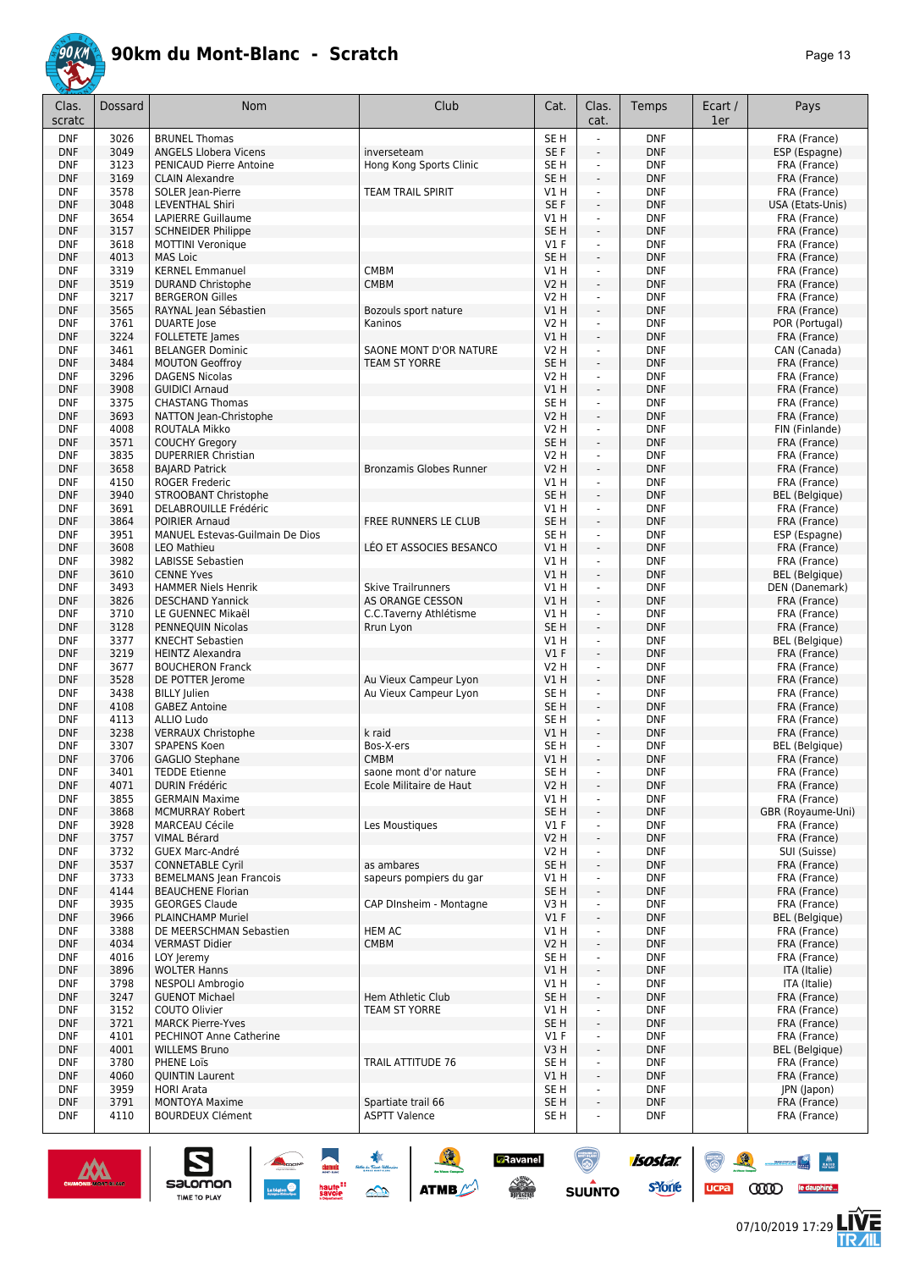

| Clas.<br>scratc          | Dossard      | <b>Nom</b>                                            | Club                                          | Cat.                    | Clas.<br>cat.                                                                                                                                                                                                                                                                                                                                                                                                                                                              | Temps                    | Ecart /<br>1er | Pays                             |
|--------------------------|--------------|-------------------------------------------------------|-----------------------------------------------|-------------------------|----------------------------------------------------------------------------------------------------------------------------------------------------------------------------------------------------------------------------------------------------------------------------------------------------------------------------------------------------------------------------------------------------------------------------------------------------------------------------|--------------------------|----------------|----------------------------------|
| <b>DNF</b>               | 3026         | <b>BRUNEL Thomas</b>                                  |                                               | SE <sub>H</sub>         |                                                                                                                                                                                                                                                                                                                                                                                                                                                                            | <b>DNF</b>               |                | FRA (France)                     |
| <b>DNF</b>               | 3049         | <b>ANGELS Llobera Vicens</b>                          | inverseteam                                   | SE F                    | $\frac{1}{2}$                                                                                                                                                                                                                                                                                                                                                                                                                                                              | <b>DNF</b>               |                | ESP (Espagne)                    |
| <b>DNF</b>               | 3123         | PENICAUD Pierre Antoine                               | Hong Kong Sports Clinic                       | SE <sub>H</sub>         | ä,                                                                                                                                                                                                                                                                                                                                                                                                                                                                         | <b>DNF</b>               |                | FRA (France)                     |
| <b>DNF</b>               | 3169         | <b>CLAIN Alexandre</b>                                |                                               | SE <sub>H</sub>         | ä,                                                                                                                                                                                                                                                                                                                                                                                                                                                                         | <b>DNF</b>               |                | FRA (France)                     |
| <b>DNF</b><br><b>DNF</b> | 3578<br>3048 | SOLER Jean-Pierre<br><b>LEVENTHAL Shiri</b>           | <b>TEAM TRAIL SPIRIT</b>                      | VIH<br>SE <sub>F</sub>  | $\blacksquare$<br>÷,                                                                                                                                                                                                                                                                                                                                                                                                                                                       | <b>DNF</b><br><b>DNF</b> |                | FRA (France)<br>USA (Etats-Unis) |
| <b>DNF</b>               | 3654         | LAPIERRE Guillaume                                    |                                               | V1 H                    | ä,                                                                                                                                                                                                                                                                                                                                                                                                                                                                         | <b>DNF</b>               |                | FRA (France)                     |
| <b>DNF</b>               | 3157         | <b>SCHNEIDER Philippe</b>                             |                                               | SE <sub>H</sub>         | ÷,                                                                                                                                                                                                                                                                                                                                                                                                                                                                         | <b>DNF</b>               |                | FRA (France)                     |
| <b>DNF</b>               | 3618         | <b>MOTTINI Veronique</b>                              |                                               | $VI$ F                  | ÷,                                                                                                                                                                                                                                                                                                                                                                                                                                                                         | <b>DNF</b>               |                | FRA (France)                     |
| <b>DNF</b>               | 4013         | <b>MAS Loic</b>                                       |                                               | SE <sub>H</sub>         | ä,                                                                                                                                                                                                                                                                                                                                                                                                                                                                         | <b>DNF</b>               |                | FRA (France)                     |
| <b>DNF</b>               | 3319         | <b>KERNEL Emmanuel</b>                                | <b>CMBM</b>                                   | V1 H                    | ÷,                                                                                                                                                                                                                                                                                                                                                                                                                                                                         | <b>DNF</b>               |                | FRA (France)                     |
| <b>DNF</b>               | 3519         | <b>DURAND Christophe</b>                              | <b>CMBM</b>                                   | V2 H                    | ÷,                                                                                                                                                                                                                                                                                                                                                                                                                                                                         | <b>DNF</b>               |                | FRA (France)                     |
| <b>DNF</b>               | 3217         | <b>BERGERON Gilles</b>                                |                                               | V2 H                    | L.                                                                                                                                                                                                                                                                                                                                                                                                                                                                         | <b>DNF</b>               |                | FRA (France)                     |
| <b>DNF</b>               | 3565         | RAYNAL Jean Sébastien                                 | Bozouls sport nature                          | V1H                     | ÷,                                                                                                                                                                                                                                                                                                                                                                                                                                                                         | <b>DNF</b>               |                | FRA (France)                     |
| <b>DNF</b><br><b>DNF</b> | 3761<br>3224 | <b>DUARTE</b> Jose                                    | Kaninos                                       | V2 H<br>V1H             | $\blacksquare$<br>ä,                                                                                                                                                                                                                                                                                                                                                                                                                                                       | <b>DNF</b><br><b>DNF</b> |                | POR (Portugal)                   |
| <b>DNF</b>               | 3461         | FOLLETETE James<br><b>BELANGER Dominic</b>            | SAONE MONT D'OR NATURE                        | V2 H                    | $\blacksquare$                                                                                                                                                                                                                                                                                                                                                                                                                                                             | <b>DNF</b>               |                | FRA (France)<br>CAN (Canada)     |
| <b>DNF</b>               | 3484         | <b>MOUTON Geoffroy</b>                                | <b>TEAM ST YORRE</b>                          | SE H                    | ä,                                                                                                                                                                                                                                                                                                                                                                                                                                                                         | <b>DNF</b>               |                | FRA (France)                     |
| <b>DNF</b>               | 3296         | <b>DAGENS Nicolas</b>                                 |                                               | V2 H                    | ä,                                                                                                                                                                                                                                                                                                                                                                                                                                                                         | <b>DNF</b>               |                | FRA (France)                     |
| <b>DNF</b>               | 3908         | <b>GUIDICI Arnaud</b>                                 |                                               | V1 H                    | ÷,                                                                                                                                                                                                                                                                                                                                                                                                                                                                         | <b>DNF</b>               |                | FRA (France)                     |
| <b>DNF</b>               | 3375         | <b>CHASTANG Thomas</b>                                |                                               | SE <sub>H</sub>         | ä,                                                                                                                                                                                                                                                                                                                                                                                                                                                                         | <b>DNF</b>               |                | FRA (France)                     |
| <b>DNF</b>               | 3693         | NATTON Jean-Christophe                                |                                               | V2 H                    | $\overline{\phantom{a}}$                                                                                                                                                                                                                                                                                                                                                                                                                                                   | <b>DNF</b>               |                | FRA (France)                     |
| <b>DNF</b>               | 4008         | ROUTALA Mikko                                         |                                               | V2 H                    | ÷,                                                                                                                                                                                                                                                                                                                                                                                                                                                                         | <b>DNF</b>               |                | FIN (Finlande)                   |
| <b>DNF</b>               | 3571         | <b>COUCHY Gregory</b>                                 |                                               | SE <sub>H</sub>         | $\blacksquare$                                                                                                                                                                                                                                                                                                                                                                                                                                                             | <b>DNF</b>               |                | FRA (France)                     |
| <b>DNF</b>               | 3835<br>3658 | <b>DUPERRIER Christian</b>                            |                                               | V2 H<br><b>V2 H</b>     | ÷.<br>$\overline{a}$                                                                                                                                                                                                                                                                                                                                                                                                                                                       | <b>DNF</b><br><b>DNF</b> |                | FRA (France)                     |
| <b>DNF</b><br><b>DNF</b> | 4150         | <b>BAJARD Patrick</b><br><b>ROGER Frederic</b>        | Bronzamis Globes Runner                       | V1 H                    | ä,                                                                                                                                                                                                                                                                                                                                                                                                                                                                         | <b>DNF</b>               |                | FRA (France)<br>FRA (France)     |
| <b>DNF</b>               | 3940         | <b>STROOBANT Christophe</b>                           |                                               | SE <sub>H</sub>         | ä,                                                                                                                                                                                                                                                                                                                                                                                                                                                                         | <b>DNF</b>               |                | <b>BEL</b> (Belgique)            |
| <b>DNF</b>               | 3691         | DELABROUILLE Frédéric                                 |                                               | V1 H                    | $\blacksquare$                                                                                                                                                                                                                                                                                                                                                                                                                                                             | <b>DNF</b>               |                | FRA (France)                     |
| <b>DNF</b>               | 3864         | <b>POIRIER Arnaud</b>                                 | FREE RUNNERS LE CLUB                          | SE <sub>H</sub>         | ÷,                                                                                                                                                                                                                                                                                                                                                                                                                                                                         | <b>DNF</b>               |                | FRA (France)                     |
| <b>DNF</b>               | 3951         | MANUEL Estevas-Guilmain De Dios                       |                                               | SE H                    | $\blacksquare$                                                                                                                                                                                                                                                                                                                                                                                                                                                             | <b>DNF</b>               |                | ESP (Espagne)                    |
| <b>DNF</b>               | 3608         | <b>LEO Mathieu</b>                                    | LÉO ET ASSOCIES BESANCO                       | V1 H                    | ÷,                                                                                                                                                                                                                                                                                                                                                                                                                                                                         | <b>DNF</b>               |                | FRA (France)                     |
| <b>DNF</b>               | 3982         | <b>LABISSE Sebastien</b>                              |                                               | V1H                     | ÷,                                                                                                                                                                                                                                                                                                                                                                                                                                                                         | <b>DNF</b>               |                | FRA (France)                     |
| <b>DNF</b>               | 3610         | <b>CENNE Yves</b>                                     |                                               | VIH                     | ÷,                                                                                                                                                                                                                                                                                                                                                                                                                                                                         | <b>DNF</b>               |                | <b>BEL</b> (Belgique)            |
| <b>DNF</b><br><b>DNF</b> | 3493<br>3826 | <b>HAMMER Niels Henrik</b><br><b>DESCHAND Yannick</b> | <b>Skive Trailrunners</b><br>AS ORANGE CESSON | V1 H<br>VIH             | ÷,<br>÷,                                                                                                                                                                                                                                                                                                                                                                                                                                                                   | <b>DNF</b><br><b>DNF</b> |                | DEN (Danemark)<br>FRA (France)   |
| <b>DNF</b>               | 3710         | LE GUENNEC Mikaël                                     | C.C.Taverny Athlétisme                        | V1 H                    | ÷,                                                                                                                                                                                                                                                                                                                                                                                                                                                                         | <b>DNF</b>               |                | FRA (France)                     |
| <b>DNF</b>               | 3128         | PENNEQUIN Nicolas                                     | Rrun Lyon                                     | SE <sub>H</sub>         | ÷,                                                                                                                                                                                                                                                                                                                                                                                                                                                                         | <b>DNF</b>               |                | FRA (France)                     |
| <b>DNF</b>               | 3377         | <b>KNECHT Sebastien</b>                               |                                               | V1 H                    | ä,                                                                                                                                                                                                                                                                                                                                                                                                                                                                         | <b>DNF</b>               |                | <b>BEL</b> (Belgique)            |
| <b>DNF</b>               | 3219         | <b>HEINTZ Alexandra</b>                               |                                               | V1F                     | ÷.                                                                                                                                                                                                                                                                                                                                                                                                                                                                         | <b>DNF</b>               |                | FRA (France)                     |
| <b>DNF</b>               | 3677         | <b>BOUCHERON Franck</b>                               |                                               | V2 H                    | $\blacksquare$                                                                                                                                                                                                                                                                                                                                                                                                                                                             | <b>DNF</b>               |                | FRA (France)                     |
| <b>DNF</b>               | 3528         | DE POTTER lerome                                      | Au Vieux Campeur Lyon                         | VIH                     | ÷,                                                                                                                                                                                                                                                                                                                                                                                                                                                                         | <b>DNF</b>               |                | FRA (France)                     |
| <b>DNF</b>               | 3438         | <b>BILLY Julien</b>                                   | Au Vieux Campeur Lyon                         | SE H                    | $\blacksquare$                                                                                                                                                                                                                                                                                                                                                                                                                                                             | <b>DNF</b>               |                | FRA (France)                     |
| <b>DNF</b><br><b>DNF</b> | 4108<br>4113 | <b>GABEZ Antoine</b><br><b>ALLIO Ludo</b>             |                                               | SE <sub>H</sub><br>SE H | ÷,<br>÷.                                                                                                                                                                                                                                                                                                                                                                                                                                                                   | <b>DNF</b><br><b>DNF</b> |                | FRA (France)                     |
| <b>DNF</b>               | 3238         | <b>VERRAUX Christophe</b>                             | k raid                                        | V1 H                    | ÷.                                                                                                                                                                                                                                                                                                                                                                                                                                                                         | <b>DNF</b>               |                | FRA (France)<br>FRA (France)     |
| <b>DNF</b>               | 3307         | <b>SPAPENS Koen</b>                                   | Bos-X-ers                                     | SE H                    | ä,                                                                                                                                                                                                                                                                                                                                                                                                                                                                         | <b>DNF</b>               |                | <b>BEL</b> (Belgique)            |
| <b>DNF</b>               | 3706         | <b>GAGLIO Stephane</b>                                | <b>CMBM</b>                                   | V1 H                    | ÷,                                                                                                                                                                                                                                                                                                                                                                                                                                                                         | <b>DNF</b>               |                | FRA (France)                     |
| DNF                      | 3401         | <b>IEDDE Etienne</b>                                  | saone mont d'or nature                        | 5E H                    |                                                                                                                                                                                                                                                                                                                                                                                                                                                                            | <b>DNF</b>               |                | FRA (France)                     |
| <b>DNF</b>               | 4071         | DURIN Frédéric                                        | Ecole Militaire de Haut                       | V2H                     | ÷.                                                                                                                                                                                                                                                                                                                                                                                                                                                                         | <b>DNF</b>               |                | FRA (France)                     |
| <b>DNF</b>               | 3855         | <b>GERMAIN Maxime</b>                                 |                                               | VIH                     |                                                                                                                                                                                                                                                                                                                                                                                                                                                                            | <b>DNF</b>               |                | FRA (France)                     |
| <b>DNF</b>               | 3868         | <b>MCMURRAY Robert</b>                                |                                               | SE <sub>H</sub>         | ÷                                                                                                                                                                                                                                                                                                                                                                                                                                                                          | <b>DNF</b>               |                | GBR (Royaume-Uni)                |
| <b>DNF</b><br><b>DNF</b> | 3928<br>3757 | <b>MARCEAU Cécile</b><br><b>VIMAL Bérard</b>          | Les Moustiques                                | $VI$ F<br>V2 H          | ÷,<br>÷,                                                                                                                                                                                                                                                                                                                                                                                                                                                                   | <b>DNF</b><br><b>DNF</b> |                | FRA (France)<br>FRA (France)     |
| <b>DNF</b>               | 3732         | <b>GUEX Marc-André</b>                                |                                               | V2 H                    | ÷,                                                                                                                                                                                                                                                                                                                                                                                                                                                                         | <b>DNF</b>               |                | SUI (Suisse)                     |
| <b>DNF</b>               | 3537         | <b>CONNETABLE Cyril</b>                               | as ambares                                    | SE <sub>H</sub>         | ÷,                                                                                                                                                                                                                                                                                                                                                                                                                                                                         | <b>DNF</b>               |                | FRA (France)                     |
| <b>DNF</b>               | 3733         | <b>BEMELMANS Jean Francois</b>                        | sapeurs pompiers du gar                       | VIH                     | ä,                                                                                                                                                                                                                                                                                                                                                                                                                                                                         | <b>DNF</b>               |                | FRA (France)                     |
| <b>DNF</b>               | 4144         | <b>BEAUCHENE Florian</b>                              |                                               | SE H                    | ÷,                                                                                                                                                                                                                                                                                                                                                                                                                                                                         | <b>DNF</b>               |                | FRA (France)                     |
| <b>DNF</b>               | 3935         | <b>GEORGES Claude</b>                                 | CAP DInsheim - Montagne                       | V3 H                    | ä,                                                                                                                                                                                                                                                                                                                                                                                                                                                                         | <b>DNF</b>               |                | FRA (France)                     |
| <b>DNF</b>               | 3966         | <b>PLAINCHAMP Muriel</b>                              |                                               | V1F                     | ÷,                                                                                                                                                                                                                                                                                                                                                                                                                                                                         | <b>DNF</b>               |                | <b>BEL</b> (Belgique)            |
| <b>DNF</b>               | 3388         | DE MEERSCHMAN Sebastien                               | <b>HEM AC</b>                                 | V1 H                    | ä,                                                                                                                                                                                                                                                                                                                                                                                                                                                                         | <b>DNF</b>               |                | FRA (France)                     |
| <b>DNF</b><br><b>DNF</b> | 4034<br>4016 | <b>VERMAST Didier</b><br>LOY Jeremy                   | <b>CMBM</b>                                   | V2H<br>SE H             | $\blacksquare$<br>ä,                                                                                                                                                                                                                                                                                                                                                                                                                                                       | <b>DNF</b><br><b>DNF</b> |                | FRA (France)<br>FRA (France)     |
| <b>DNF</b>               | 3896         | <b>WOLTER Hanns</b>                                   |                                               | V1 H                    | $\blacksquare$                                                                                                                                                                                                                                                                                                                                                                                                                                                             | <b>DNF</b>               |                | ITA (Italie)                     |
| <b>DNF</b>               | 3798         | NESPOLI Ambrogio                                      |                                               | V1 H                    | ÷,                                                                                                                                                                                                                                                                                                                                                                                                                                                                         | <b>DNF</b>               |                | ITA (Italie)                     |
| <b>DNF</b>               | 3247         | <b>GUENOT Michael</b>                                 | Hem Athletic Club                             | SE H                    | ÷,                                                                                                                                                                                                                                                                                                                                                                                                                                                                         | <b>DNF</b>               |                | FRA (France)                     |
| <b>DNF</b>               | 3152         | COUTO Olivier                                         | TEAM ST YORRE                                 | V1 H                    | $\blacksquare$                                                                                                                                                                                                                                                                                                                                                                                                                                                             | <b>DNF</b>               |                | FRA (France)                     |
| <b>DNF</b>               | 3721         | <b>MARCK Pierre-Yves</b>                              |                                               | SE H                    | ä,                                                                                                                                                                                                                                                                                                                                                                                                                                                                         | <b>DNF</b>               |                | FRA (France)                     |
| <b>DNF</b>               | 4101         | PECHINOT Anne Catherine                               |                                               | $VI$ F                  | ä,                                                                                                                                                                                                                                                                                                                                                                                                                                                                         | <b>DNF</b>               |                | FRA (France)                     |
| <b>DNF</b>               | 4001         | <b>WILLEMS Bruno</b>                                  |                                               | V3 H                    | $\frac{1}{2} \left( \frac{1}{2} \right) \left( \frac{1}{2} \right) \left( \frac{1}{2} \right) \left( \frac{1}{2} \right) \left( \frac{1}{2} \right) \left( \frac{1}{2} \right) \left( \frac{1}{2} \right) \left( \frac{1}{2} \right) \left( \frac{1}{2} \right) \left( \frac{1}{2} \right) \left( \frac{1}{2} \right) \left( \frac{1}{2} \right) \left( \frac{1}{2} \right) \left( \frac{1}{2} \right) \left( \frac{1}{2} \right) \left( \frac{1}{2} \right) \left( \frac$ | <b>DNF</b>               |                | BEL (Belgique)                   |
| <b>DNF</b>               | 3780         | PHENE Loïs                                            | TRAIL ATTITUDE 76                             | SE H                    | ä,                                                                                                                                                                                                                                                                                                                                                                                                                                                                         | <b>DNF</b>               |                | FRA (France)                     |
| <b>DNF</b><br><b>DNF</b> | 4060<br>3959 | <b>QUINTIN Laurent</b><br><b>HORI Arata</b>           |                                               | V1 H<br>SE H            | $\blacksquare$                                                                                                                                                                                                                                                                                                                                                                                                                                                             | <b>DNF</b><br><b>DNF</b> |                | FRA (France)<br>JPN (Japon)      |
| <b>DNF</b>               | 3791         | <b>MONTOYA Maxime</b>                                 | Spartiate trail 66                            | SE <sub>H</sub>         | ÷,                                                                                                                                                                                                                                                                                                                                                                                                                                                                         | <b>DNF</b>               |                | FRA (France)                     |
| <b>DNF</b>               | 4110         | <b>BOURDEUX Clément</b>                               | <b>ASPTT Valence</b>                          | SE H                    |                                                                                                                                                                                                                                                                                                                                                                                                                                                                            | DNF                      |                | FRA (France)                     |
|                          |              |                                                       |                                               |                         |                                                                                                                                                                                                                                                                                                                                                                                                                                                                            |                          |                |                                  |

**ATMB** 

**a**Ravanel

 $\begin{array}{c} \mathcal{N}^{\text{obs}} \\ \hline \text{Liplicity} \end{array}$ 

 $\bigcirc$ 

**SUUNTO** 



 $\sum_{\text{SALOMOM}}$ 

**COOD** 

 $\mathcal{R}$ 

 $\binom{m}{\binom{n}{2}}$ 

 $ucpa$ 

 $\begin{array}{|c|c|c|c|}\hline \mathbf{N} & \mathbf{M} \\ \hline \mathbf{M} & \mathbf{M} \end{array}$ 

le dauphiné...

人<br>加

isostar.

**s**Yone